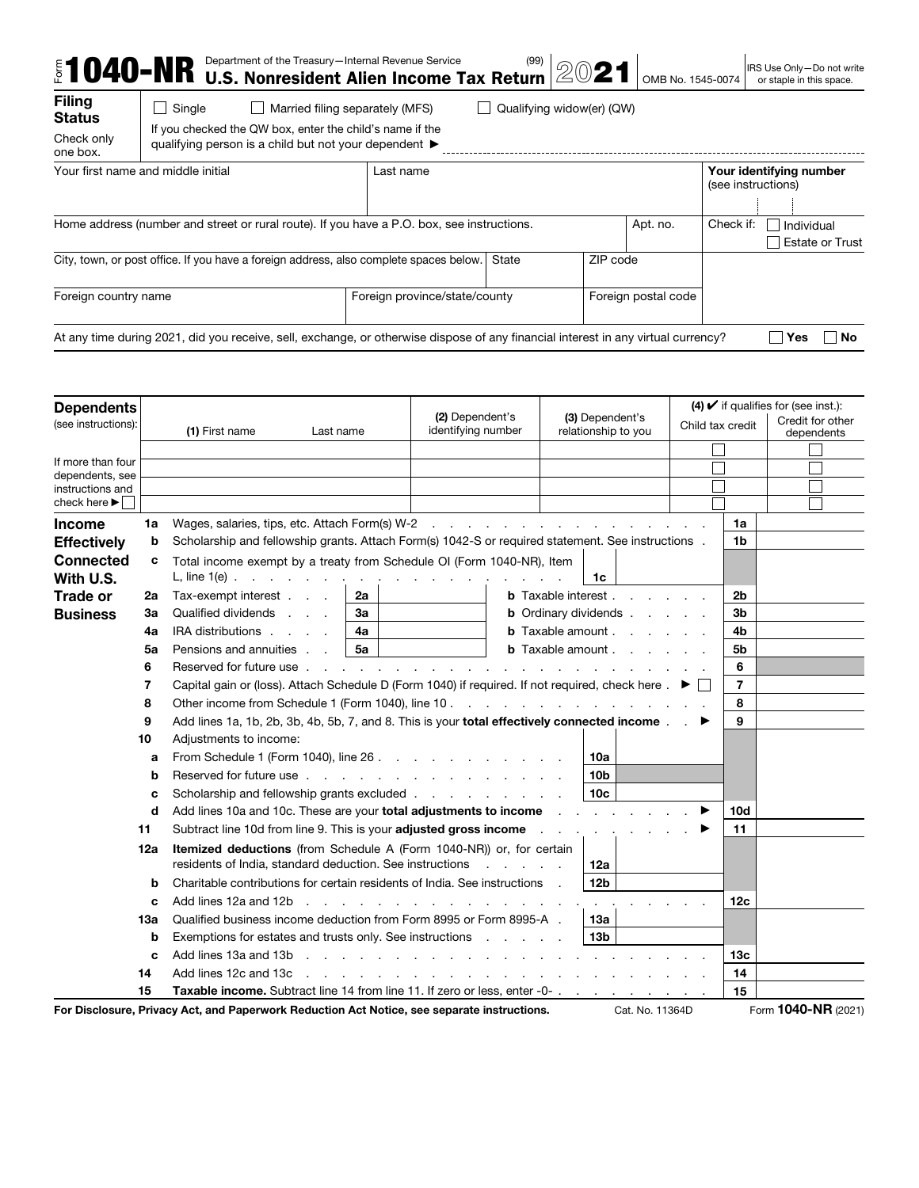|                                                          | Department of the Treasury-Internal Revenue Service<br><b>1040-NR</b> Department of the Treasury-Internal revenue Service <b>Tax Return</b> |                                 |       | 2021                      | OMB No. 1545-0074   |           | IRS Use Only-Do not write<br>or staple in this space. |
|----------------------------------------------------------|---------------------------------------------------------------------------------------------------------------------------------------------|---------------------------------|-------|---------------------------|---------------------|-----------|-------------------------------------------------------|
| <b>Filing</b><br><b>Status</b><br>Check only<br>one box. | Single<br>If you checked the QW box, enter the child's name if the<br>qualifying person is a child but not your dependent ▶                 | Married filing separately (MFS) |       | Qualifying widow(er) (QW) |                     |           |                                                       |
|                                                          | Your first name and middle initial                                                                                                          | Last name                       |       |                           |                     |           | Your identifying number<br>(see instructions)         |
|                                                          | Home address (number and street or rural route). If you have a P.O. box, see instructions.                                                  |                                 |       |                           | Apt. no.            | Check if: | Individual<br><b>Estate or Trust</b>                  |
|                                                          | City, town, or post office. If you have a foreign address, also complete spaces below.                                                      |                                 | State | ZIP code                  |                     |           |                                                       |
| Foreign country name                                     |                                                                                                                                             | Foreign province/state/county   |       |                           | Foreign postal code |           |                                                       |
|                                                          | At any time during 2021, did you receive, sell, exchange, or otherwise dispose of any financial interest in any virtual currency?           |                                 |       |                           |                     |           | <b>Yes</b><br>No                                      |

| <b>Dependents</b>                    |     |                                                                                                                                                                                                                               |           |                                                                                                                                                                                                                                |                                                |                                        |                                                                         |                  |                | $(4)$ $\checkmark$ if qualifies for (see inst.): |
|--------------------------------------|-----|-------------------------------------------------------------------------------------------------------------------------------------------------------------------------------------------------------------------------------|-----------|--------------------------------------------------------------------------------------------------------------------------------------------------------------------------------------------------------------------------------|------------------------------------------------|----------------------------------------|-------------------------------------------------------------------------|------------------|----------------|--------------------------------------------------|
| (see instructions):                  |     | (1) First name                                                                                                                                                                                                                | Last name | (2) Dependent's<br>identifying number                                                                                                                                                                                          |                                                | (3) Dependent's<br>relationship to you |                                                                         | Child tax credit |                | Credit for other<br>dependents                   |
|                                      |     |                                                                                                                                                                                                                               |           |                                                                                                                                                                                                                                |                                                |                                        |                                                                         |                  |                |                                                  |
| If more than four<br>dependents, see |     |                                                                                                                                                                                                                               |           |                                                                                                                                                                                                                                |                                                |                                        |                                                                         |                  |                |                                                  |
| instructions and                     |     |                                                                                                                                                                                                                               |           |                                                                                                                                                                                                                                |                                                |                                        |                                                                         |                  |                |                                                  |
| check here $\blacktriangleright$     |     |                                                                                                                                                                                                                               |           |                                                                                                                                                                                                                                |                                                |                                        |                                                                         |                  |                |                                                  |
| Income                               | 1a  |                                                                                                                                                                                                                               |           |                                                                                                                                                                                                                                |                                                |                                        |                                                                         |                  | 1a             |                                                  |
| <b>Effectively</b>                   | b   | Scholarship and fellowship grants. Attach Form(s) 1042-S or required statement. See instructions .                                                                                                                            |           |                                                                                                                                                                                                                                |                                                |                                        |                                                                         |                  | 1b             |                                                  |
| Connected<br>With U.S.               | c   | Total income exempt by a treaty from Schedule OI (Form 1040-NR), Item<br>L, line $1(e)$                                                                                                                                       |           |                                                                                                                                                                                                                                |                                                | 1c                                     |                                                                         |                  |                |                                                  |
| <b>Trade or</b>                      | 2a  | Tax-exempt interest                                                                                                                                                                                                           | 2a        |                                                                                                                                                                                                                                |                                                |                                        | <b>b</b> Taxable interest                                               |                  | 2 <sub>b</sub> |                                                  |
| <b>Business</b>                      | За  | Qualified dividends                                                                                                                                                                                                           | За        |                                                                                                                                                                                                                                |                                                |                                        | <b>b</b> Ordinary dividends                                             |                  | 3b             |                                                  |
|                                      | 4a  | IRA distributions                                                                                                                                                                                                             | 4a        |                                                                                                                                                                                                                                |                                                |                                        | <b>b</b> Taxable amount $\cdot$ $\cdot$ $\cdot$ $\cdot$ $\cdot$ $\cdot$ |                  | 4b             |                                                  |
|                                      | 5a  | Pensions and annuities                                                                                                                                                                                                        | 5a        |                                                                                                                                                                                                                                |                                                |                                        | <b>b</b> Taxable amount $\cdot$ $\cdot$ $\cdot$ $\cdot$ $\cdot$ $\cdot$ |                  | 5b             |                                                  |
|                                      | 6   | Reserved for future use.                                                                                                                                                                                                      |           | $\mathbf{r}$ , $\mathbf{r}$ , $\mathbf{r}$ , $\mathbf{r}$ , $\mathbf{r}$ , $\mathbf{r}$                                                                                                                                        |                                                |                                        |                                                                         |                  | 6              |                                                  |
|                                      | 7   | Capital gain or (loss). Attach Schedule D (Form 1040) if required. If not required, check here $\Box$                                                                                                                         |           |                                                                                                                                                                                                                                |                                                |                                        |                                                                         |                  | 7              |                                                  |
|                                      | 8   |                                                                                                                                                                                                                               |           |                                                                                                                                                                                                                                |                                                |                                        |                                                                         |                  | 8              |                                                  |
|                                      | 9   | Add lines 1a, 1b, 2b, 3b, 4b, 5b, 7, and 8. This is your total effectively connected income ▶                                                                                                                                 |           |                                                                                                                                                                                                                                |                                                |                                        |                                                                         |                  | 9              |                                                  |
|                                      | 10  | Adjustments to income:                                                                                                                                                                                                        |           |                                                                                                                                                                                                                                |                                                |                                        |                                                                         |                  |                |                                                  |
|                                      | a   | From Schedule 1 (Form 1040), line 26                                                                                                                                                                                          |           |                                                                                                                                                                                                                                |                                                | 10a                                    |                                                                         |                  |                |                                                  |
|                                      | b   | Reserved for future use entertainment and the served for future use of the served of the served of the served of the served of the served of the served of the served of the served of the served of the served of the served |           |                                                                                                                                                                                                                                |                                                | 10 <sub>b</sub>                        |                                                                         |                  |                |                                                  |
|                                      | c   | Scholarship and fellowship grants excluded                                                                                                                                                                                    |           |                                                                                                                                                                                                                                |                                                | 10 <sub>c</sub>                        |                                                                         |                  |                |                                                  |
|                                      | d   | Add lines 10a and 10c. These are your total adjustments to income                                                                                                                                                             |           |                                                                                                                                                                                                                                |                                                |                                        |                                                                         |                  | 10d            |                                                  |
|                                      | 11  | Subtract line 10d from line 9. This is your adjusted gross income                                                                                                                                                             |           |                                                                                                                                                                                                                                |                                                |                                        |                                                                         |                  | 11             |                                                  |
|                                      | 12a | <b>Itemized deductions</b> (from Schedule A (Form 1040-NR)) or, for certain<br>residents of India, standard deduction. See instructions                                                                                       |           |                                                                                                                                                                                                                                | $\mathbf{r}$ and $\mathbf{r}$ and $\mathbf{r}$ | 12a                                    |                                                                         |                  |                |                                                  |
|                                      | b   | Charitable contributions for certain residents of India. See instructions                                                                                                                                                     |           |                                                                                                                                                                                                                                |                                                | 12 <sub>b</sub>                        |                                                                         |                  |                |                                                  |
|                                      | c   | Add lines 12a and 12b                                                                                                                                                                                                         |           | and the company of the company of the company of the company of the company of the company of the company of the company of the company of the company of the company of the company of the company of the company of the comp |                                                |                                        |                                                                         |                  | 12c            |                                                  |
|                                      | 13а | Qualified business income deduction from Form 8995 or Form 8995-A.                                                                                                                                                            |           |                                                                                                                                                                                                                                |                                                | 13a                                    |                                                                         |                  |                |                                                  |
|                                      | b   | Exemptions for estates and trusts only. See instructions                                                                                                                                                                      |           |                                                                                                                                                                                                                                |                                                | 13 <sub>b</sub>                        |                                                                         |                  |                |                                                  |
|                                      | c   | Add lines 13a and 13b                                                                                                                                                                                                         |           |                                                                                                                                                                                                                                |                                                |                                        |                                                                         |                  | 13с            |                                                  |
|                                      | 14  | Add lines 12c and 13c                                                                                                                                                                                                         |           | in the contract of the contract of the contract of the contract of the contract of the contract of the contract of the contract of the contract of the contract of the contract of the contract of the contract of the contrac |                                                |                                        |                                                                         |                  | 14             |                                                  |
|                                      | 15  | Taxable income. Subtract line 14 from line 11. If zero or less, enter -0-                                                                                                                                                     |           |                                                                                                                                                                                                                                |                                                |                                        |                                                                         |                  | 15             |                                                  |
|                                      |     | For Disclosure, Privacy Act, and Paperwork Reduction Act Notice, see separate instructions.                                                                                                                                   |           |                                                                                                                                                                                                                                |                                                |                                        | Cat. No. 11364D                                                         |                  |                | Form 1040-NR (2021)                              |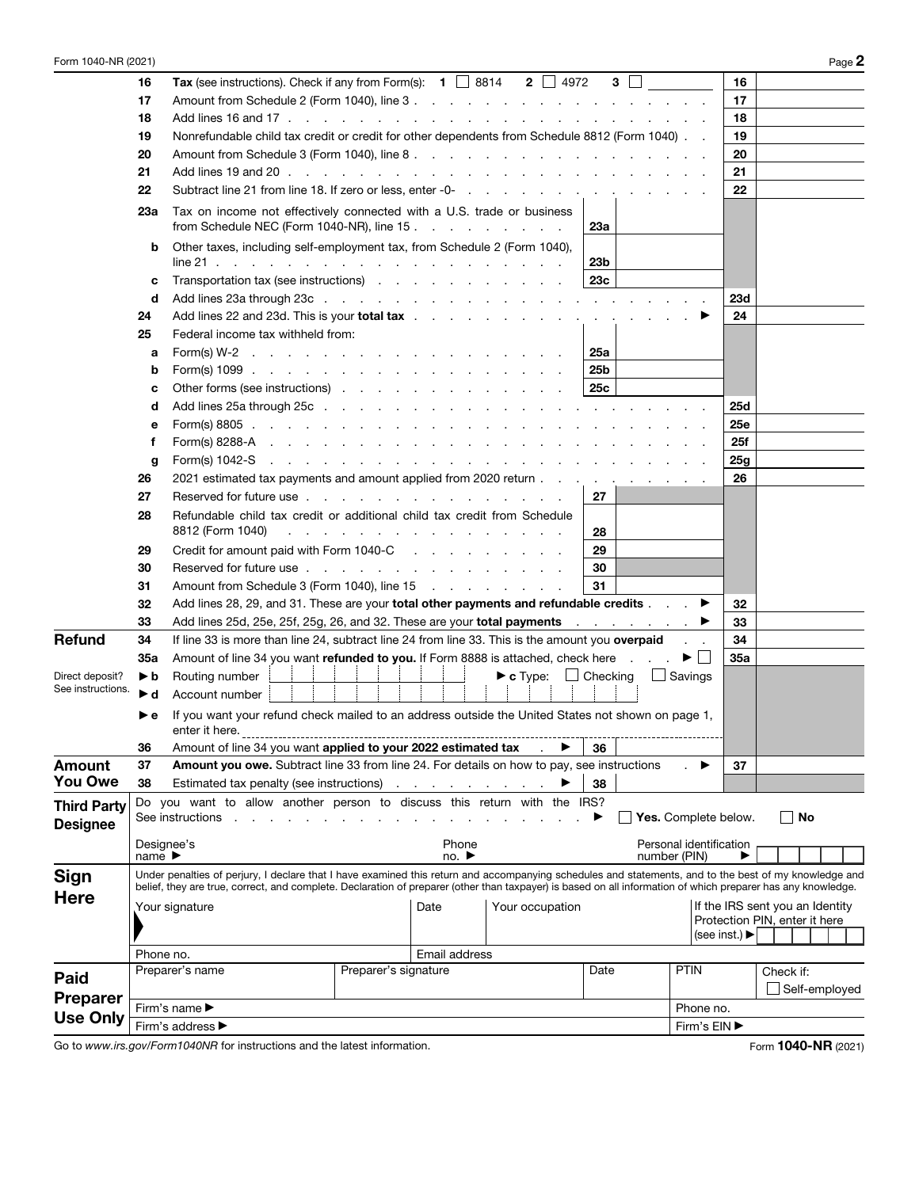| Form 1040-NR (2021)                   |                                          |                                                                                                                                                                                                                                                                                                                       |                                                          |                                    |                                               |                 |                                         |                                                                    |           |    | Page 2        |
|---------------------------------------|------------------------------------------|-----------------------------------------------------------------------------------------------------------------------------------------------------------------------------------------------------------------------------------------------------------------------------------------------------------------------|----------------------------------------------------------|------------------------------------|-----------------------------------------------|-----------------|-----------------------------------------|--------------------------------------------------------------------|-----------|----|---------------|
|                                       | 16                                       | Tax (see instructions). Check if any from Form(s): $\bullet$ $\Box$ 8814 $\bullet$ 2 $\Box$ 4972                                                                                                                                                                                                                      |                                                          |                                    |                                               | 3 <sup>1</sup>  |                                         | 16                                                                 |           |    |               |
|                                       | 17                                       |                                                                                                                                                                                                                                                                                                                       |                                                          |                                    |                                               |                 |                                         | 17                                                                 |           |    |               |
|                                       | 18                                       |                                                                                                                                                                                                                                                                                                                       |                                                          |                                    |                                               |                 |                                         | 18                                                                 |           |    |               |
|                                       | 19                                       | Nonrefundable child tax credit or credit for other dependents from Schedule 8812 (Form 1040).                                                                                                                                                                                                                         |                                                          |                                    |                                               |                 |                                         | 19                                                                 |           |    |               |
|                                       | 20                                       |                                                                                                                                                                                                                                                                                                                       |                                                          |                                    |                                               |                 |                                         | 20                                                                 |           |    |               |
|                                       | 21                                       |                                                                                                                                                                                                                                                                                                                       |                                                          |                                    |                                               |                 |                                         | 21                                                                 |           |    |               |
|                                       | 22                                       | Subtract line 21 from line 18. If zero or less, enter -0-                                                                                                                                                                                                                                                             |                                                          |                                    |                                               |                 |                                         | 22                                                                 |           |    |               |
|                                       | 23a                                      | Tax on income not effectively connected with a U.S. trade or business<br>from Schedule NEC (Form 1040-NR), line 15                                                                                                                                                                                                    |                                                          |                                    |                                               | 23а             |                                         |                                                                    |           |    |               |
|                                       | b                                        | Other taxes, including self-employment tax, from Schedule 2 (Form 1040),<br>line 21 (b) and a contract of the contract of the contract of the contract of the contract of the contract of the contract of the contract of the contract of the contract of the contract of the contract of the contract of             |                                                          |                                    |                                               | 23 <sub>b</sub> |                                         |                                                                    |           |    |               |
|                                       | c                                        | Transportation tax (see instructions)                                                                                                                                                                                                                                                                                 |                                                          |                                    |                                               | 23c             |                                         |                                                                    |           |    |               |
|                                       | d                                        |                                                                                                                                                                                                                                                                                                                       |                                                          |                                    |                                               |                 |                                         | 23d                                                                |           |    |               |
|                                       | 24                                       | Add lines 22 and 23d. This is your total tax                                                                                                                                                                                                                                                                          |                                                          |                                    |                                               |                 |                                         | 24                                                                 |           |    |               |
|                                       | 25                                       | Federal income tax withheld from:                                                                                                                                                                                                                                                                                     |                                                          |                                    |                                               |                 |                                         |                                                                    |           |    |               |
|                                       | a                                        |                                                                                                                                                                                                                                                                                                                       |                                                          |                                    |                                               | 25a             |                                         |                                                                    |           |    |               |
|                                       | b                                        |                                                                                                                                                                                                                                                                                                                       |                                                          |                                    |                                               | 25b             |                                         |                                                                    |           |    |               |
|                                       | c                                        | Other forms (see instructions)                                                                                                                                                                                                                                                                                        |                                                          |                                    |                                               | 25c             |                                         |                                                                    |           |    |               |
|                                       | d                                        |                                                                                                                                                                                                                                                                                                                       |                                                          |                                    |                                               |                 |                                         | 25d                                                                |           |    |               |
|                                       | е                                        | $\text{Form}(s)$ 8805 $\ldots$ $\ldots$ $\ldots$ $\ldots$ $\ldots$ $\ldots$ $\ldots$ $\ldots$                                                                                                                                                                                                                         |                                                          |                                    |                                               |                 |                                         | 25e                                                                |           |    |               |
|                                       | f                                        | $\text{Form(s)}$ 8288-A $\ldots$ $\ldots$ $\ldots$ $\ldots$ $\ldots$ $\ldots$ $\ldots$ $\ldots$                                                                                                                                                                                                                       |                                                          |                                    |                                               |                 |                                         | 25f                                                                |           |    |               |
|                                       | g                                        |                                                                                                                                                                                                                                                                                                                       |                                                          |                                    |                                               |                 |                                         | 25g                                                                |           |    |               |
|                                       | 26                                       | 2021 estimated tax payments and amount applied from 2020 return                                                                                                                                                                                                                                                       |                                                          |                                    |                                               |                 |                                         | 26                                                                 |           |    |               |
|                                       | 27<br>28                                 | Reserved for future use<br>Refundable child tax credit or additional child tax credit from Schedule                                                                                                                                                                                                                   |                                                          |                                    |                                               | 27              |                                         |                                                                    |           |    |               |
|                                       |                                          | 8812 (Form 1040)                                                                                                                                                                                                                                                                                                      | the contract of the contract of the contract of the con- |                                    |                                               | 28              |                                         |                                                                    |           |    |               |
|                                       | 29                                       | Credit for amount paid with Form 1040-C                                                                                                                                                                                                                                                                               |                                                          |                                    |                                               | 29              |                                         |                                                                    |           |    |               |
|                                       | 30                                       | Reserved for future use                                                                                                                                                                                                                                                                                               |                                                          |                                    |                                               | 30              |                                         |                                                                    |           |    |               |
|                                       | 31                                       |                                                                                                                                                                                                                                                                                                                       |                                                          |                                    |                                               | 31              |                                         |                                                                    |           |    |               |
|                                       | 32                                       | Add lines 28, 29, and 31. These are your total other payments and refundable credits ▶                                                                                                                                                                                                                                |                                                          |                                    |                                               |                 |                                         | 32                                                                 |           |    |               |
|                                       | 33                                       | Add lines 25d, 25e, 25f, 25g, 26, and 32. These are your total payments entertainments and the ►                                                                                                                                                                                                                      |                                                          |                                    |                                               |                 |                                         | 33                                                                 |           |    |               |
| Refund                                | 34                                       | If line 33 is more than line 24, subtract line 24 from line 33. This is the amount you overpaid                                                                                                                                                                                                                       |                                                          |                                    |                                               |                 |                                         | 34                                                                 |           |    |               |
|                                       | 35a                                      | Amount of line 34 you want refunded to you. If Form 8888 is attached, check here                                                                                                                                                                                                                                      |                                                          |                                    |                                               |                 | $\blacktriangleright$ $\vdash$ $\vdash$ | 35a                                                                |           |    |               |
| Direct deposit?<br>See instructions.  | ▶b<br>►d                                 | Routing number<br>Account number                                                                                                                                                                                                                                                                                      |                                                          |                                    | $\blacktriangleright$ c Type: $\Box$ Checking |                 | $\Box$ Savings                          |                                                                    |           |    |               |
|                                       |                                          | If you want your refund check mailed to an address outside the United States not shown on page 1,<br>enter it here.                                                                                                                                                                                                   |                                                          |                                    |                                               |                 |                                         |                                                                    |           |    |               |
|                                       | 36                                       | Amount of line 34 you want applied to your 2022 estimated tax                                                                                                                                                                                                                                                         |                                                          |                                    | $\sim 10^{-11}$                               | 36              |                                         |                                                                    |           |    |               |
| Amount                                | 37                                       | Amount you owe. Subtract line 33 from line 24. For details on how to pay, see instructions                                                                                                                                                                                                                            |                                                          |                                    |                                               |                 |                                         | 37                                                                 |           |    |               |
| <b>You Owe</b>                        | 38                                       | Estimated tax penalty (see instructions)                                                                                                                                                                                                                                                                              |                                                          |                                    |                                               | 38              |                                         |                                                                    |           |    |               |
| <b>Third Party</b><br><b>Designee</b> |                                          | Do you want to allow another person to discuss this return with the IRS?<br>See instructions                                                                                                                                                                                                                          |                                                          |                                    |                                               |                 | Yes. Complete below.                    |                                                                    |           | No |               |
|                                       | Designee's<br>name $\blacktriangleright$ |                                                                                                                                                                                                                                                                                                                       |                                                          | Phone<br>no. $\blacktriangleright$ |                                               |                 | Personal identification<br>number (PIN) |                                                                    |           |    |               |
| <b>Sign</b>                           |                                          | Under penalties of perjury, I declare that I have examined this return and accompanying schedules and statements, and to the best of my knowledge and<br>belief, they are true, correct, and complete. Declaration of preparer (other than taxpayer) is based on all information of which preparer has any knowledge. |                                                          |                                    |                                               |                 |                                         |                                                                    |           |    |               |
| <b>Here</b>                           |                                          | Your signature                                                                                                                                                                                                                                                                                                        |                                                          | Date                               | Your occupation                               |                 |                                         | If the IRS sent you an Identity                                    |           |    |               |
|                                       |                                          |                                                                                                                                                                                                                                                                                                                       |                                                          |                                    |                                               |                 |                                         | Protection PIN, enter it here<br>(see inst.) $\blacktriangleright$ |           |    |               |
|                                       |                                          |                                                                                                                                                                                                                                                                                                                       |                                                          | Email address                      |                                               |                 |                                         |                                                                    |           |    |               |
|                                       | Phone no.                                | Preparer's name                                                                                                                                                                                                                                                                                                       | Preparer's signature                                     |                                    |                                               | Date            | <b>PTIN</b>                             |                                                                    | Check if: |    |               |
| <b>Paid</b>                           |                                          |                                                                                                                                                                                                                                                                                                                       |                                                          |                                    |                                               |                 |                                         |                                                                    |           |    | Self-employed |
| <b>Preparer</b>                       |                                          | Firm's name ▶                                                                                                                                                                                                                                                                                                         |                                                          |                                    |                                               |                 | Phone no.                               |                                                                    |           |    |               |
| <b>Use Only</b>                       |                                          | Firm's address ▶                                                                                                                                                                                                                                                                                                      |                                                          |                                    |                                               |                 | Firm's EIN ▶                            |                                                                    |           |    |               |

Go to www.irs.gov/Form1040NR for instructions and the latest information. Form 1040-NR (2021)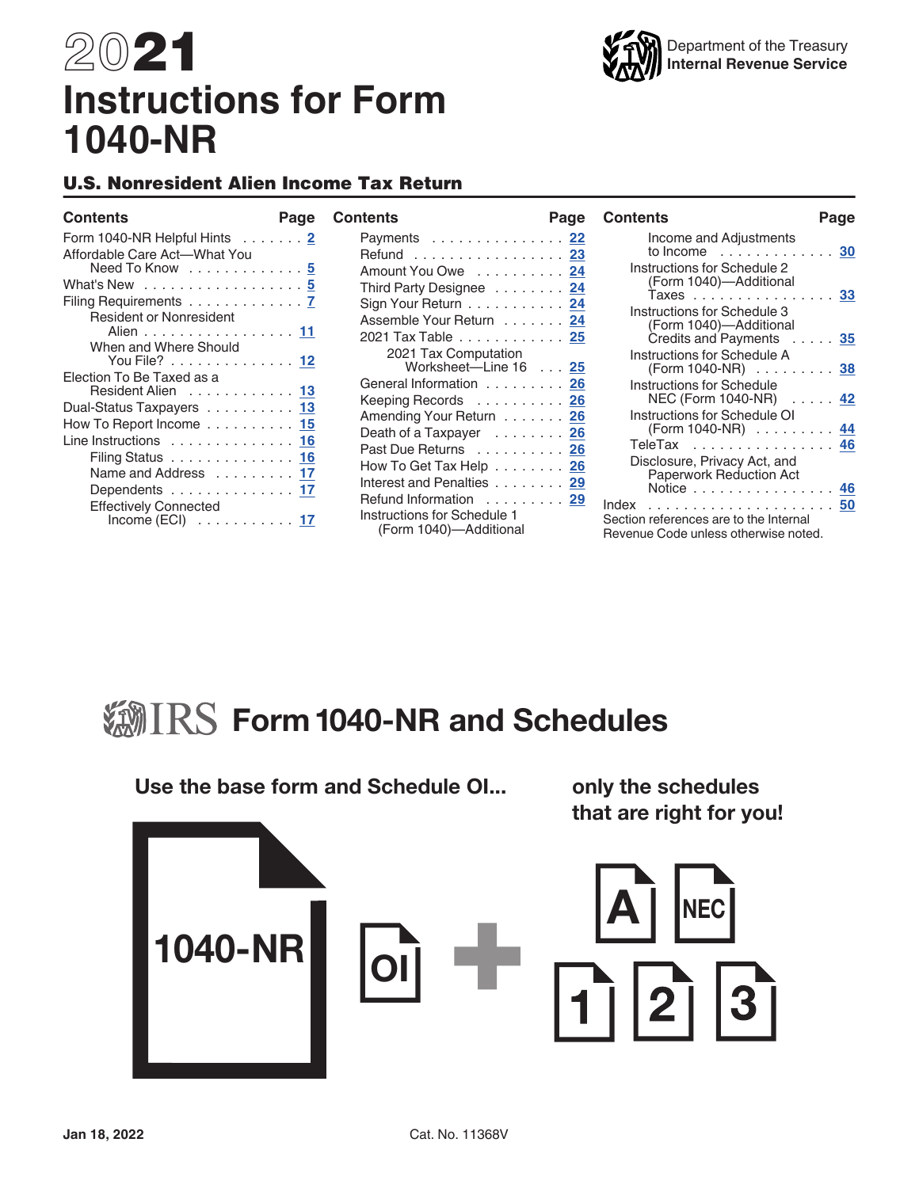# 2021 **Instructions for Form 1040-NR**

# U.S. Nonresident Alien Income Tax Return

### **Contents Page**

| <b>Contents</b> |
|-----------------|
|-----------------|

| Form 1040-NR Helpful Hints 2   |
|--------------------------------|
| Affordable Care Act-What You   |
| Need To Know 5                 |
| What's New 5                   |
| Filing Requirements 7          |
| <b>Resident or Nonresident</b> |
| Alien 11                       |
| When and Where Should          |
| You File? 12                   |
| Election To Be Taxed as a      |
| Resident Alien 13              |
| Dual-Status Taxpayers 13       |
| How To Report Income 15        |
| Line Instructions 16           |
| Filing Status 16               |
| Name and Address 17            |
| Dependents 17                  |
| <b>Effectively Connected</b>   |
| Income $(ECI)$ 17              |

| Contents                                              | Page |
|-------------------------------------------------------|------|
| Payments  22                                          |      |
| Refund <u>23</u>                                      |      |
| Amount You Owe 24                                     |      |
| Third Party Designee 24                               |      |
| Sign Your Return 24                                   |      |
| Assemble Your Return 24                               |      |
| 2021 Tax Table 25                                     |      |
| 2021 Tax Computation                                  |      |
| Worksheet-Line 16 25                                  |      |
| General Information 26                                |      |
| Keeping Records  26                                   |      |
| Amending Your Return 26                               |      |
| Death of a Taxpayer 26                                |      |
| Past Due Returns 26                                   |      |
| How To Get Tax Help 26                                |      |
| Interest and Penalties 29                             |      |
| Refund Information 29                                 |      |
| Instructions for Schedule 1<br>(Form 1040)-Additional |      |

| <b>Contents</b>                                                                         | Page |
|-----------------------------------------------------------------------------------------|------|
| Income and Adjustments<br>$\ldots$ 30<br>to Income responsive                           |      |
| Instructions for Schedule 2<br>(Form 1040)-Additional<br>Taxes                          | 33   |
| Instructions for Schedule 3<br>(Form 1040)-Additional                                   |      |
| Credits and Payments 35<br>Instructions for Schedule A                                  |      |
| (Form 1040-NR) 38<br>Instructions for Schedule                                          |      |
| Instructions for Schedule OI<br>(Form 1040-NR) 44                                       |      |
| Disclosure, Privacy Act, and                                                            |      |
| <b>Paperwork Reduction Act</b><br>Notice                                                | 46   |
| Index<br>Section references are to the Internal<br>Revenue Code unless otherwise noted. |      |



# Use the base form and Schedule OI... only the schedules that are right for you! **NEC** 1040-NR OI  $3$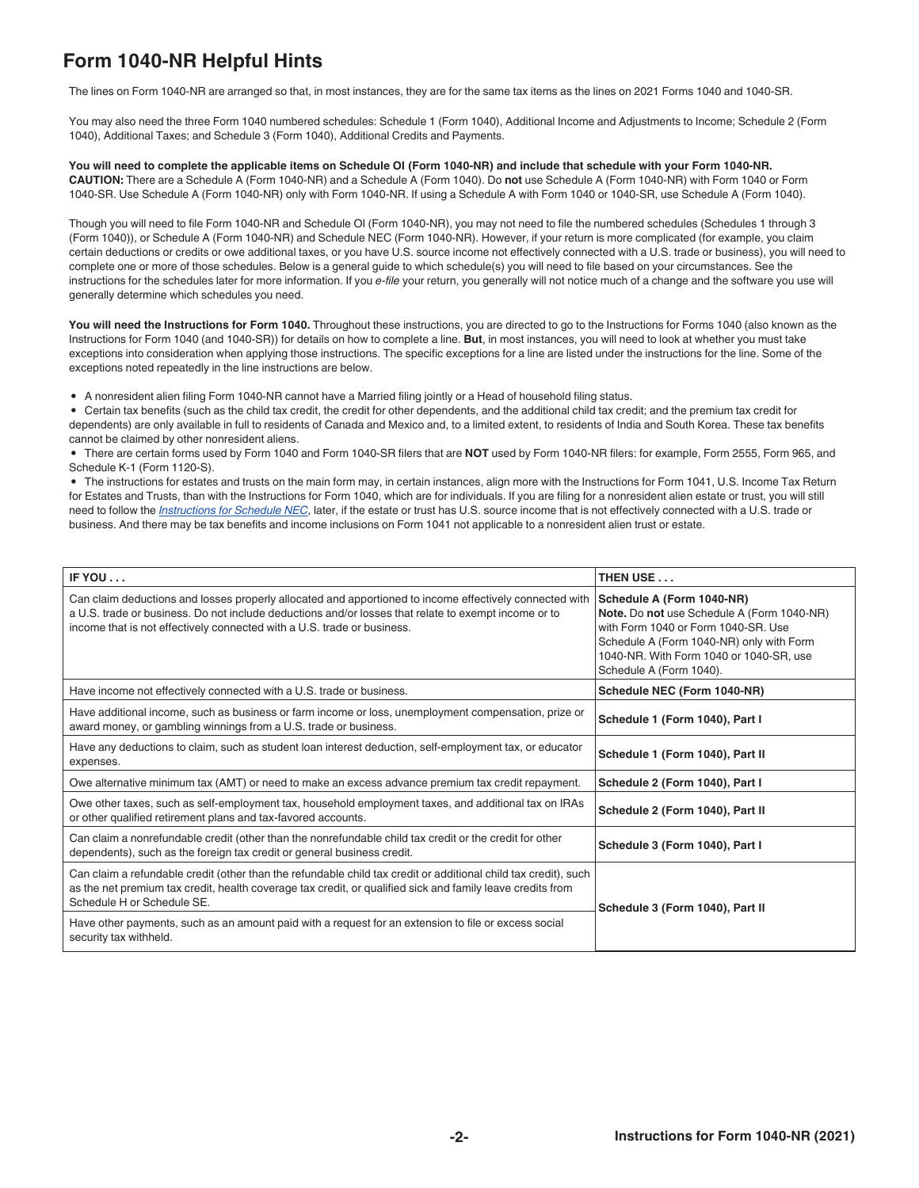# **Form 1040-NR Helpful Hints**

The lines on Form 1040-NR are arranged so that, in most instances, they are for the same tax items as the lines on 2021 Forms 1040 and 1040-SR.

You may also need the three Form 1040 numbered schedules: Schedule 1 (Form 1040), Additional Income and Adjustments to Income; Schedule 2 (Form 1040), Additional Taxes; and Schedule 3 (Form 1040), Additional Credits and Payments.

#### **You will need to complete the applicable items on Schedule OI (Form 1040-NR) and include that schedule with your Form 1040-NR. CAUTION:** There are a Schedule A (Form 1040-NR) and a Schedule A (Form 1040). Do **not** use Schedule A (Form 1040-NR) with Form 1040 or Form 1040-SR. Use Schedule A (Form 1040-NR) only with Form 1040-NR. If using a Schedule A with Form 1040 or 1040-SR, use Schedule A (Form 1040).

Though you will need to file Form 1040-NR and Schedule OI (Form 1040-NR), you may not need to file the numbered schedules (Schedules 1 through 3 (Form 1040)), or Schedule A (Form 1040-NR) and Schedule NEC (Form 1040-NR). However, if your return is more complicated (for example, you claim certain deductions or credits or owe additional taxes, or you have U.S. source income not effectively connected with a U.S. trade or business), you will need to complete one or more of those schedules. Below is a general guide to which schedule(s) you will need to file based on your circumstances. See the instructions for the schedules later for more information. If you *e-file* your return, you generally will not notice much of a change and the software you use will generally determine which schedules you need.

You will need the Instructions for Form 1040. Throughout these instructions, you are directed to go to the Instructions for Forms 1040 (also known as the Instructions for Form 1040 (and 1040-SR)) for details on how to complete a line. **But**, in most instances, you will need to look at whether you must take exceptions into consideration when applying those instructions. The specific exceptions for a line are listed under the instructions for the line. Some of the exceptions noted repeatedly in the line instructions are below.

• A nonresident alien filing Form 1040-NR cannot have a Married filing jointly or a Head of household filing status.

• Certain tax benefits (such as the child tax credit, the credit for other dependents, and the additional child tax credit; and the premium tax credit for dependents) are only available in full to residents of Canada and Mexico and, to a limited extent, to residents of India and South Korea. These tax benefits cannot be claimed by other nonresident aliens.

• There are certain forms used by Form 1040 and Form 1040-SR filers that are **NOT** used by Form 1040-NR filers: for example, Form 2555, Form 965, and Schedule K-1 (Form 1120-S).

• The instructions for estates and trusts on the main form may, in certain instances, align more with the Instructions for Form 1041, U.S. Income Tax Return for Estates and Trusts, than with the Instructions for Form 1040, which are for individuals. If you are filing for a nonresident alien estate or trust, you will still need to follow the *Instructions for Schedule NEC*, later, if the estate or trust has U.S. source income that is not effectively connected with a U.S. trade or business. And there may be tax benefits and income inclusions on Form 1041 not applicable to a nonresident alien trust or estate.

| IF YOU                                                                                                                                                                                                                                                                                     | THEN USE                                                                                                                                                                                                                         |
|--------------------------------------------------------------------------------------------------------------------------------------------------------------------------------------------------------------------------------------------------------------------------------------------|----------------------------------------------------------------------------------------------------------------------------------------------------------------------------------------------------------------------------------|
| Can claim deductions and losses properly allocated and apportioned to income effectively connected with<br>a U.S. trade or business. Do not include deductions and/or losses that relate to exempt income or to<br>income that is not effectively connected with a U.S. trade or business. | Schedule A (Form 1040-NR)<br>Note. Do not use Schedule A (Form 1040-NR)<br>with Form 1040 or Form 1040-SR. Use<br>Schedule A (Form 1040-NR) only with Form<br>1040-NR. With Form 1040 or 1040-SR, use<br>Schedule A (Form 1040). |
| Have income not effectively connected with a U.S. trade or business.                                                                                                                                                                                                                       | Schedule NEC (Form 1040-NR)                                                                                                                                                                                                      |
| Have additional income, such as business or farm income or loss, unemployment compensation, prize or<br>award money, or gambling winnings from a U.S. trade or business.                                                                                                                   | Schedule 1 (Form 1040), Part I                                                                                                                                                                                                   |
| Have any deductions to claim, such as student loan interest deduction, self-employment tax, or educator<br>expenses.                                                                                                                                                                       | Schedule 1 (Form 1040), Part II                                                                                                                                                                                                  |
| Owe alternative minimum tax (AMT) or need to make an excess advance premium tax credit repayment.                                                                                                                                                                                          | Schedule 2 (Form 1040), Part I                                                                                                                                                                                                   |
| Owe other taxes, such as self-employment tax, household employment taxes, and additional tax on IRAs<br>or other qualified retirement plans and tax-favored accounts.                                                                                                                      | Schedule 2 (Form 1040), Part II                                                                                                                                                                                                  |
| Can claim a nonrefundable credit (other than the nonrefundable child tax credit or the credit for other<br>dependents), such as the foreign tax credit or general business credit.                                                                                                         | Schedule 3 (Form 1040), Part I                                                                                                                                                                                                   |
| Can claim a refundable credit (other than the refundable child tax credit or additional child tax credit), such<br>as the net premium tax credit, health coverage tax credit, or qualified sick and family leave credits from<br>Schedule H or Schedule SE.                                | Schedule 3 (Form 1040), Part II                                                                                                                                                                                                  |
| Have other payments, such as an amount paid with a request for an extension to file or excess social<br>security tax withheld.                                                                                                                                                             |                                                                                                                                                                                                                                  |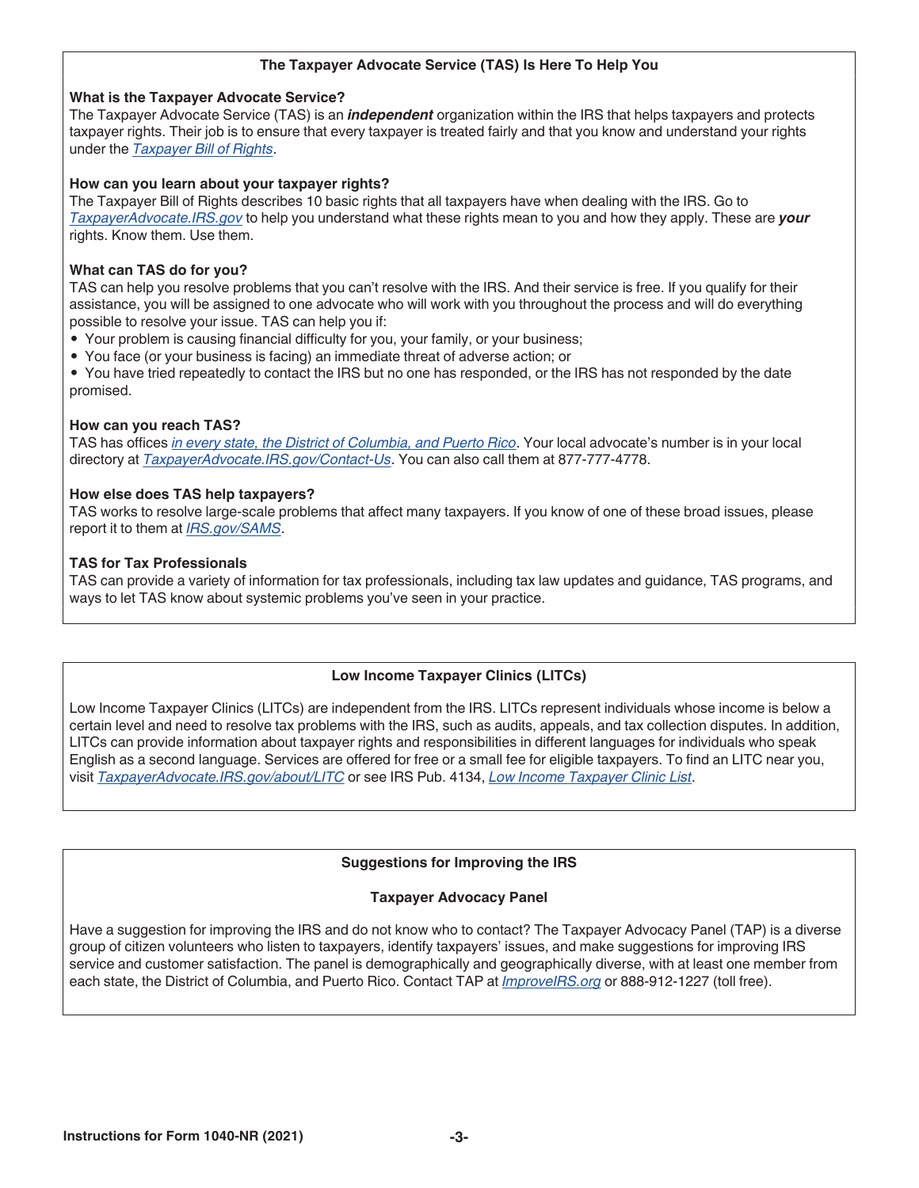### **The Taxpayer Advocate Service (TAS) Is Here To Help You**

### **What is the Taxpayer Advocate Service?**

The Taxpayer Advocate Service (TAS) is an *independent* organization within the IRS that helps taxpayers and protects taxpayer rights. Their job is to ensure that every taxpayer is treated fairly and that you know and understand your rights under the *[Taxpayer Bill of Rights](https://www.taxpayeradvocate.irs.gov/get-help/taxpayer-rights/)*.

### **How can you learn about your taxpayer rights?**

The Taxpayer Bill of Rights describes 10 basic rights that all taxpayers have when dealing with the IRS. Go to *[TaxpayerAdvocate.IRS.gov](http://www.taxpayeradvocate.irs.gov/)* to help you understand what these rights mean to you and how they apply. These are *your* rights. Know them. Use them.

### **What can TAS do for you?**

TAS can help you resolve problems that you can't resolve with the IRS. And their service is free. If you qualify for their assistance, you will be assigned to one advocate who will work with you throughout the process and will do everything possible to resolve your issue. TAS can help you if:

- Your problem is causing financial difficulty for you, your family, or your business;
- You face (or your business is facing) an immediate threat of adverse action; or
- You have tried repeatedly to contact the IRS but no one has responded, or the IRS has not responded by the date promised.

### **How can you reach TAS?**

TAS has offices *[in every state, the District of Columbia, and Puerto Rico](https://www.irs.gov/Advocate/Local-Taxpayer-Advocate)*. Your local advocate's number is in your local directory at *[TaxpayerAdvocate.IRS.gov/Contact-Us](http://www.taxpayeradvocate.irs.gov/contact-us)*. You can also call them at 877-777-4778.

### **How else does TAS help taxpayers?**

TAS works to resolve large-scale problems that affect many taxpayers. If you know of one of these broad issues, please report it to them at *[IRS.gov/SAMS](https://www.irs.gov/sams)*.

### **TAS for Tax Professionals**

TAS can provide a variety of information for tax professionals, including tax law updates and guidance, TAS programs, and ways to let TAS know about systemic problems you've seen in your practice.

### **Low Income Taxpayer Clinics (LITCs)**

Low Income Taxpayer Clinics (LITCs) are independent from the IRS. LITCs represent individuals whose income is below a certain level and need to resolve tax problems with the IRS, such as audits, appeals, and tax collection disputes. In addition, LITCs can provide information about taxpayer rights and responsibilities in different languages for individuals who speak English as a second language. Services are offered for free or a small fee for eligible taxpayers. To find an LITC near you, visit *[TaxpayerAdvocate.IRS.gov/about/LITC](https://www.taxpayeradvocate.irs.gov/about/litc)* or see IRS Pub. 4134, *[Low Income Taxpayer Clinic List](https://www.irs.gov/pub/irs-pdf/p4134.pdf)*.

### **Suggestions for Improving the IRS**

### **Taxpayer Advocacy Panel**

Have a suggestion for improving the IRS and do not know who to contact? The Taxpayer Advocacy Panel (TAP) is a diverse group of citizen volunteers who listen to taxpayers, identify taxpayers' issues, and make suggestions for improving IRS service and customer satisfaction. The panel is demographically and geographically diverse, with at least one member from each state, the District of Columbia, and Puerto Rico. Contact TAP at *[ImproveIRS.org](http://www.improveirs.org)* or 888-912-1227 (toll free).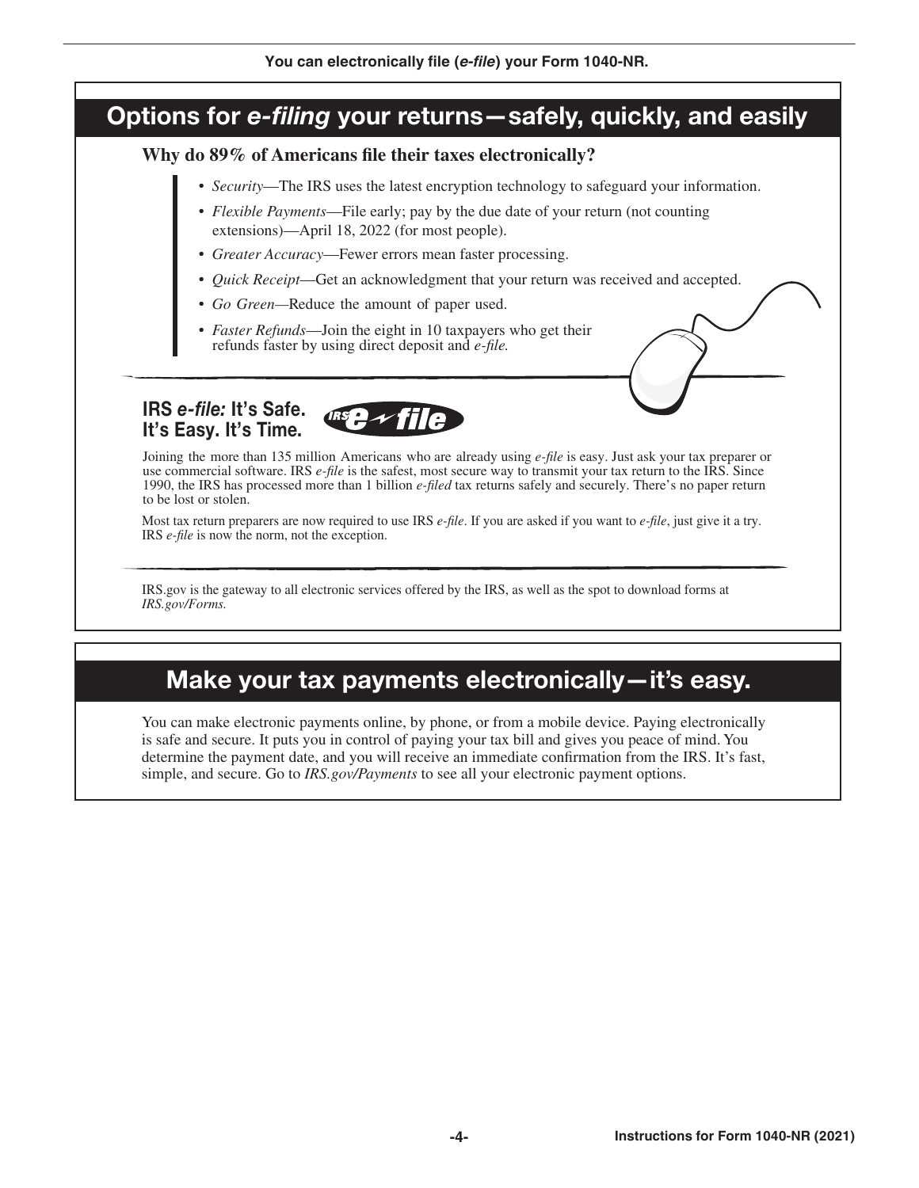# Options for *e-filing* your returns—safely, quickly, and easily

### Why do 89% of Americans file their taxes electronically?

- *Security*—The IRS uses the latest encryption technology to safeguard your information.
- *Flexible Payments*—File early; pay by the due date of your return (not counting extensions)—April 18, 2022 (for most people).
- *Greater Accuracy*—Fewer errors mean faster processing.
- *Quick Receipt*—Get an acknowledgment that your return was received and accepted.
- *Go Green—*Reduce the amount of paper used.
- *Faster Refunds*—Join the eight in 10 taxpayers who get their refunds faster by using direct deposit and *e-le.*

### IRS *e-file:* It's Safe. It's Easy. It's Time.

Joining the more than 135 million Americans who are already using *e-le* is easy. Just ask your tax preparer or use commercial software. IRS *e-file* is the safest, most secure way to transmit your tax return to the IRS. Since 1990, the IRS has processed more than 1 billion *e-led* tax returns safely and securely. There's no paper return to be lost or stolen.

Most tax return preparers are now required to use IRS *e-file*. If you are asked if you want to *e-file*, just give it a try. IRS *e-file* is now the norm, not the exception.

IRS.gov is the gateway to all electronic services offered by the IRS, as well as the spot to download forms at *IRS.gov/Forms.*

# Make your tax payments electronically—it's easy.

You can make electronic payments online, by phone, or from a mobile device. Paying electronically is safe and secure. It puts you in control of paying your tax bill and gives you peace of mind. You determine the payment date, and you will receive an immediate confirmation from the IRS. It's fast, simple, and secure. Go to *IRS.gov/Payments* to see all your electronic payment options.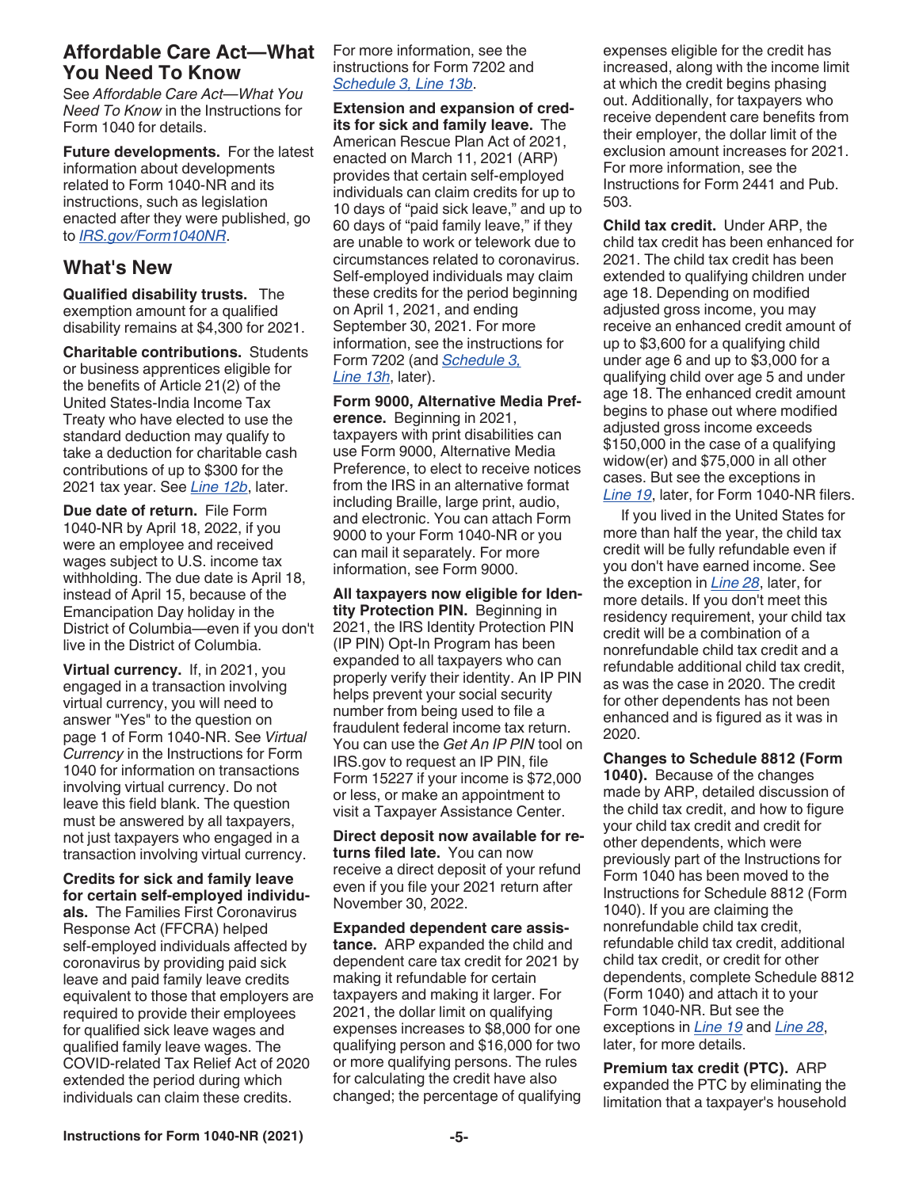### **Affordable Care Act—What You Need To Know**

See *Affordable Care Act—What You Need To Know* in the Instructions for Form 1040 for details.

**Future developments.** For the latest information about developments related to Form 1040-NR and its instructions, such as legislation enacted after they were published, go to *[IRS.gov/Form1040NR](https://www.irs.gov/form1040nr)*.

### **What's New**

**Qualified disability trusts.** The exemption amount for a qualified disability remains at \$4,300 for 2021.

**Charitable contributions.** Students or business apprentices eligible for the benefits of Article 21(2) of the United States-India Income Tax Treaty who have elected to use the standard deduction may qualify to take a deduction for charitable cash contributions of up to \$300 for the 2021 tax year. See *Line 12b*, later.

**Due date of return.** File Form 1040-NR by April 18, 2022, if you were an employee and received wages subject to U.S. income tax withholding. The due date is April 18, instead of April 15, because of the Emancipation Day holiday in the District of Columbia—even if you don't live in the District of Columbia.

**Virtual currency.** If, in 2021, you engaged in a transaction involving virtual currency, you will need to answer "Yes" to the question on page 1 of Form 1040-NR. See *Virtual Currency* in the Instructions for Form 1040 for information on transactions involving virtual currency. Do not leave this field blank. The question must be answered by all taxpayers, not just taxpayers who engaged in a transaction involving virtual currency.

**Credits for sick and family leave for certain self-employed individuals.** The Families First Coronavirus Response Act (FFCRA) helped self-employed individuals affected by coronavirus by providing paid sick leave and paid family leave credits equivalent to those that employers are required to provide their employees for qualified sick leave wages and qualified family leave wages. The COVID-related Tax Relief Act of 2020 extended the period during which individuals can claim these credits.

For more information, see the instructions for Form 7202 and *Schedule 3, Line 13b*.

**Extension and expansion of credits for sick and family leave.** The American Rescue Plan Act of 2021, enacted on March 11, 2021 (ARP) provides that certain self-employed individuals can claim credits for up to 10 days of "paid sick leave," and up to 60 days of "paid family leave," if they are unable to work or telework due to circumstances related to coronavirus. Self-employed individuals may claim these credits for the period beginning on April 1, 2021, and ending September 30, 2021. For more information, see the instructions for Form 7202 (and *Schedule 3, Line 13h*, later).

**Form 9000, Alternative Media Preference.** Beginning in 2021, taxpayers with print disabilities can use Form 9000, Alternative Media Preference, to elect to receive notices from the IRS in an alternative format including Braille, large print, audio, and electronic. You can attach Form 9000 to your Form 1040-NR or you can mail it separately. For more information, see Form 9000.

**All taxpayers now eligible for Identity Protection PIN.** Beginning in 2021, the IRS Identity Protection PIN (IP PIN) Opt-In Program has been expanded to all taxpayers who can properly verify their identity. An IP PIN helps prevent your social security number from being used to file a fraudulent federal income tax return. You can use the *Get An IP PIN* tool on IRS.gov to request an IP PIN, file Form 15227 if your income is \$72,000 or less, or make an appointment to visit a Taxpayer Assistance Center.

**Direct deposit now available for returns filed late.** You can now receive a direct deposit of your refund even if you file your 2021 return after November 30, 2022.

**Expanded dependent care assistance.** ARP expanded the child and dependent care tax credit for 2021 by making it refundable for certain taxpayers and making it larger. For 2021, the dollar limit on qualifying expenses increases to \$8,000 for one qualifying person and \$16,000 for two or more qualifying persons. The rules for calculating the credit have also changed; the percentage of qualifying expenses eligible for the credit has increased, along with the income limit at which the credit begins phasing out. Additionally, for taxpayers who receive dependent care benefits from their employer, the dollar limit of the exclusion amount increases for 2021. For more information, see the Instructions for Form 2441 and Pub. 503.

**Child tax credit.** Under ARP, the child tax credit has been enhanced for 2021. The child tax credit has been extended to qualifying children under age 18. Depending on modified adjusted gross income, you may receive an enhanced credit amount of up to \$3,600 for a qualifying child under age 6 and up to \$3,000 for a qualifying child over age 5 and under age 18. The enhanced credit amount begins to phase out where modified adjusted gross income exceeds \$150,000 in the case of a qualifying widow(er) and \$75,000 in all other cases. But see the exceptions in *Line 19*, later, for Form 1040-NR filers.

If you lived in the United States for more than half the year, the child tax credit will be fully refundable even if you don't have earned income. See the exception in *Line 28*, later, for more details. If you don't meet this residency requirement, your child tax credit will be a combination of a nonrefundable child tax credit and a refundable additional child tax credit, as was the case in 2020. The credit for other dependents has not been enhanced and is figured as it was in 2020.

**Changes to Schedule 8812 (Form 1040).** Because of the changes made by ARP, detailed discussion of the child tax credit, and how to figure your child tax credit and credit for other dependents, which were previously part of the Instructions for Form 1040 has been moved to the Instructions for Schedule 8812 (Form 1040). If you are claiming the nonrefundable child tax credit, refundable child tax credit, additional child tax credit, or credit for other dependents, complete Schedule 8812 (Form 1040) and attach it to your Form 1040-NR. But see the exceptions in *Line 19* and *Line 28*, later, for more details.

**Premium tax credit (PTC).** ARP expanded the PTC by eliminating the limitation that a taxpayer's household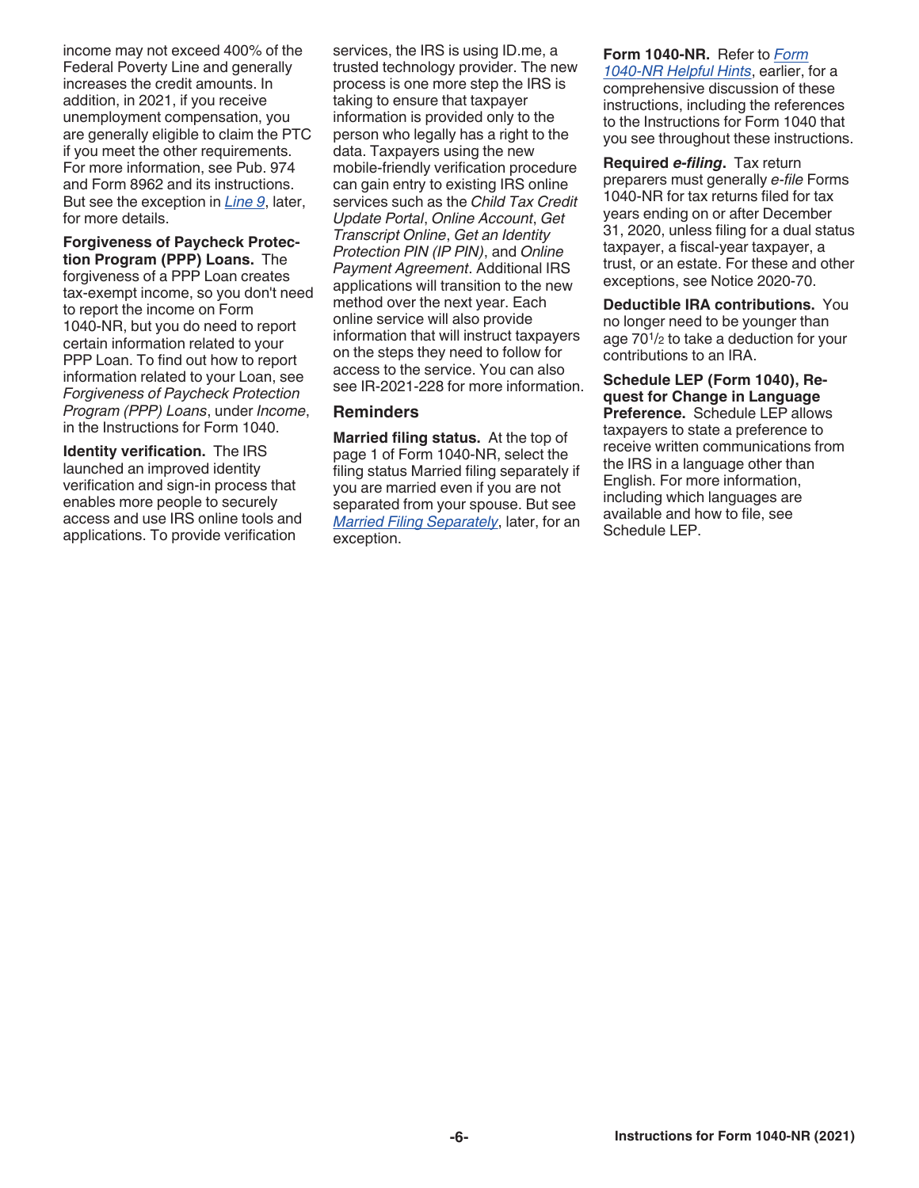income may not exceed 400% of the Federal Poverty Line and generally increases the credit amounts. In addition, in 2021, if you receive unemployment compensation, you are generally eligible to claim the PTC if you meet the other requirements. For more information, see Pub. 974 and Form 8962 and its instructions. But see the exception in *Line 9*, later, for more details.

**Forgiveness of Paycheck Protection Program (PPP) Loans.** The forgiveness of a PPP Loan creates tax-exempt income, so you don't need to report the income on Form 1040-NR, but you do need to report certain information related to your PPP Loan. To find out how to report information related to your Loan, see *Forgiveness of Paycheck Protection Program (PPP) Loans*, under *Income*, in the Instructions for Form 1040.

**Identity verification.** The IRS launched an improved identity verification and sign-in process that enables more people to securely access and use IRS online tools and applications. To provide verification

services, the IRS is using ID.me, a trusted technology provider. The new process is one more step the IRS is taking to ensure that taxpayer information is provided only to the person who legally has a right to the data. Taxpayers using the new mobile-friendly verification procedure can gain entry to existing IRS online services such as the *Child Tax Credit Update Portal*, *Online Account*, *Get Transcript Online*, *Get an Identity Protection PIN (IP PIN)*, and *Online Payment Agreement*. Additional IRS applications will transition to the new method over the next year. Each online service will also provide information that will instruct taxpayers on the steps they need to follow for access to the service. You can also see IR-2021-228 for more information.

### **Reminders**

**Married filing status.** At the top of page 1 of Form 1040-NR, select the filing status Married filing separately if you are married even if you are not separated from your spouse. But see *Married Filing Separately*, later, for an exception.

**Form 1040-NR.** Refer to *Form 1040-NR Helpful Hints*, earlier, for a comprehensive discussion of these instructions, including the references to the Instructions for Form 1040 that you see throughout these instructions.

**Required** *e-filing***.** Tax return preparers must generally *e-file* Forms 1040-NR for tax returns filed for tax years ending on or after December 31, 2020, unless filing for a dual status taxpayer, a fiscal-year taxpayer, a trust, or an estate. For these and other exceptions, see Notice 2020-70.

**Deductible IRA contributions.** You no longer need to be younger than age 701/2 to take a deduction for your contributions to an IRA.

**Schedule LEP (Form 1040), Request for Change in Language Preference.** Schedule LEP allows taxpayers to state a preference to receive written communications from the IRS in a language other than English. For more information, including which languages are available and how to file, see Schedule LEP.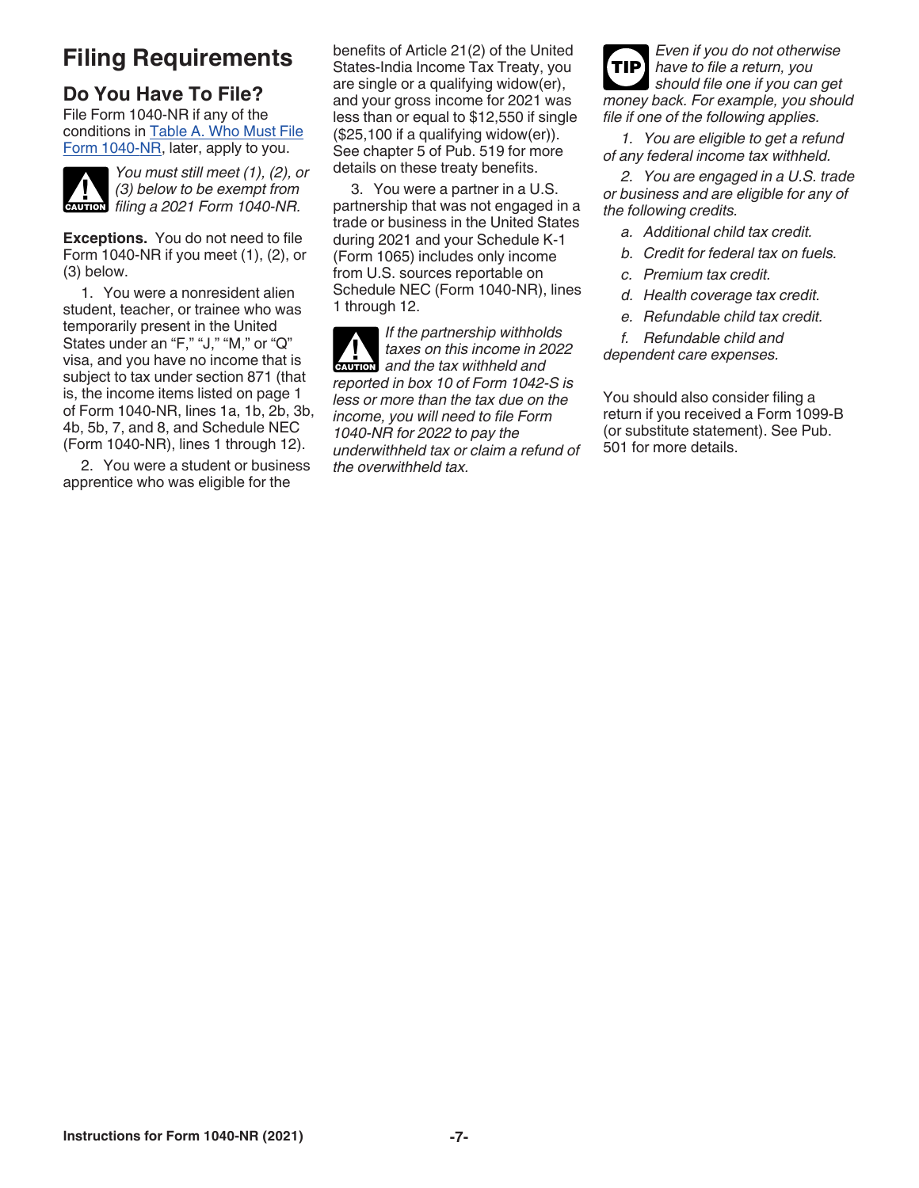# **Filing Requirements**

# **Do You Have To File?**

File Form 1040-NR if any of the conditions in Table A. Who Must File Form 1040-NR, later, apply to you.



*You must still meet (1), (2), or (3) below to be exempt from filing a 2021 Form 1040-NR.* 

**Exceptions.** You do not need to file Form 1040-NR if you meet (1), (2), or (3) below.

1. You were a nonresident alien student, teacher, or trainee who was temporarily present in the United States under an "F," "J," "M," or "Q" visa, and you have no income that is subject to tax under section 871 (that is, the income items listed on page 1 of Form 1040-NR, lines 1a, 1b, 2b, 3b, 4b, 5b, 7, and 8, and Schedule NEC (Form 1040-NR), lines 1 through 12).

2. You were a student or business apprentice who was eligible for the

benefits of Article 21(2) of the United States-India Income Tax Treaty, you are single or a qualifying widow(er), and your gross income for 2021 was less than or equal to \$12,550 if single (\$25,100 if a qualifying widow(er)). See chapter 5 of Pub. 519 for more details on these treaty benefits.

3. You were a partner in a U.S. partnership that was not engaged in a trade or business in the United States during 2021 and your Schedule K-1 (Form 1065) includes only income from U.S. sources reportable on Schedule NEC (Form 1040-NR), lines 1 through 12.

*If the partnership withholds taxes on this income in 2022*  **a**<br>*designation* and the tax withheld and *reported in box 10 of Form 1042-S is less or more than the tax due on the income, you will need to file Form 1040-NR for 2022 to pay the underwithheld tax or claim a refund of the overwithheld tax.*

*Even if you do not otherwise have to file a return, you should file one if you can get money back. For example, you should file if one of the following applies.* **TIP**

*1. You are eligible to get a refund of any federal income tax withheld.*

*2. You are engaged in a U.S. trade or business and are eligible for any of the following credits.*

- *a. Additional child tax credit.*
- *b. Credit for federal tax on fuels.*
- *c. Premium tax credit.*
- *d. Health coverage tax credit.*
- *e. Refundable child tax credit.*

*f. Refundable child and* 

*dependent care expenses.*

You should also consider filing a return if you received a Form 1099-B (or substitute statement). See Pub. 501 for more details.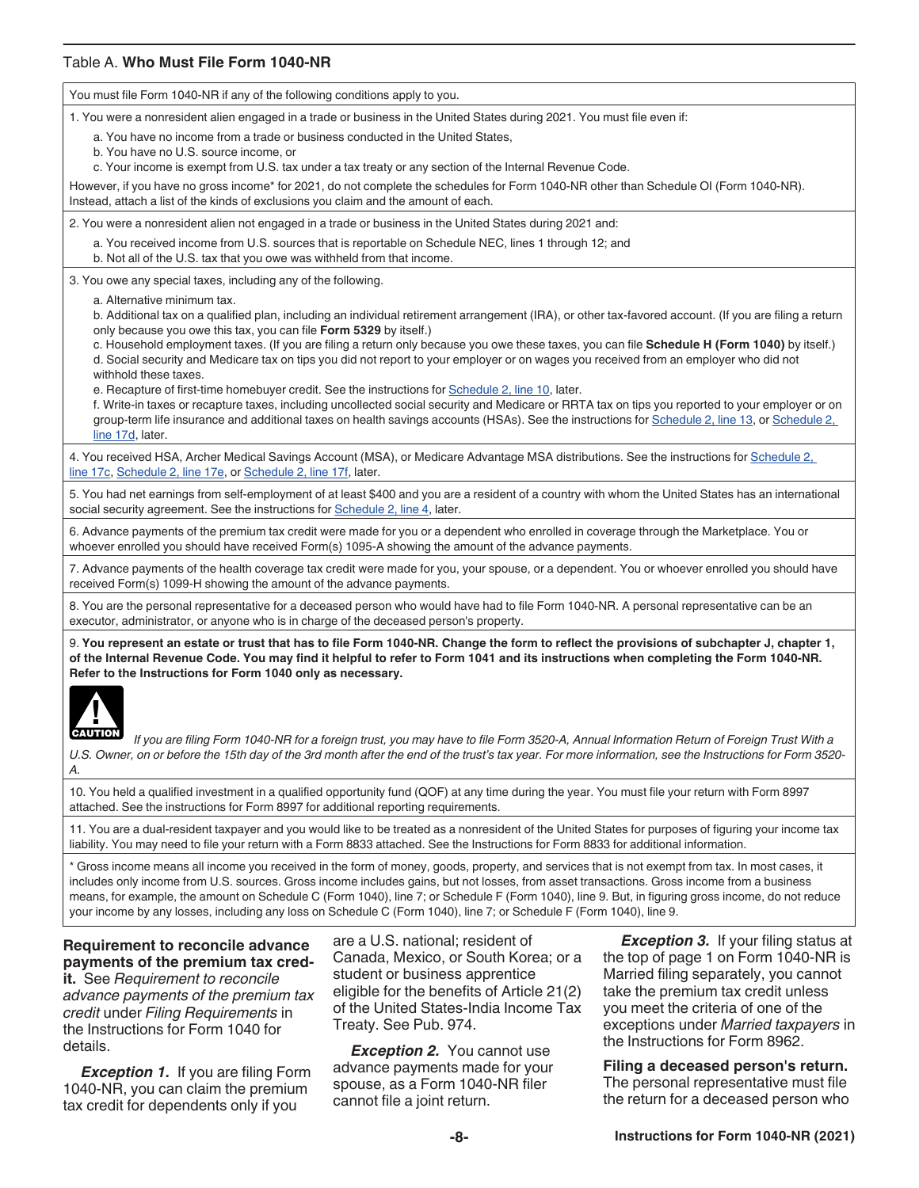### Table A. **Who Must File Form 1040-NR**

You must file Form 1040-NR if any of the following conditions apply to you. 1. You were a nonresident alien engaged in a trade or business in the United States during 2021. You must file even if: a. You have no income from a trade or business conducted in the United States, b. You have no U.S. source income, or c. Your income is exempt from U.S. tax under a tax treaty or any section of the Internal Revenue Code. However, if you have no gross income\* for 2021, do not complete the schedules for Form 1040-NR other than Schedule OI (Form 1040-NR). Instead, attach a list of the kinds of exclusions you claim and the amount of each. 2. You were a nonresident alien not engaged in a trade or business in the United States during 2021 and: a. You received income from U.S. sources that is reportable on Schedule NEC, lines 1 through 12; and b. Not all of the U.S. tax that you owe was withheld from that income. 3. You owe any special taxes, including any of the following. a. Alternative minimum tax. b. Additional tax on a qualified plan, including an individual retirement arrangement (IRA), or other tax-favored account. (If you are filing a return only because you owe this tax, you can file **Form 5329** by itself.) c. Household employment taxes. (If you are filing a return only because you owe these taxes, you can file **Schedule H (Form 1040)** by itself.) d. Social security and Medicare tax on tips you did not report to your employer or on wages you received from an employer who did not withhold these taxes. e. Recapture of first-time homebuyer credit. See the instructions for Schedule 2, line 10, later. f. Write-in taxes or recapture taxes, including uncollected social security and Medicare or RRTA tax on tips you reported to your employer or on group-term life insurance and additional taxes on health savings accounts (HSAs). See the instructions for Schedule 2, line 13, or Schedule 2, line 17d, later. 4. You received HSA, Archer Medical Savings Account (MSA), or Medicare Advantage MSA distributions. See the instructions for Schedule 2, line 17c, Schedule 2, line 17e, or Schedule 2, line 17f, later. 5. You had net earnings from self-employment of at least \$400 and you are a resident of a country with whom the United States has an international social security agreement. See the instructions for **Schedule 2**, line 4, later. 6. Advance payments of the premium tax credit were made for you or a dependent who enrolled in coverage through the Marketplace. You or whoever enrolled you should have received Form(s) 1095-A showing the amount of the advance payments. 7. Advance payments of the health coverage tax credit were made for you, your spouse, or a dependent. You or whoever enrolled you should have received Form(s) 1099-H showing the amount of the advance payments. 8. You are the personal representative for a deceased person who would have had to file Form 1040-NR. A personal representative can be an executor, administrator, or anyone who is in charge of the deceased person's property. 9. **You represent an estate or trust that has to file Form 1040-NR. Change the form to reflect the provisions of subchapter J, chapter 1, of the Internal Revenue Code. You may find it helpful to refer to Form 1041 and its instructions when completing the Form 1040-NR. Refer to the Instructions for Form 1040 only as necessary. AUTION** 

*If you are filing Form 1040-NR for a foreign trust, you may have to file Form 3520-A, Annual Information Return of Foreign Trust With a U.S. Owner, on or before the 15th day of the 3rd month after the end of the trust's tax year. For more information, see the Instructions for Form 3520- A.*

10. You held a qualified investment in a qualified opportunity fund (QOF) at any time during the year. You must file your return with Form 8997 attached. See the instructions for Form 8997 for additional reporting requirements.

11. You are a dual-resident taxpayer and you would like to be treated as a nonresident of the United States for purposes of figuring your income tax liability. You may need to file your return with a Form 8833 attached. See the Instructions for Form 8833 for additional information.

\* Gross income means all income you received in the form of money, goods, property, and services that is not exempt from tax. In most cases, it includes only income from U.S. sources. Gross income includes gains, but not losses, from asset transactions. Gross income from a business means, for example, the amount on Schedule C (Form 1040), line 7; or Schedule F (Form 1040), line 9. But, in figuring gross income, do not reduce your income by any losses, including any loss on Schedule C (Form 1040), line 7; or Schedule F (Form 1040), line 9.

### **Requirement to reconcile advance payments of the premium tax cred-**

**it.** See *Requirement to reconcile advance payments of the premium tax credit* under *Filing Requirements* in the Instructions for Form 1040 for details.

*Exception 1.* If you are filing Form 1040-NR, you can claim the premium tax credit for dependents only if you

are a U.S. national; resident of Canada, Mexico, or South Korea; or a student or business apprentice eligible for the benefits of Article 21(2) of the United States-India Income Tax Treaty. See Pub. 974.

**Exception 2.** You cannot use advance payments made for your spouse, as a Form 1040-NR filer cannot file a joint return.

**Exception 3.** If your filing status at the top of page 1 on Form 1040-NR is Married filing separately, you cannot take the premium tax credit unless you meet the criteria of one of the exceptions under *Married taxpayers* in the Instructions for Form 8962.

**Filing a deceased person's return.** The personal representative must file the return for a deceased person who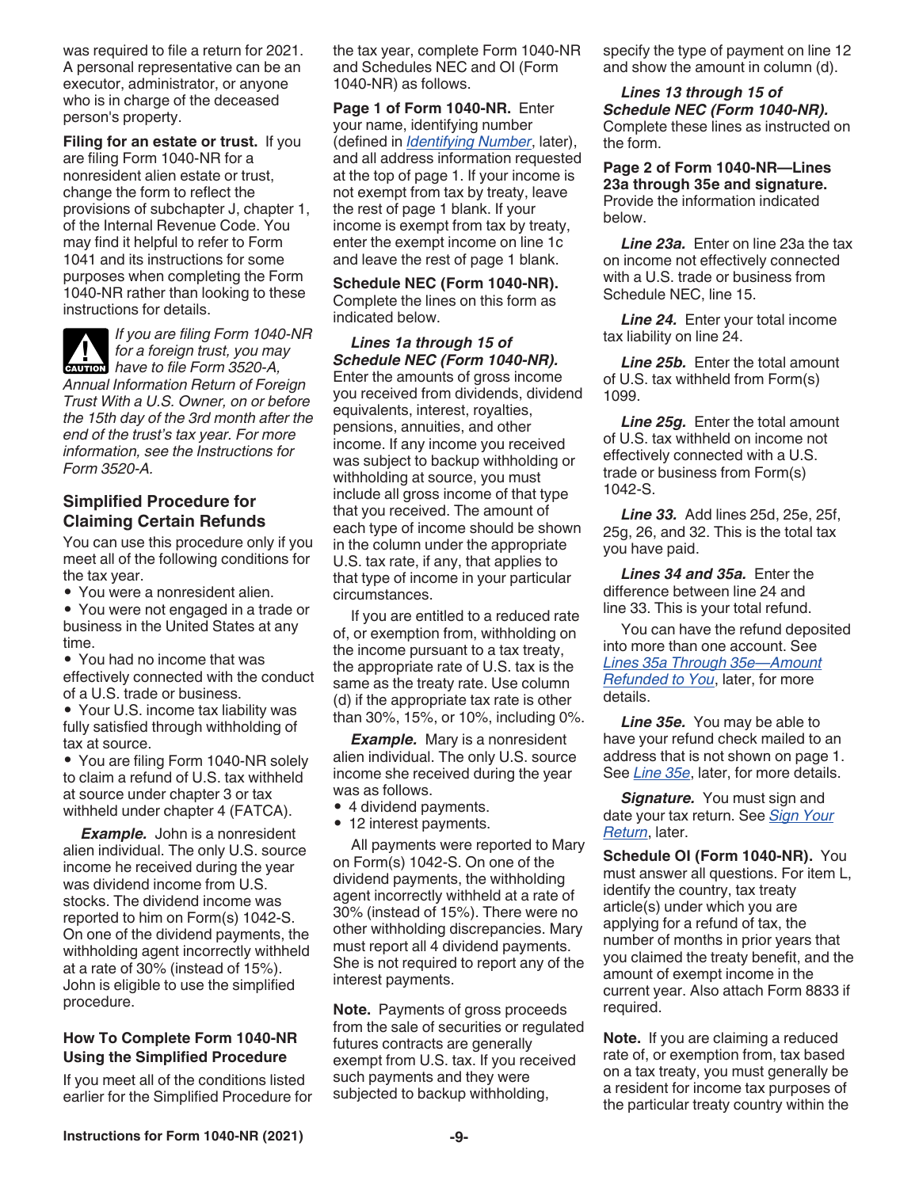was required to file a return for 2021. A personal representative can be an executor, administrator, or anyone who is in charge of the deceased person's property.

**Filing for an estate or trust.** If you are filing Form 1040-NR for a nonresident alien estate or trust, change the form to reflect the provisions of subchapter J, chapter 1, of the Internal Revenue Code. You may find it helpful to refer to Form 1041 and its instructions for some purposes when completing the Form 1040-NR rather than looking to these instructions for details.



*If you are filing Form 1040-NR for a foreign trust, you may have to file Form 3520-A,* 

*Annual Information Return of Foreign Trust With a U.S. Owner, on or before the 15th day of the 3rd month after the end of the trust's tax year. For more information, see the Instructions for Form 3520-A.*

### **Simplified Procedure for Claiming Certain Refunds**

You can use this procedure only if you meet all of the following conditions for the tax year.

• You were a nonresident alien.

• You were not engaged in a trade or business in the United States at any time.

• You had no income that was effectively connected with the conduct of a U.S. trade or business.

• Your U.S. income tax liability was fully satisfied through withholding of tax at source.

• You are filing Form 1040-NR solely to claim a refund of U.S. tax withheld at source under chapter 3 or tax withheld under chapter 4 (FATCA).

**Example.** John is a nonresident alien individual. The only U.S. source income he received during the year was dividend income from U.S. stocks. The dividend income was reported to him on Form(s) 1042-S. On one of the dividend payments, the withholding agent incorrectly withheld at a rate of 30% (instead of 15%). John is eligible to use the simplified procedure.

### **How To Complete Form 1040-NR Using the Simplified Procedure**

If you meet all of the conditions listed earlier for the Simplified Procedure for the tax year, complete Form 1040-NR and Schedules NEC and OI (Form 1040-NR) as follows.

**Page 1 of Form 1040-NR.** Enter your name, identifying number (defined in *Identifying Number*, later), and all address information requested at the top of page 1. If your income is not exempt from tax by treaty, leave the rest of page 1 blank. If your income is exempt from tax by treaty, enter the exempt income on line 1c and leave the rest of page 1 blank.

**Schedule NEC (Form 1040-NR).**  Complete the lines on this form as indicated below.

*Lines 1a through 15 of Schedule NEC (Form 1040-NR).*  Enter the amounts of gross income you received from dividends, dividend equivalents, interest, royalties, pensions, annuities, and other income. If any income you received was subject to backup withholding or withholding at source, you must include all gross income of that type that you received. The amount of each type of income should be shown in the column under the appropriate U.S. tax rate, if any, that applies to that type of income in your particular circumstances.

If you are entitled to a reduced rate of, or exemption from, withholding on the income pursuant to a tax treaty, the appropriate rate of U.S. tax is the same as the treaty rate. Use column (d) if the appropriate tax rate is other than 30%, 15%, or 10%, including 0%.

*Example.* Mary is a nonresident alien individual. The only U.S. source income she received during the year was as follows.

- 4 dividend payments.
- 12 interest payments.

All payments were reported to Mary on Form(s) 1042-S. On one of the dividend payments, the withholding agent incorrectly withheld at a rate of 30% (instead of 15%). There were no other withholding discrepancies. Mary must report all 4 dividend payments. She is not required to report any of the interest payments.

**Note.** Payments of gross proceeds from the sale of securities or regulated futures contracts are generally exempt from U.S. tax. If you received such payments and they were subjected to backup withholding,

specify the type of payment on line 12 and show the amount in column (d).

*Lines 13 through 15 of Schedule NEC (Form 1040-NR).*  Complete these lines as instructed on the form.

**Page 2 of Form 1040-NR—Lines 23a through 35e and signature.**  Provide the information indicated below.

*Line 23a.* Enter on line 23a the tax on income not effectively connected with a U.S. trade or business from Schedule NEC, line 15.

*Line 24.* Enter your total income tax liability on line 24.

*Line 25b.* Enter the total amount of U.S. tax withheld from Form(s) 1099.

*Line 25g.* Enter the total amount of U.S. tax withheld on income not effectively connected with a U.S. trade or business from Form(s) 1042-S.

*Line 33.* Add lines 25d, 25e, 25f, 25g, 26, and 32. This is the total tax you have paid.

*Lines 34 and 35a.* Enter the difference between line 24 and line 33. This is your total refund.

You can have the refund deposited into more than one account. See *Lines 35a Through 35e—Amount Refunded to You*, later, for more details.

*Line 35e.* You may be able to have your refund check mailed to an address that is not shown on page 1. See *Line 35e*, later, for more details.

**Signature.** You must sign and date your tax return. See *Sign Your Return*, later.

**Schedule OI (Form 1040-NR).** You must answer all questions. For item L, identify the country, tax treaty article(s) under which you are applying for a refund of tax, the number of months in prior years that you claimed the treaty benefit, and the amount of exempt income in the current year. Also attach Form 8833 if required.

**Note.** If you are claiming a reduced rate of, or exemption from, tax based on a tax treaty, you must generally be a resident for income tax purposes of the particular treaty country within the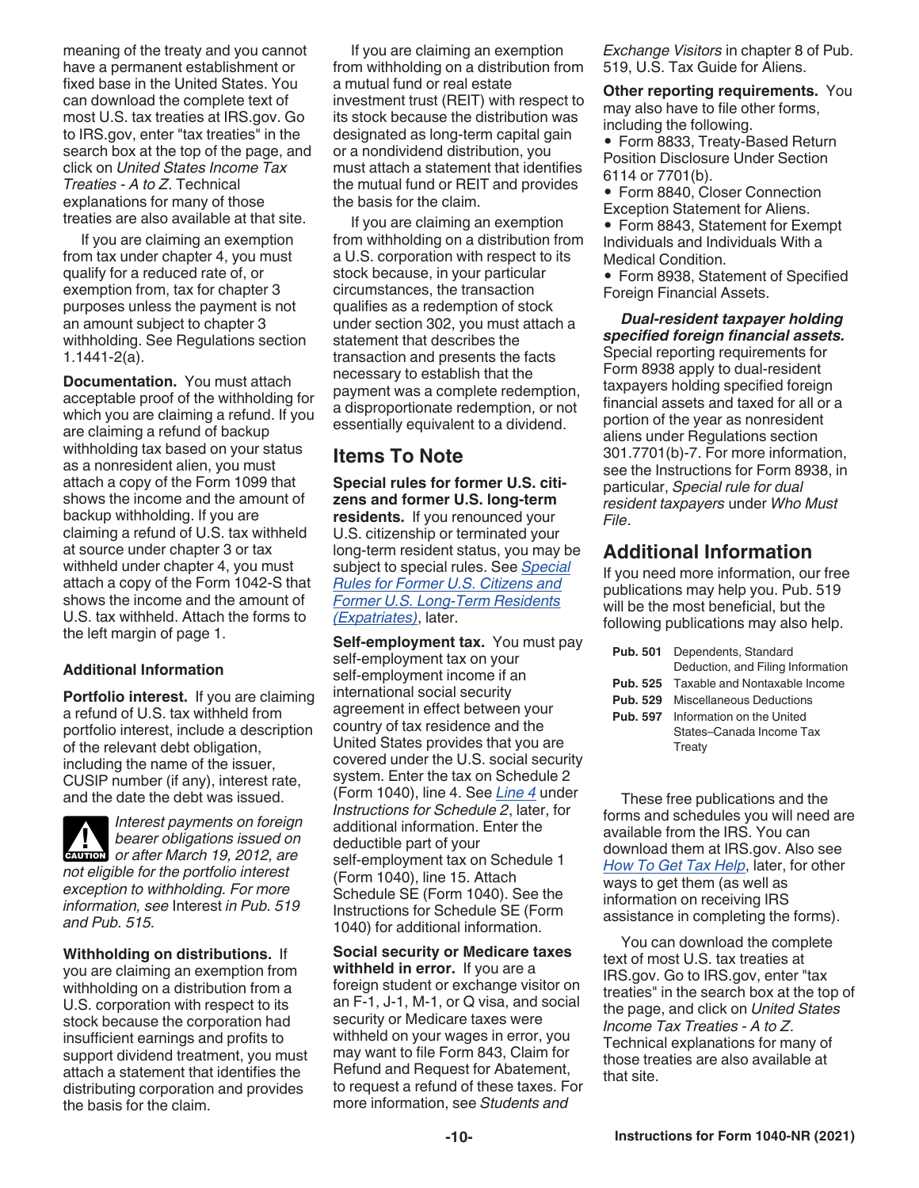meaning of the treaty and you cannot have a permanent establishment or fixed base in the United States. You can download the complete text of most U.S. tax treaties at IRS.gov. Go to IRS.gov, enter "tax treaties" in the search box at the top of the page, and click on *United States Income Tax Treaties - A to Z*. Technical explanations for many of those treaties are also available at that site.

If you are claiming an exemption from tax under chapter 4, you must qualify for a reduced rate of, or exemption from, tax for chapter 3 purposes unless the payment is not an amount subject to chapter 3 withholding. See Regulations section 1.1441-2(a).

**Documentation.** You must attach acceptable proof of the withholding for which you are claiming a refund. If you are claiming a refund of backup withholding tax based on your status as a nonresident alien, you must attach a copy of the Form 1099 that shows the income and the amount of backup withholding. If you are claiming a refund of U.S. tax withheld at source under chapter 3 or tax withheld under chapter 4, you must attach a copy of the Form 1042-S that shows the income and the amount of U.S. tax withheld. Attach the forms to the left margin of page 1.

### **Additional Information**

**Portfolio interest.** If you are claiming a refund of U.S. tax withheld from portfolio interest, include a description of the relevant debt obligation, including the name of the issuer, CUSIP number (if any), interest rate, and the date the debt was issued.

*Interest payments on foreign bearer obligations issued on*  **bearer obligations issued on**<br>
or after March 19, 2012, are *not eligible for the portfolio interest exception to withholding. For more information, see* Interest *in Pub. 519 and Pub. 515.*

**Withholding on distributions.** If you are claiming an exemption from withholding on a distribution from a U.S. corporation with respect to its stock because the corporation had insufficient earnings and profits to support dividend treatment, you must attach a statement that identifies the distributing corporation and provides the basis for the claim.

If you are claiming an exemption from withholding on a distribution from a mutual fund or real estate investment trust (REIT) with respect to its stock because the distribution was designated as long-term capital gain or a nondividend distribution, you must attach a statement that identifies the mutual fund or REIT and provides the basis for the claim.

If you are claiming an exemption from withholding on a distribution from a U.S. corporation with respect to its stock because, in your particular circumstances, the transaction qualifies as a redemption of stock under section 302, you must attach a statement that describes the transaction and presents the facts necessary to establish that the payment was a complete redemption, a disproportionate redemption, or not essentially equivalent to a dividend.

### **Items To Note**

**Special rules for former U.S. citizens and former U.S. long-term residents.** If you renounced your U.S. citizenship or terminated your long-term resident status, you may be subject to special rules. See *Special Rules for Former U.S. Citizens and Former U.S. Long-Term Residents (Expatriates)*, later.

**Self-employment tax.** You must pay self-employment tax on your self-employment income if an international social security agreement in effect between your country of tax residence and the United States provides that you are covered under the U.S. social security system. Enter the tax on Schedule 2 (Form 1040), line 4. See *Line 4* under *Instructions for Schedule 2*, later, for additional information. Enter the deductible part of your self-employment tax on Schedule 1 (Form 1040), line 15. Attach Schedule SE (Form 1040). See the Instructions for Schedule SE (Form 1040) for additional information.

**Social security or Medicare taxes withheld in error.** If you are a foreign student or exchange visitor on an F-1, J-1, M-1, or Q visa, and social security or Medicare taxes were withheld on your wages in error, you may want to file Form 843, Claim for Refund and Request for Abatement, to request a refund of these taxes. For more information, see *Students and* 

*Exchange Visitors* in chapter 8 of Pub. 519, U.S. Tax Guide for Aliens.

**Other reporting requirements.** You may also have to file other forms, including the following.

• Form 8833, Treaty-Based Return Position Disclosure Under Section 6114 or 7701(b).

• Form 8840, Closer Connection Exception Statement for Aliens.

• Form 8843, Statement for Exempt Individuals and Individuals With a Medical Condition.

• Form 8938, Statement of Specified Foreign Financial Assets.

*Dual-resident taxpayer holding specified foreign financial assets.*  Special reporting requirements for Form 8938 apply to dual-resident taxpayers holding specified foreign financial assets and taxed for all or a portion of the year as nonresident aliens under Regulations section 301.7701(b)-7. For more information, see the Instructions for Form 8938, in particular, *Special rule for dual resident taxpayers* under *Who Must File*.

### **Additional Information**

If you need more information, our free publications may help you. Pub. 519 will be the most beneficial, but the following publications may also help.

| <b>Pub. 501</b> Dependents, Standard<br>Deduction, and Filing Information |
|---------------------------------------------------------------------------|
| <b>Pub. 525</b> Taxable and Nontaxable Income                             |
| <b>Pub. 529</b> Miscellaneous Deductions                                  |
| <b>Pub. 597</b> Information on the United                                 |
| States-Canada Income Tax                                                  |
| Treatv                                                                    |

These free publications and the forms and schedules you will need are available from the IRS. You can download them at IRS.gov. Also see *How To Get Tax Help*, later, for other ways to get them (as well as information on receiving IRS assistance in completing the forms).

You can download the complete text of most U.S. tax treaties at IRS.gov. Go to IRS.gov, enter "tax treaties" in the search box at the top of the page, and click on *United States Income Tax Treaties - A to Z*. Technical explanations for many of those treaties are also available at that site.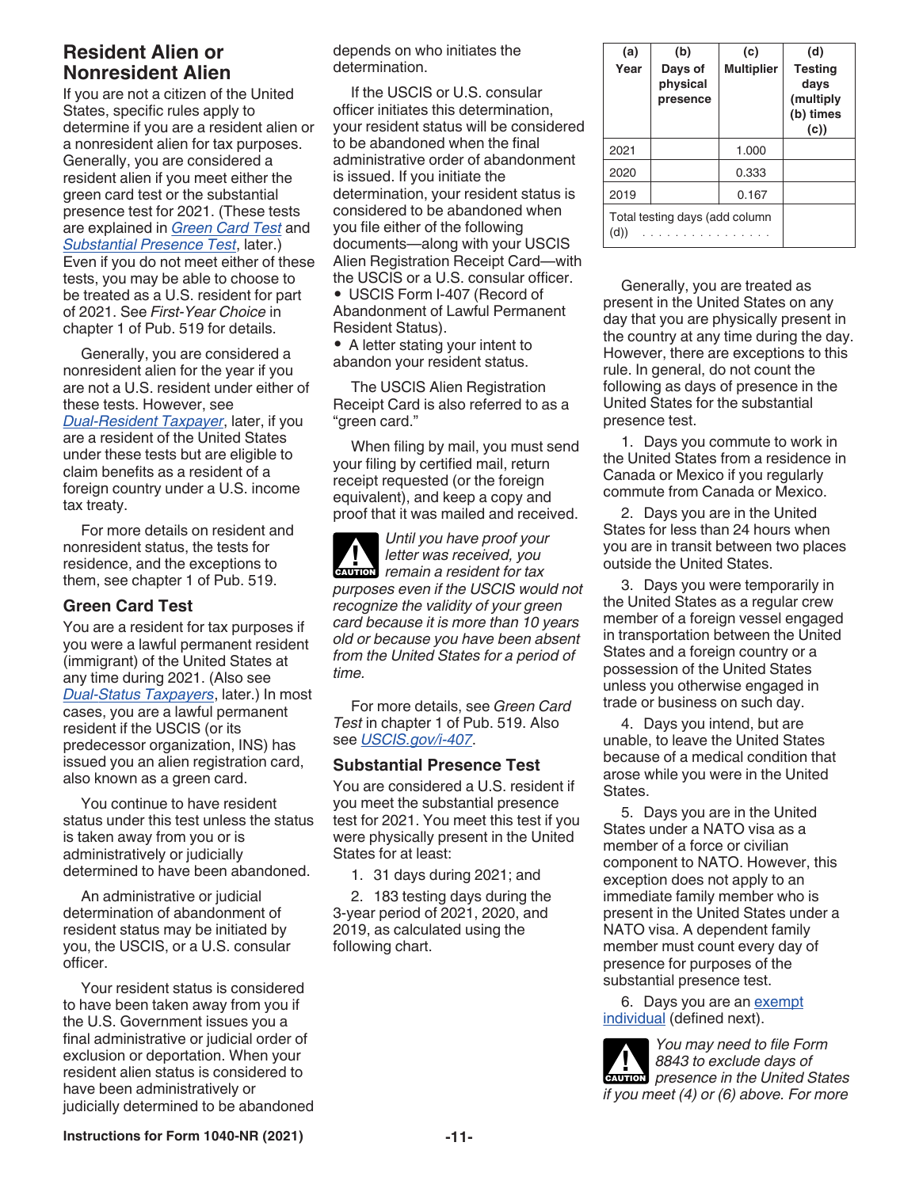# **Resident Alien or Nonresident Alien**

If you are not a citizen of the United States, specific rules apply to determine if you are a resident alien or a nonresident alien for tax purposes. Generally, you are considered a resident alien if you meet either the green card test or the substantial presence test for 2021. (These tests are explained in *Green Card Test* and *Substantial Presence Test*, later.) Even if you do not meet either of these tests, you may be able to choose to be treated as a U.S. resident for part of 2021. See *First-Year Choice* in chapter 1 of Pub. 519 for details.

Generally, you are considered a nonresident alien for the year if you are not a U.S. resident under either of these tests. However, see *Dual-Resident Taxpayer*, later, if you are a resident of the United States under these tests but are eligible to claim benefits as a resident of a foreign country under a U.S. income tax treaty.

For more details on resident and nonresident status, the tests for residence, and the exceptions to them, see chapter 1 of Pub. 519.

### **Green Card Test**

You are a resident for tax purposes if you were a lawful permanent resident (immigrant) of the United States at any time during 2021. (Also see *Dual-Status Taxpayers*, later.) In most cases, you are a lawful permanent resident if the USCIS (or its predecessor organization, INS) has issued you an alien registration card, also known as a green card.

You continue to have resident status under this test unless the status is taken away from you or is administratively or judicially determined to have been abandoned.

An administrative or judicial determination of abandonment of resident status may be initiated by you, the USCIS, or a U.S. consular officer.

Your resident status is considered to have been taken away from you if the U.S. Government issues you a final administrative or judicial order of exclusion or deportation. When your resident alien status is considered to have been administratively or judicially determined to be abandoned depends on who initiates the determination.

If the USCIS or U.S. consular officer initiates this determination, your resident status will be considered to be abandoned when the final administrative order of abandonment is issued. If you initiate the determination, your resident status is considered to be abandoned when you file either of the following documents—along with your USCIS Alien Registration Receipt Card—with the USCIS or a U.S. consular officer.

• USCIS Form I-407 (Record of Abandonment of Lawful Permanent Resident Status).

• A letter stating your intent to abandon your resident status.

The USCIS Alien Registration Receipt Card is also referred to as a "green card."

When filing by mail, you must send your filing by certified mail, return receipt requested (or the foreign equivalent), and keep a copy and proof that it was mailed and received.

*Until you have proof your letter was received, you Preference ived, you*<br>*Premain a resident for tax purposes even if the USCIS would not recognize the validity of your green card because it is more than 10 years old or because you have been absent from the United States for a period of time.*

For more details, see *Green Card Test* in chapter 1 of Pub. 519. Also see *[USCIS.gov/i-407](https://www.uscis.gov/i-407)*.

### **Substantial Presence Test**

You are considered a U.S. resident if you meet the substantial presence test for 2021. You meet this test if you were physically present in the United States for at least:

1. 31 days during 2021; and

2. 183 testing days during the 3-year period of 2021, 2020, and 2019, as calculated using the following chart.

| (a)<br>Year | (b)<br>Days of<br>physical<br>presence | (c)<br><b>Multiplier</b> | (d)<br><b>Testing</b><br>days<br>(multiply<br>(b) times<br>(c) |
|-------------|----------------------------------------|--------------------------|----------------------------------------------------------------|
| 2021        |                                        | 1.000                    |                                                                |
| 2020        |                                        | 0.333                    |                                                                |
| 2019        |                                        | 0.167                    |                                                                |
| (d))        | Total testing days (add column         |                          |                                                                |

Generally, you are treated as present in the United States on any day that you are physically present in the country at any time during the day. However, there are exceptions to this rule. In general, do not count the following as days of presence in the United States for the substantial presence test.

1. Days you commute to work in the United States from a residence in Canada or Mexico if you regularly commute from Canada or Mexico.

2. Days you are in the United States for less than 24 hours when you are in transit between two places outside the United States.

3. Days you were temporarily in the United States as a regular crew member of a foreign vessel engaged in transportation between the United States and a foreign country or a possession of the United States unless you otherwise engaged in trade or business on such day.

4. Days you intend, but are unable, to leave the United States because of a medical condition that arose while you were in the United States.

5. Days you are in the United States under a NATO visa as a member of a force or civilian component to NATO. However, this exception does not apply to an immediate family member who is present in the United States under a NATO visa. A dependent family member must count every day of presence for purposes of the substantial presence test.

6. Days you are an exempt individual (defined next).

*You may need to file Form 8843 to exclude days of presence in the United States if you meet (4) or (6) above. For more* 

**Instructions for Form 1040-NR (2021) -11-**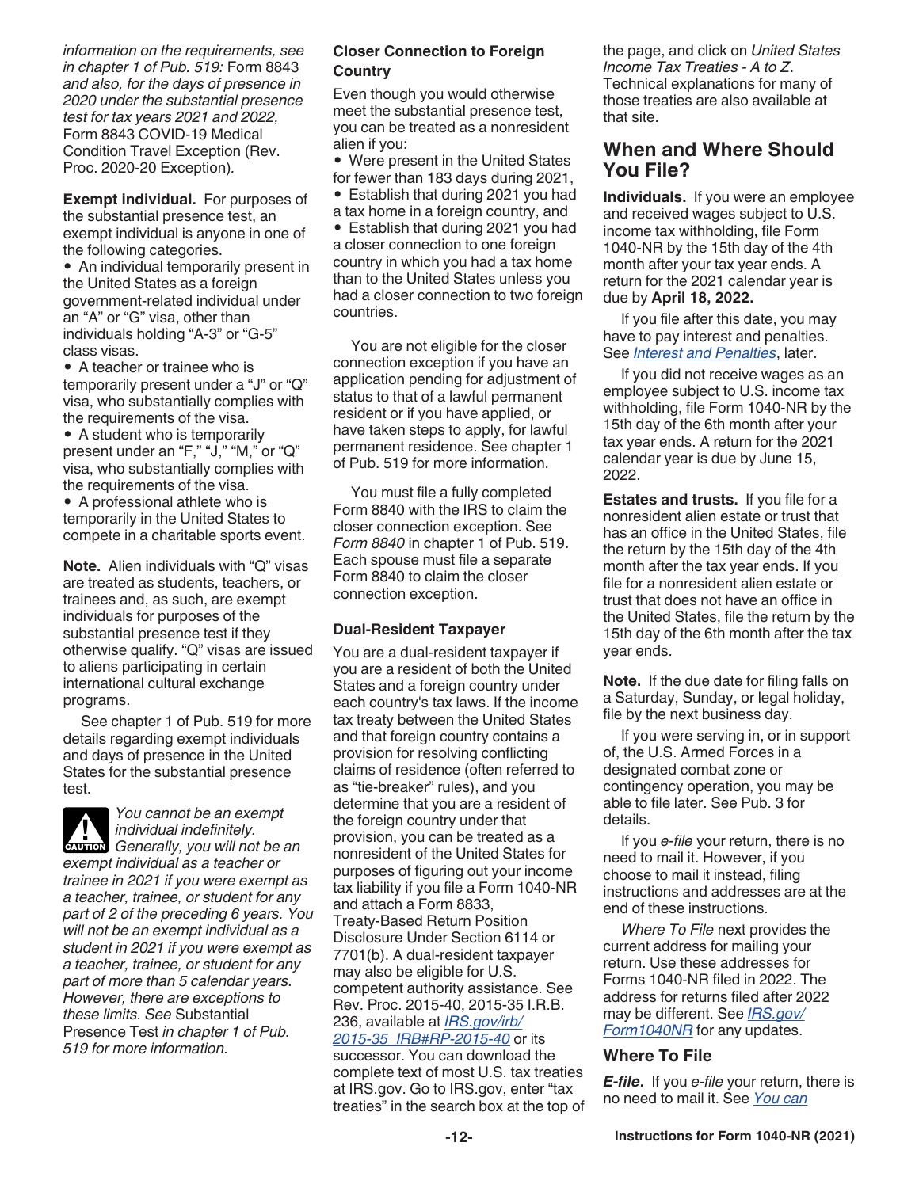*information on the requirements, see in chapter 1 of Pub. 519:* Form 8843 *and also, for the days of presence in 2020 under the substantial presence test for tax years 2021 and 2022,*  Form 8843 COVID-19 Medical Condition Travel Exception (Rev. Proc. 2020-20 Exception)*.*

**Exempt individual.** For purposes of the substantial presence test, an exempt individual is anyone in one of the following categories.

• An individual temporarily present in the United States as a foreign government-related individual under an "A" or "G" visa, other than individuals holding "A-3" or "G-5" class visas.

• A teacher or trainee who is temporarily present under a "J" or "Q" visa, who substantially complies with the requirements of the visa.

• A student who is temporarily present under an "F," "J," "M," or "Q" visa, who substantially complies with the requirements of the visa.

• A professional athlete who is temporarily in the United States to compete in a charitable sports event.

**Note.** Alien individuals with "Q" visas are treated as students, teachers, or trainees and, as such, are exempt individuals for purposes of the substantial presence test if they otherwise qualify. "Q" visas are issued to aliens participating in certain international cultural exchange programs.

See chapter 1 of Pub. 519 for more details regarding exempt individuals and days of presence in the United States for the substantial presence test.



*You cannot be an exempt individual indefinitely.* 

*GAUTION Generally, you will not be an CAUTION exempt individual as a teacher or trainee in 2021 if you were exempt as a teacher, trainee, or student for any part of 2 of the preceding 6 years. You will not be an exempt individual as a student in 2021 if you were exempt as a teacher, trainee, or student for any part of more than 5 calendar years. However, there are exceptions to these limits. See* Substantial Presence Test *in chapter 1 of Pub. 519 for more information.*

### **Closer Connection to Foreign Country**

Even though you would otherwise meet the substantial presence test, you can be treated as a nonresident alien if you:

• Were present in the United States for fewer than 183 days during 2021,

• Establish that during 2021 you had a tax home in a foreign country, and • Establish that during 2021 you had a closer connection to one foreign country in which you had a tax home than to the United States unless you had a closer connection to two foreign countries.

You are not eligible for the closer connection exception if you have an application pending for adjustment of status to that of a lawful permanent resident or if you have applied, or have taken steps to apply, for lawful permanent residence. See chapter 1 of Pub. 519 for more information.

You must file a fully completed Form 8840 with the IRS to claim the closer connection exception. See *Form 8840* in chapter 1 of Pub. 519. Each spouse must file a separate Form 8840 to claim the closer connection exception.

### **Dual-Resident Taxpayer**

You are a dual-resident taxpayer if you are a resident of both the United States and a foreign country under each country's tax laws. If the income tax treaty between the United States and that foreign country contains a provision for resolving conflicting claims of residence (often referred to as "tie-breaker" rules), and you determine that you are a resident of the foreign country under that provision, you can be treated as a nonresident of the United States for purposes of figuring out your income tax liability if you file a Form 1040-NR and attach a Form 8833, Treaty-Based Return Position Disclosure Under Section 6114 or 7701(b). A dual-resident taxpayer may also be eligible for U.S. competent authority assistance. See Rev. Proc. 2015-40, 2015-35 I.R.B. 236, available at *[IRS.gov/irb/](https://www.irs.gov/irb/2015-35_IRB#RP-2015-40) [2015-35\\_IRB#RP-2015-40](https://www.irs.gov/irb/2015-35_IRB#RP-2015-40)* or its

successor. You can download the complete text of most U.S. tax treaties at IRS.gov. Go to IRS.gov, enter "tax treaties" in the search box at the top of the page, and click on *United States Income Tax Treaties - A to Z*. Technical explanations for many of those treaties are also available at that site.

### **When and Where Should You File?**

**Individuals.** If you were an employee and received wages subject to U.S. income tax withholding, file Form 1040-NR by the 15th day of the 4th month after your tax year ends. A return for the 2021 calendar year is due by **April 18, 2022.**

If you file after this date, you may have to pay interest and penalties. See *Interest and Penalties*, later.

If you did not receive wages as an employee subject to U.S. income tax withholding, file Form 1040-NR by the 15th day of the 6th month after your tax year ends. A return for the 2021 calendar year is due by June 15, 2022.

**Estates and trusts.** If you file for a nonresident alien estate or trust that has an office in the United States, file the return by the 15th day of the 4th month after the tax year ends. If you file for a nonresident alien estate or trust that does not have an office in the United States, file the return by the 15th day of the 6th month after the tax year ends.

**Note.** If the due date for filing falls on a Saturday, Sunday, or legal holiday, file by the next business day.

If you were serving in, or in support of, the U.S. Armed Forces in a designated combat zone or contingency operation, you may be able to file later. See Pub. 3 for details.

If you *e-file* your return, there is no need to mail it. However, if you choose to mail it instead, filing instructions and addresses are at the end of these instructions.

*Where To File* next provides the current address for mailing your return. Use these addresses for Forms 1040-NR filed in 2022. The address for returns filed after 2022 may be different. See *[IRS.gov/](https://www.irs.gov/forms-pubs/about-form-1040-nr) [Form1040NR](https://www.irs.gov/forms-pubs/about-form-1040-nr)* for any updates.

### **Where To File**

*E-file***.** If you *e-file* your return, there is no need to mail it. See *You can*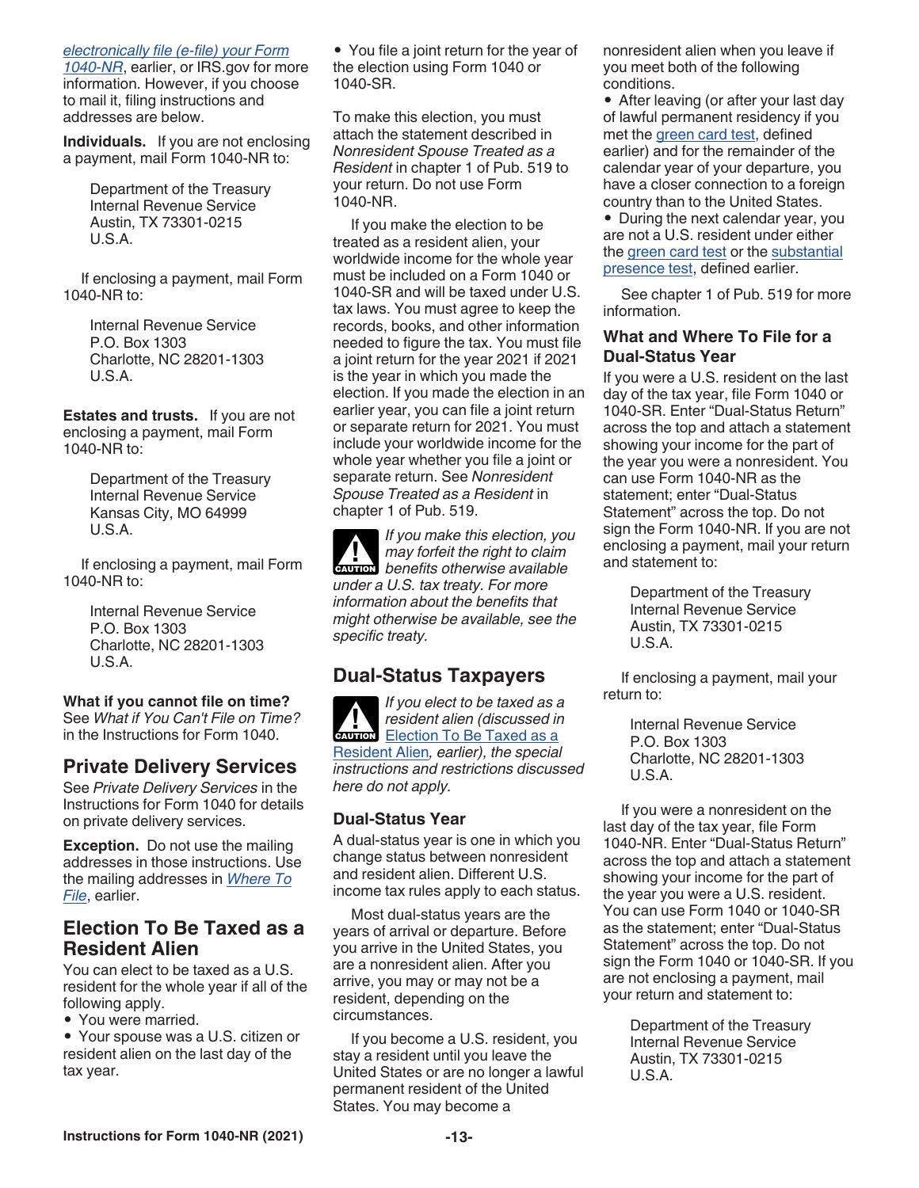### *electronically file (e-file) your Form*

*1040-NR*, earlier, or IRS.gov for more information. However, if you choose to mail it, filing instructions and addresses are below.

**Individuals.** If you are not enclosing a payment, mail Form 1040-NR to:

> Department of the Treasury Internal Revenue Service Austin, TX 73301-0215  $U.S.A$

If enclosing a payment, mail Form 1040-NR to:

> Internal Revenue Service P.O. Box 1303 Charlotte, NC 28201-1303 U.S.A.

**Estates and trusts.** If you are not enclosing a payment, mail Form 1040-NR to:

> Department of the Treasury Internal Revenue Service Kansas City, MO 64999 U.S.A.

If enclosing a payment, mail Form 1040-NR to:

> Internal Revenue Service P.O. Box 1303 Charlotte, NC 28201-1303 U.S.A.

### **What if you cannot file on time?**

See *What if You Can't File on Time?*  in the Instructions for Form 1040.

### **Private Delivery Services**

See *Private Delivery Services* in the Instructions for Form 1040 for details on private delivery services.

**Exception.** Do not use the mailing addresses in those instructions. Use the mailing addresses in *Where To File*, earlier.

### **Election To Be Taxed as a Resident Alien**

You can elect to be taxed as a U.S. resident for the whole year if all of the following apply.

• You were married.

• Your spouse was a U.S. citizen or resident alien on the last day of the tax year.

• You file a joint return for the year of the election using Form 1040 or 1040-SR.

To make this election, you must attach the statement described in *Nonresident Spouse Treated as a Resident* in chapter 1 of Pub. 519 to your return. Do not use Form 1040-NR.

If you make the election to be treated as a resident alien, your worldwide income for the whole year must be included on a Form 1040 or 1040-SR and will be taxed under U.S. tax laws. You must agree to keep the records, books, and other information needed to figure the tax. You must file a joint return for the year 2021 if 2021 is the year in which you made the election. If you made the election in an earlier year, you can file a joint return or separate return for 2021. You must include your worldwide income for the whole year whether you file a joint or separate return. See *Nonresident Spouse Treated as a Resident* in chapter 1 of Pub. 519.

*If you make this election, you may forfeit the right to claim*  **h**enefits otherwise available **counter** *under a U.S. tax treaty. For more information about the benefits that might otherwise be available, see the specific treaty.*

# **Dual-Status Taxpayers**

*If you elect to be taxed as a resident alien (discussed in*  **President alien (discussed in Election To Be Taxed as a** Resident Alien*, earlier), the special instructions and restrictions discussed here do not apply.*

### **Dual-Status Year**

A dual-status year is one in which you change status between nonresident and resident alien. Different U.S. income tax rules apply to each status.

Most dual-status years are the years of arrival or departure. Before you arrive in the United States, you are a nonresident alien. After you arrive, you may or may not be a resident, depending on the circumstances.

If you become a U.S. resident, you stay a resident until you leave the United States or are no longer a lawful permanent resident of the United States. You may become a

nonresident alien when you leave if you meet both of the following conditions.

• After leaving (or after your last day of lawful permanent residency if you met the green card test, defined earlier) and for the remainder of the calendar year of your departure, you have a closer connection to a foreign country than to the United States.

• During the next calendar year, you are not a U.S. resident under either the green card test or the substantial presence test, defined earlier.

See chapter 1 of Pub. 519 for more information.

### **What and Where To File for a Dual-Status Year**

If you were a U.S. resident on the last day of the tax year, file Form 1040 or 1040-SR. Enter "Dual-Status Return" across the top and attach a statement showing your income for the part of the year you were a nonresident. You can use Form 1040-NR as the statement; enter "Dual-Status Statement" across the top. Do not sign the Form 1040-NR. If you are not enclosing a payment, mail your return and statement to:

> Department of the Treasury Internal Revenue Service Austin, TX 73301-0215 U.S.A.

If enclosing a payment, mail your return to:

> Internal Revenue Service P.O. Box 1303 Charlotte, NC 28201-1303 U.S.A.

If you were a nonresident on the last day of the tax year, file Form 1040-NR. Enter "Dual-Status Return" across the top and attach a statement showing your income for the part of the year you were a U.S. resident. You can use Form 1040 or 1040-SR as the statement; enter "Dual-Status Statement" across the top. Do not sign the Form 1040 or 1040-SR. If you are not enclosing a payment, mail your return and statement to:

> Department of the Treasury Internal Revenue Service Austin, TX 73301-0215 U.S.A.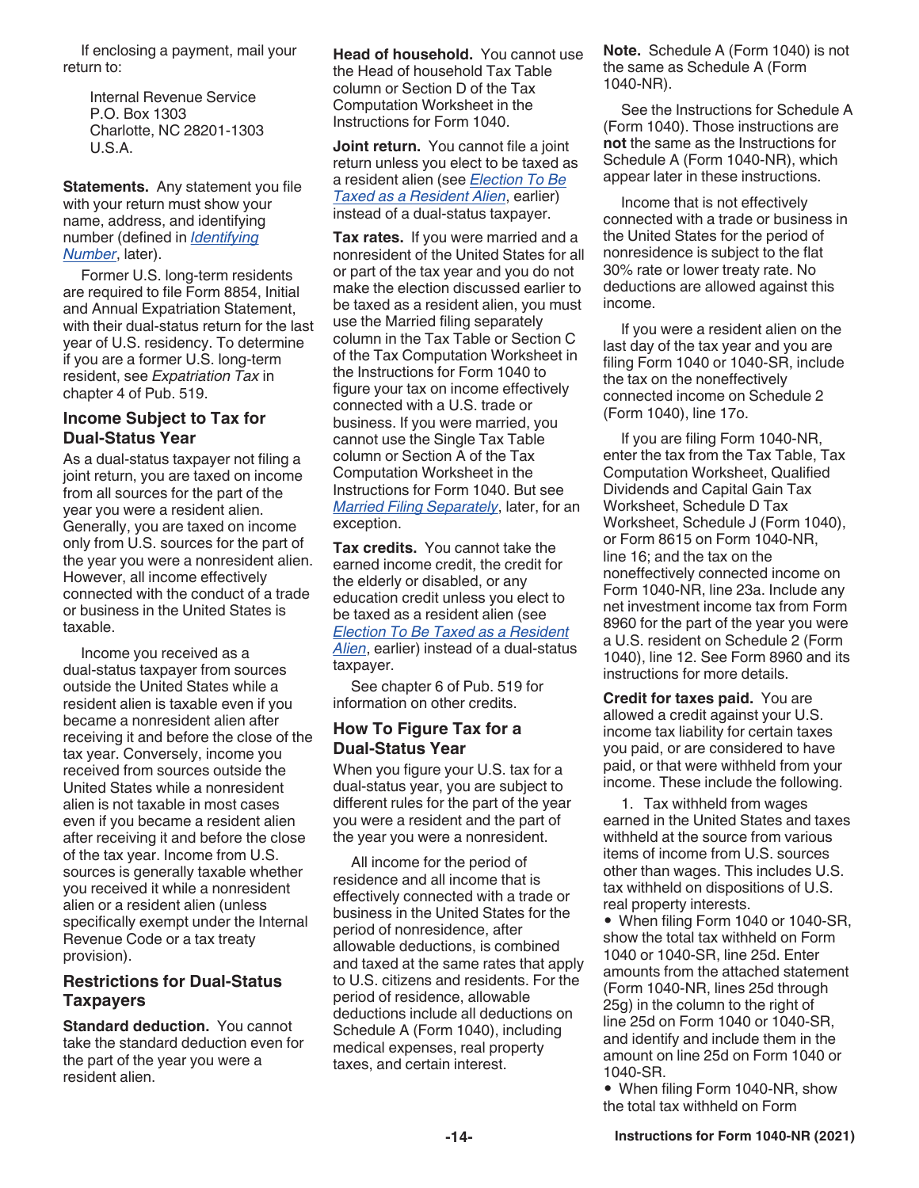If enclosing a payment, mail your return to:

> Internal Revenue Service P.O. Box 1303 Charlotte, NC 28201-1303 U.S.A.

**Statements.** Any statement you file with your return must show your name, address, and identifying number (defined in *Identifying Number*, later).

Former U.S. long-term residents are required to file Form 8854, Initial and Annual Expatriation Statement, with their dual-status return for the last year of U.S. residency. To determine if you are a former U.S. long-term resident, see *Expatriation Tax* in chapter 4 of Pub. 519.

### **Income Subject to Tax for Dual-Status Year**

As a dual-status taxpayer not filing a joint return, you are taxed on income from all sources for the part of the year you were a resident alien. Generally, you are taxed on income only from U.S. sources for the part of the year you were a nonresident alien. However, all income effectively connected with the conduct of a trade or business in the United States is taxable.

Income you received as a dual-status taxpayer from sources outside the United States while a resident alien is taxable even if you became a nonresident alien after receiving it and before the close of the tax year. Conversely, income you received from sources outside the United States while a nonresident alien is not taxable in most cases even if you became a resident alien after receiving it and before the close of the tax year. Income from U.S. sources is generally taxable whether you received it while a nonresident alien or a resident alien (unless specifically exempt under the Internal Revenue Code or a tax treaty provision).

### **Restrictions for Dual-Status Taxpayers**

**Standard deduction.** You cannot take the standard deduction even for the part of the year you were a resident alien.

**Head of household.** You cannot use the Head of household Tax Table column or Section D of the Tax Computation Worksheet in the Instructions for Form 1040.

**Joint return.** You cannot file a joint return unless you elect to be taxed as a resident alien (see *Election To Be Taxed as a Resident Alien*, earlier) instead of a dual-status taxpayer.

**Tax rates.** If you were married and a nonresident of the United States for all or part of the tax year and you do not make the election discussed earlier to be taxed as a resident alien, you must use the Married filing separately column in the Tax Table or Section C of the Tax Computation Worksheet in the Instructions for Form 1040 to figure your tax on income effectively connected with a U.S. trade or business. If you were married, you cannot use the Single Tax Table column or Section A of the Tax Computation Worksheet in the Instructions for Form 1040. But see *Married Filing Separately*, later, for an exception.

**Tax credits.** You cannot take the earned income credit, the credit for the elderly or disabled, or any education credit unless you elect to be taxed as a resident alien (see *Election To Be Taxed as a Resident Alien*, earlier) instead of a dual-status taxpayer.

See chapter 6 of Pub. 519 for information on other credits.

### **How To Figure Tax for a Dual-Status Year**

When you figure your U.S. tax for a dual-status year, you are subject to different rules for the part of the year you were a resident and the part of the year you were a nonresident.

All income for the period of residence and all income that is effectively connected with a trade or business in the United States for the period of nonresidence, after allowable deductions, is combined and taxed at the same rates that apply to U.S. citizens and residents. For the period of residence, allowable deductions include all deductions on Schedule A (Form 1040), including medical expenses, real property taxes, and certain interest.

**Note.** Schedule A (Form 1040) is not the same as Schedule A (Form 1040-NR).

See the Instructions for Schedule A (Form 1040). Those instructions are **not** the same as the Instructions for Schedule A (Form 1040-NR), which appear later in these instructions.

Income that is not effectively connected with a trade or business in the United States for the period of nonresidence is subject to the flat 30% rate or lower treaty rate. No deductions are allowed against this income.

If you were a resident alien on the last day of the tax year and you are filing Form 1040 or 1040-SR, include the tax on the noneffectively connected income on Schedule 2 (Form 1040), line 17o.

If you are filing Form 1040-NR, enter the tax from the Tax Table, Tax Computation Worksheet, Qualified Dividends and Capital Gain Tax Worksheet, Schedule D Tax Worksheet, Schedule J (Form 1040), or Form 8615 on Form 1040-NR, line 16; and the tax on the noneffectively connected income on Form 1040-NR, line 23a. Include any net investment income tax from Form 8960 for the part of the year you were a U.S. resident on Schedule 2 (Form 1040), line 12. See Form 8960 and its instructions for more details.

**Credit for taxes paid.** You are allowed a credit against your U.S. income tax liability for certain taxes you paid, or are considered to have paid, or that were withheld from your income. These include the following.

1. Tax withheld from wages earned in the United States and taxes withheld at the source from various items of income from U.S. sources other than wages. This includes U.S. tax withheld on dispositions of U.S. real property interests.

• When filing Form 1040 or 1040-SR, show the total tax withheld on Form 1040 or 1040-SR, line 25d. Enter amounts from the attached statement (Form 1040-NR, lines 25d through 25g) in the column to the right of line 25d on Form 1040 or 1040-SR, and identify and include them in the amount on line 25d on Form 1040 or 1040-SR.

• When filing Form 1040-NR, show the total tax withheld on Form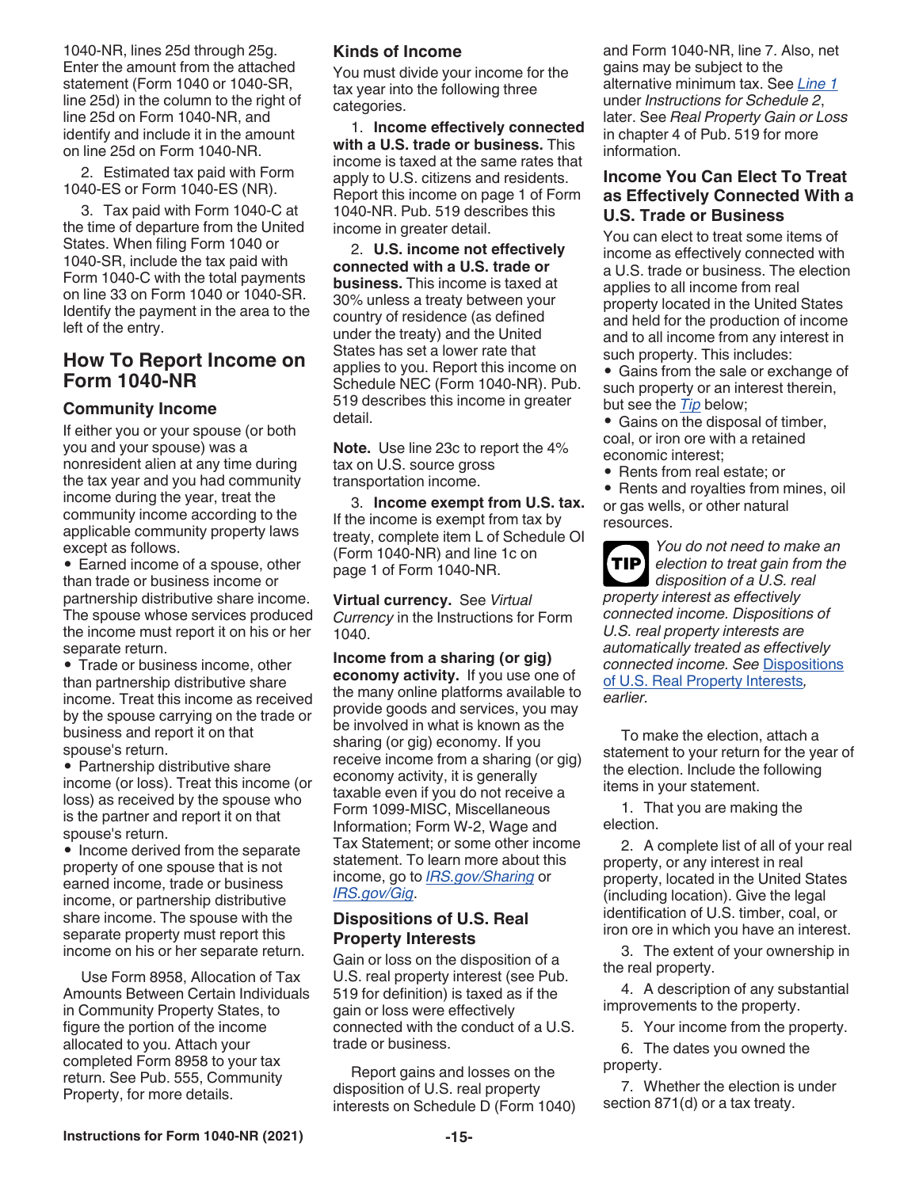1040-NR, lines 25d through 25g. Enter the amount from the attached statement (Form 1040 or 1040-SR, line 25d) in the column to the right of line 25d on Form 1040-NR, and identify and include it in the amount on line 25d on Form 1040-NR.

2. Estimated tax paid with Form 1040-ES or Form 1040-ES (NR).

3. Tax paid with Form 1040-C at the time of departure from the United States. When filing Form 1040 or 1040-SR, include the tax paid with Form 1040-C with the total payments on line 33 on Form 1040 or 1040-SR. Identify the payment in the area to the left of the entry.

### **How To Report Income on Form 1040-NR**

### **Community Income**

If either you or your spouse (or both you and your spouse) was a nonresident alien at any time during the tax year and you had community income during the year, treat the community income according to the applicable community property laws except as follows.

• Earned income of a spouse, other than trade or business income or partnership distributive share income. The spouse whose services produced the income must report it on his or her separate return.

• Trade or business income, other than partnership distributive share income. Treat this income as received by the spouse carrying on the trade or business and report it on that spouse's return.

• Partnership distributive share income (or loss). Treat this income (or loss) as received by the spouse who is the partner and report it on that spouse's return.

• Income derived from the separate property of one spouse that is not earned income, trade or business income, or partnership distributive share income. The spouse with the separate property must report this income on his or her separate return.

Use Form 8958, Allocation of Tax Amounts Between Certain Individuals in Community Property States, to figure the portion of the income allocated to you. Attach your completed Form 8958 to your tax return. See Pub. 555, Community Property, for more details.

### **Kinds of Income**

You must divide your income for the tax year into the following three categories.

1. **Income effectively connected with a U.S. trade or business.** This income is taxed at the same rates that apply to U.S. citizens and residents. Report this income on page 1 of Form 1040-NR. Pub. 519 describes this income in greater detail.

2. **U.S. income not effectively connected with a U.S. trade or business.** This income is taxed at 30% unless a treaty between your country of residence (as defined under the treaty) and the United States has set a lower rate that applies to you. Report this income on Schedule NEC (Form 1040-NR). Pub. 519 describes this income in greater detail.

**Note.** Use line 23c to report the 4% tax on U.S. source gross transportation income.

3. **Income exempt from U.S. tax.**  If the income is exempt from tax by treaty, complete item L of Schedule OI (Form 1040-NR) and line 1c on page 1 of Form 1040-NR.

**Virtual currency.** See *Virtual Currency* in the Instructions for Form 1040.

**Income from a sharing (or gig) economy activity.** If you use one of the many online platforms available to provide goods and services, you may be involved in what is known as the sharing (or gig) economy. If you receive income from a sharing (or gig) economy activity, it is generally taxable even if you do not receive a Form 1099-MISC, Miscellaneous Information; Form W-2, Wage and Tax Statement; or some other income statement. To learn more about this income, go to *[IRS.gov/Sharing](https://www.irs.gov/sharing)* or *[IRS.gov/Gig](https://www.irs.gov/businesses/gig-economy-tax-center)*.

### **Dispositions of U.S. Real Property Interests**

Gain or loss on the disposition of a U.S. real property interest (see Pub. 519 for definition) is taxed as if the gain or loss were effectively connected with the conduct of a U.S. trade or business.

Report gains and losses on the disposition of U.S. real property interests on Schedule D (Form 1040) and Form 1040-NR, line 7. Also, net gains may be subject to the alternative minimum tax. See *Line 1*  under *Instructions for Schedule 2*, later. See *Real Property Gain or Loss*  in chapter 4 of Pub. 519 for more information.

### **Income You Can Elect To Treat as Effectively Connected With a U.S. Trade or Business**

You can elect to treat some items of income as effectively connected with a U.S. trade or business. The election applies to all income from real property located in the United States and held for the production of income and to all income from any interest in such property. This includes:

• Gains from the sale or exchange of such property or an interest therein, but see the *Tip* below;

• Gains on the disposal of timber, coal, or iron ore with a retained economic interest;

• Rents from real estate; or

• Rents and royalties from mines, oil or gas wells, or other natural resources.

*You do not need to make an election to treat gain from the*  **TIP** *disposition of a U.S. real property interest as effectively connected income. Dispositions of U.S. real property interests are automatically treated as effectively connected income. See* Dispositions of U.S. Real Property Interests*, earlier.*

To make the election, attach a statement to your return for the year of the election. Include the following items in your statement.

1. That you are making the election.

2. A complete list of all of your real property, or any interest in real property, located in the United States (including location). Give the legal identification of U.S. timber, coal, or iron ore in which you have an interest.

3. The extent of your ownership in the real property.

4. A description of any substantial improvements to the property.

5. Your income from the property.

6. The dates you owned the property.

7. Whether the election is under section 871(d) or a tax treaty.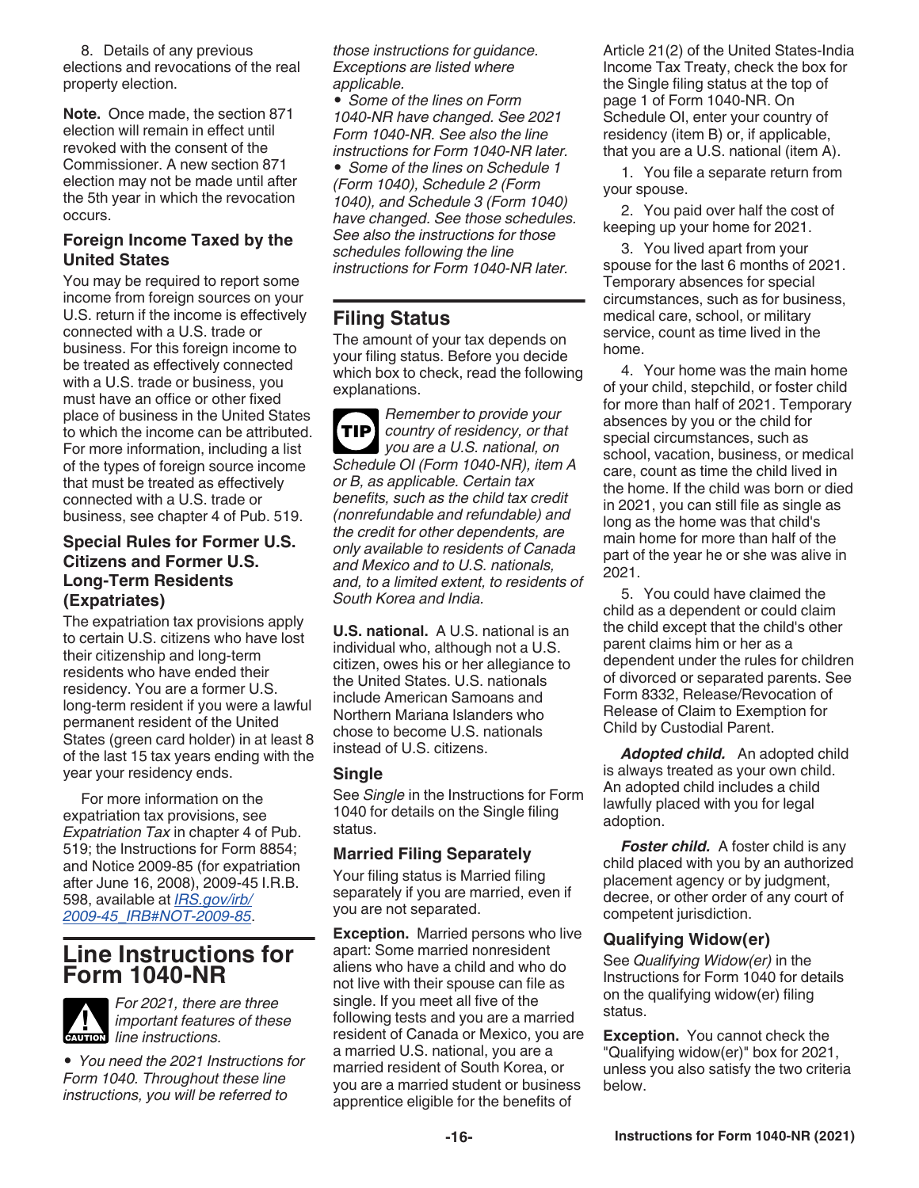8. Details of any previous elections and revocations of the real property election.

**Note.** Once made, the section 871 election will remain in effect until revoked with the consent of the Commissioner. A new section 871 election may not be made until after the 5th year in which the revocation occurs.

### **Foreign Income Taxed by the United States**

You may be required to report some income from foreign sources on your U.S. return if the income is effectively connected with a U.S. trade or business. For this foreign income to be treated as effectively connected with a U.S. trade or business, you must have an office or other fixed place of business in the United States to which the income can be attributed. For more information, including a list of the types of foreign source income that must be treated as effectively connected with a U.S. trade or business, see chapter 4 of Pub. 519.

### **Special Rules for Former U.S. Citizens and Former U.S. Long-Term Residents (Expatriates)**

The expatriation tax provisions apply to certain U.S. citizens who have lost their citizenship and long-term residents who have ended their residency. You are a former U.S. long-term resident if you were a lawful permanent resident of the United States (green card holder) in at least 8 of the last 15 tax years ending with the year your residency ends.

For more information on the expatriation tax provisions, see *Expatriation Tax* in chapter 4 of Pub. 519; the Instructions for Form 8854; and Notice 2009-85 (for expatriation after June 16, 2008), 2009-45 I.R.B. 598, available at *[IRS.gov/irb/](https://www.irs.gov/irb/2009-45_IRB#NOT-2009-85) [2009-45\\_IRB#NOT-2009-85](https://www.irs.gov/irb/2009-45_IRB#NOT-2009-85)*.

# **Line Instructions for Form 1040-NR**



*For 2021, there are three important features of these line instructions.* 

*• You need the 2021 Instructions for Form 1040. Throughout these line instructions, you will be referred to* 

*those instructions for guidance. Exceptions are listed where applicable.*

*• Some of the lines on Form 1040-NR have changed. See 2021 Form 1040-NR. See also the line instructions for Form 1040-NR later.*

*• Some of the lines on Schedule 1 (Form 1040), Schedule 2 (Form 1040), and Schedule 3 (Form 1040) have changed. See those schedules. See also the instructions for those schedules following the line instructions for Form 1040-NR later.*

# **Filing Status**

The amount of your tax depends on your filing status. Before you decide which box to check, read the following explanations.

*Remember to provide your country of residency, or that you are a U.S. national, on Schedule OI (Form 1040-NR), item A or B, as applicable. Certain tax benefits, such as the child tax credit (nonrefundable and refundable) and the credit for other dependents, are only available to residents of Canada and Mexico and to U.S. nationals, and, to a limited extent, to residents of South Korea and India.* **TIP**

**U.S. national.** A U.S. national is an individual who, although not a U.S. citizen, owes his or her allegiance to the United States. U.S. nationals include American Samoans and Northern Mariana Islanders who chose to become U.S. nationals instead of U.S. citizens.

### **Single**

See *Single* in the Instructions for Form 1040 for details on the Single filing status.

### **Married Filing Separately**

Your filing status is Married filing separately if you are married, even if you are not separated.

**Exception.** Married persons who live apart: Some married nonresident aliens who have a child and who do not live with their spouse can file as single. If you meet all five of the following tests and you are a married resident of Canada or Mexico, you are a married U.S. national, you are a married resident of South Korea, or you are a married student or business apprentice eligible for the benefits of

Article 21(2) of the United States-India Income Tax Treaty, check the box for the Single filing status at the top of page 1 of Form 1040-NR. On Schedule OI, enter your country of residency (item B) or, if applicable, that you are a U.S. national (item A).

1. You file a separate return from your spouse.

2. You paid over half the cost of keeping up your home for 2021.

3. You lived apart from your spouse for the last 6 months of 2021. Temporary absences for special circumstances, such as for business, medical care, school, or military service, count as time lived in the home.

4. Your home was the main home of your child, stepchild, or foster child for more than half of 2021. Temporary absences by you or the child for special circumstances, such as school, vacation, business, or medical care, count as time the child lived in the home. If the child was born or died in 2021, you can still file as single as long as the home was that child's main home for more than half of the part of the year he or she was alive in 2021.

5. You could have claimed the child as a dependent or could claim the child except that the child's other parent claims him or her as a dependent under the rules for children of divorced or separated parents. See Form 8332, Release/Revocation of Release of Claim to Exemption for Child by Custodial Parent.

*Adopted child.* An adopted child is always treated as your own child. An adopted child includes a child lawfully placed with you for legal adoption.

*Foster child.* A foster child is any child placed with you by an authorized placement agency or by judgment, decree, or other order of any court of competent jurisdiction.

### **Qualifying Widow(er)**

See *Qualifying Widow(er)* in the Instructions for Form 1040 for details on the qualifying widow(er) filing status.

**Exception.** You cannot check the "Qualifying widow(er)" box for 2021, unless you also satisfy the two criteria below.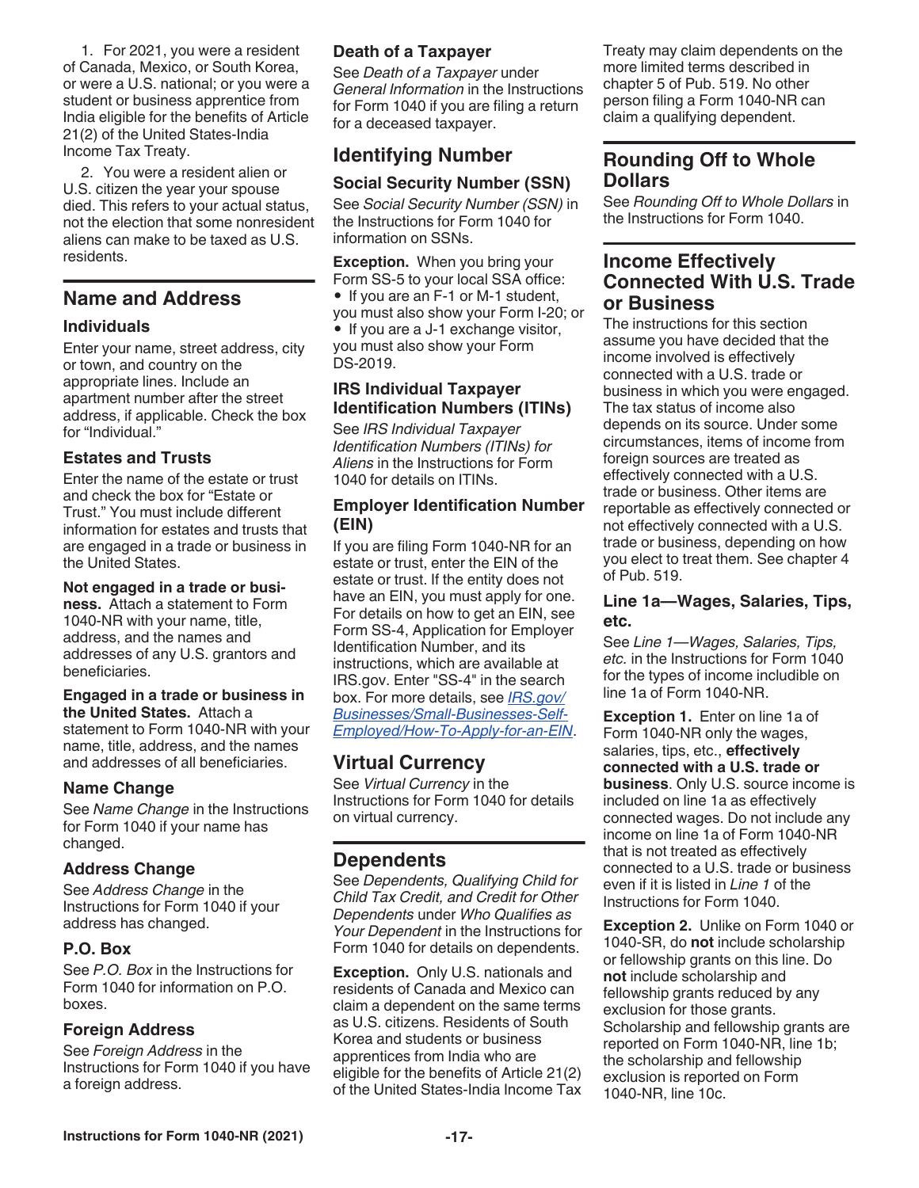1. For 2021, you were a resident of Canada, Mexico, or South Korea, or were a U.S. national; or you were a student or business apprentice from India eligible for the benefits of Article 21(2) of the United States-India Income Tax Treaty.

2. You were a resident alien or U.S. citizen the year your spouse died. This refers to your actual status, not the election that some nonresident aliens can make to be taxed as U.S. residents.

### **Name and Address**

### **Individuals**

Enter your name, street address, city or town, and country on the appropriate lines. Include an apartment number after the street address, if applicable. Check the box for "Individual."

### **Estates and Trusts**

Enter the name of the estate or trust and check the box for "Estate or Trust." You must include different information for estates and trusts that are engaged in a trade or business in the United States.

### **Not engaged in a trade or busi-**

**ness.** Attach a statement to Form 1040-NR with your name, title, address, and the names and addresses of any U.S. grantors and beneficiaries.

### **Engaged in a trade or business in**

**the United States.** Attach a statement to Form 1040-NR with your name, title, address, and the names and addresses of all beneficiaries.

### **Name Change**

See *Name Change* in the Instructions for Form 1040 if your name has changed.

### **Address Change**

See *Address Change* in the Instructions for Form 1040 if your address has changed.

### **P.O. Box**

See *P.O. Box* in the Instructions for Form 1040 for information on P.O. boxes.

### **Foreign Address**

See *Foreign Address* in the Instructions for Form 1040 if you have a foreign address.

### **Death of a Taxpayer**

See *Death of a Taxpayer* under *General Information* in the Instructions for Form 1040 if you are filing a return for a deceased taxpayer.

# **Identifying Number**

### **Social Security Number (SSN)**

See *Social Security Number (SSN)* in the Instructions for Form 1040 for information on SSNs.

**Exception.** When you bring your Form SS-5 to your local SSA office: • If you are an F-1 or M-1 student, you must also show your Form I-20; or • If you are a J-1 exchange visitor, you must also show your Form DS-2019.

### **IRS Individual Taxpayer Identification Numbers (ITINs)**

See *IRS Individual Taxpayer Identification Numbers (ITINs) for Aliens* in the Instructions for Form 1040 for details on ITINs.

### **Employer Identification Number (EIN)**

If you are filing Form 1040-NR for an estate or trust, enter the EIN of the estate or trust. If the entity does not have an EIN, you must apply for one. For details on how to get an EIN, see Form SS-4, Application for Employer Identification Number, and its instructions, which are available at IRS.gov. Enter "SS-4" in the search box. For more details, see *[IRS.gov/](https://www.irs.gov/businesses/small-businesses-self-employed/how-to-apply-for-an-ein) [Businesses/Small-Businesses-Self-](https://www.irs.gov/businesses/small-businesses-self-employed/how-to-apply-for-an-ein)[Employed/How-To-Apply-for-an-EIN](https://www.irs.gov/businesses/small-businesses-self-employed/how-to-apply-for-an-ein)*.

### **Virtual Currency**

See *Virtual Currency* in the Instructions for Form 1040 for details on virtual currency.

# **Dependents**

See *Dependents, Qualifying Child for Child Tax Credit, and Credit for Other Dependents* under *Who Qualifies as Your Dependent* in the Instructions for Form 1040 for details on dependents.

**Exception.** Only U.S. nationals and residents of Canada and Mexico can claim a dependent on the same terms as U.S. citizens. Residents of South Korea and students or business apprentices from India who are eligible for the benefits of Article 21(2) of the United States-India Income Tax Treaty may claim dependents on the more limited terms described in chapter 5 of Pub. 519. No other person filing a Form 1040-NR can claim a qualifying dependent.

### **Rounding Off to Whole Dollars**

See *Rounding Off to Whole Dollars* in the Instructions for Form 1040.

### **Income Effectively Connected With U.S. Trade or Business**

The instructions for this section assume you have decided that the income involved is effectively connected with a U.S. trade or business in which you were engaged. The tax status of income also depends on its source. Under some circumstances, items of income from foreign sources are treated as effectively connected with a U.S. trade or business. Other items are reportable as effectively connected or not effectively connected with a U.S. trade or business, depending on how you elect to treat them. See chapter 4 of Pub. 519.

### **Line 1a—Wages, Salaries, Tips, etc.**

See *Line 1—Wages, Salaries, Tips, etc.* in the Instructions for Form 1040 for the types of income includible on line 1a of Form 1040-NR.

**Exception 1.** Enter on line 1a of Form 1040-NR only the wages, salaries, tips, etc., **effectively connected with a U.S. trade or business**. Only U.S. source income is included on line 1a as effectively connected wages. Do not include any income on line 1a of Form 1040-NR that is not treated as effectively connected to a U.S. trade or business even if it is listed in *Line 1* of the Instructions for Form 1040.

**Exception 2.** Unlike on Form 1040 or 1040-SR, do **not** include scholarship or fellowship grants on this line. Do **not** include scholarship and fellowship grants reduced by any exclusion for those grants. Scholarship and fellowship grants are reported on Form 1040-NR, line 1b; the scholarship and fellowship exclusion is reported on Form 1040-NR, line 10c.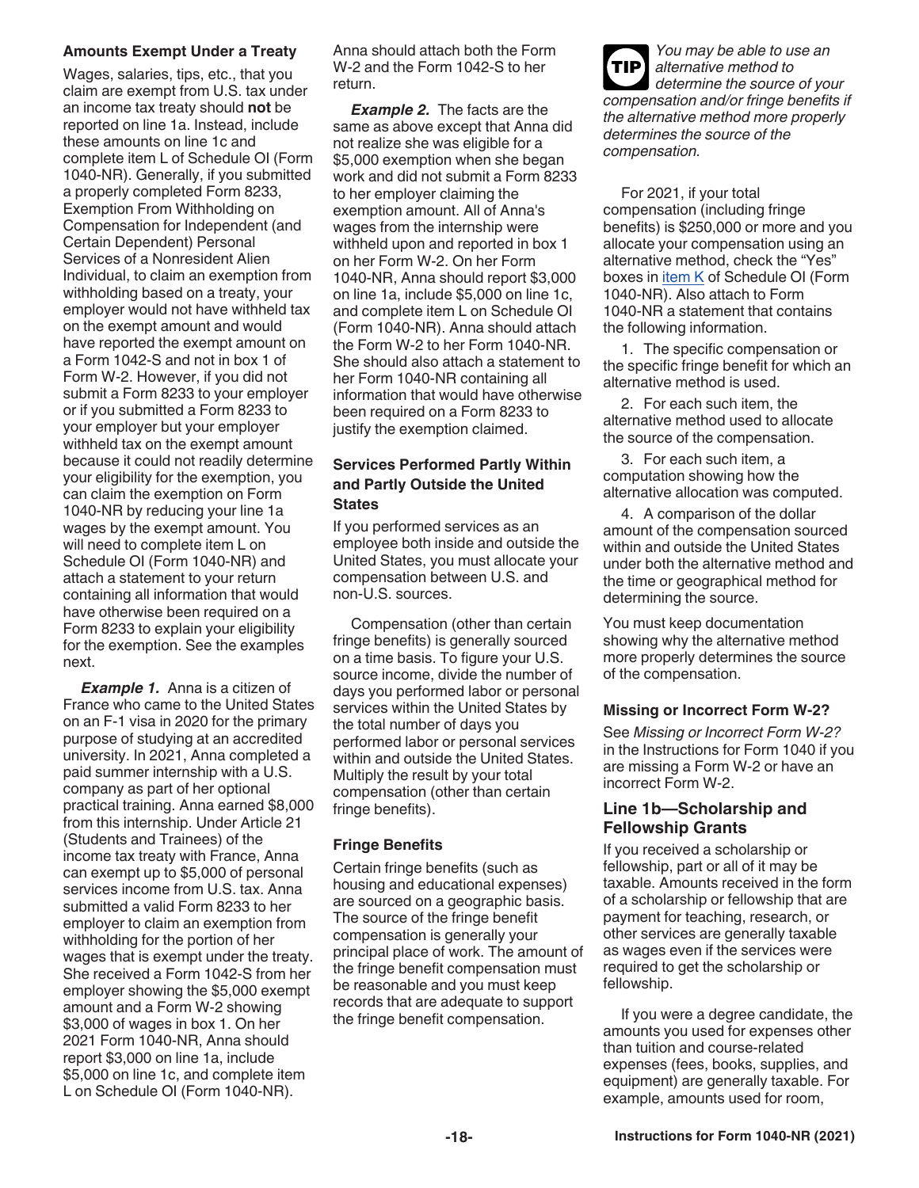### **Amounts Exempt Under a Treaty**

Wages, salaries, tips, etc., that you claim are exempt from U.S. tax under an income tax treaty should **not** be reported on line 1a. Instead, include these amounts on line 1c and complete item L of Schedule OI (Form 1040-NR). Generally, if you submitted a properly completed Form 8233, Exemption From Withholding on Compensation for Independent (and Certain Dependent) Personal Services of a Nonresident Alien Individual, to claim an exemption from withholding based on a treaty, your employer would not have withheld tax on the exempt amount and would have reported the exempt amount on a Form 1042-S and not in box 1 of Form W-2. However, if you did not submit a Form 8233 to your employer or if you submitted a Form 8233 to your employer but your employer withheld tax on the exempt amount because it could not readily determine your eligibility for the exemption, you can claim the exemption on Form 1040-NR by reducing your line 1a wages by the exempt amount. You will need to complete item L on Schedule OI (Form 1040-NR) and attach a statement to your return containing all information that would have otherwise been required on a Form 8233 to explain your eligibility for the exemption. See the examples next.

**Example 1.** Anna is a citizen of France who came to the United States on an F-1 visa in 2020 for the primary purpose of studying at an accredited university. In 2021, Anna completed a paid summer internship with a U.S. company as part of her optional practical training. Anna earned \$8,000 from this internship. Under Article 21 (Students and Trainees) of the income tax treaty with France, Anna can exempt up to \$5,000 of personal services income from U.S. tax. Anna submitted a valid Form 8233 to her employer to claim an exemption from withholding for the portion of her wages that is exempt under the treaty. She received a Form 1042-S from her employer showing the \$5,000 exempt amount and a Form W-2 showing \$3,000 of wages in box 1. On her 2021 Form 1040-NR, Anna should report \$3,000 on line 1a, include \$5,000 on line 1c, and complete item L on Schedule OI (Form 1040-NR).

Anna should attach both the Form W-2 and the Form 1042-S to her return.

**Example 2.** The facts are the same as above except that Anna did not realize she was eligible for a \$5,000 exemption when she began work and did not submit a Form 8233 to her employer claiming the exemption amount. All of Anna's wages from the internship were withheld upon and reported in box 1 on her Form W-2. On her Form 1040-NR, Anna should report \$3,000 on line 1a, include \$5,000 on line 1c, and complete item L on Schedule OI (Form 1040-NR). Anna should attach the Form W-2 to her Form 1040-NR. She should also attach a statement to her Form 1040-NR containing all information that would have otherwise been required on a Form 8233 to justify the exemption claimed.

### **Services Performed Partly Within and Partly Outside the United States**

If you performed services as an employee both inside and outside the United States, you must allocate your compensation between U.S. and non-U.S. sources.

Compensation (other than certain fringe benefits) is generally sourced on a time basis. To figure your U.S. source income, divide the number of days you performed labor or personal services within the United States by the total number of days you performed labor or personal services within and outside the United States. Multiply the result by your total compensation (other than certain fringe benefits).

### **Fringe Benefits**

Certain fringe benefits (such as housing and educational expenses) are sourced on a geographic basis. The source of the fringe benefit compensation is generally your principal place of work. The amount of the fringe benefit compensation must be reasonable and you must keep records that are adequate to support the fringe benefit compensation.

*You may be able to use an alternative method to determine the source of your compensation and/or fringe benefits if the alternative method more properly determines the source of the compensation.* **TIP**

For 2021, if your total compensation (including fringe benefits) is \$250,000 or more and you allocate your compensation using an alternative method, check the "Yes" boxes in item K of Schedule OI (Form 1040-NR). Also attach to Form 1040-NR a statement that contains the following information.

1. The specific compensation or the specific fringe benefit for which an alternative method is used.

2. For each such item, the alternative method used to allocate the source of the compensation.

3. For each such item, a computation showing how the alternative allocation was computed.

4. A comparison of the dollar amount of the compensation sourced within and outside the United States under both the alternative method and the time or geographical method for determining the source.

You must keep documentation showing why the alternative method more properly determines the source of the compensation.

### **Missing or Incorrect Form W-2?**

See *Missing or Incorrect Form W-2?*  in the Instructions for Form 1040 if you are missing a Form W-2 or have an incorrect Form W-2.

### **Line 1b—Scholarship and Fellowship Grants**

If you received a scholarship or fellowship, part or all of it may be taxable. Amounts received in the form of a scholarship or fellowship that are payment for teaching, research, or other services are generally taxable as wages even if the services were required to get the scholarship or fellowship.

If you were a degree candidate, the amounts you used for expenses other than tuition and course-related expenses (fees, books, supplies, and equipment) are generally taxable. For example, amounts used for room,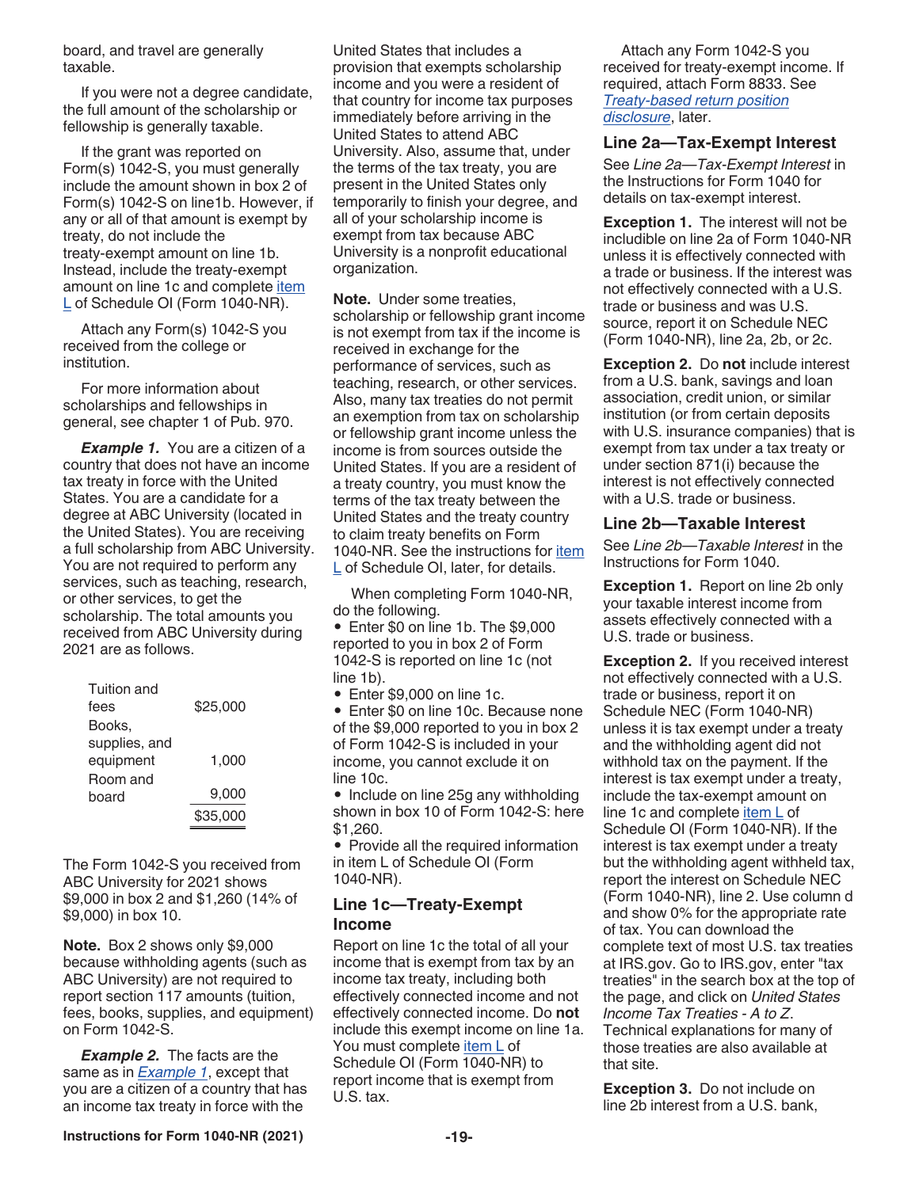board, and travel are generally taxable.

If you were not a degree candidate, the full amount of the scholarship or fellowship is generally taxable.

If the grant was reported on Form(s) 1042-S, you must generally include the amount shown in box 2 of Form(s) 1042-S on line1b. However, if any or all of that amount is exempt by treaty, do not include the treaty-exempt amount on line 1b. Instead, include the treaty-exempt amount on line 1c and complete *item* L of Schedule OI (Form 1040-NR).

Attach any Form(s) 1042-S you received from the college or institution.

For more information about scholarships and fellowships in general, see chapter 1 of Pub. 970.

**Example 1.** You are a citizen of a country that does not have an income tax treaty in force with the United States. You are a candidate for a degree at ABC University (located in the United States). You are receiving a full scholarship from ABC University. You are not required to perform any services, such as teaching, research, or other services, to get the scholarship. The total amounts you received from ABC University during 2021 are as follows.

| \$25,000 |
|----------|
|          |
|          |
| 1.000    |
|          |
| 9,000    |
| \$35,000 |
|          |

The Form 1042-S you received from ABC University for 2021 shows \$9,000 in box 2 and \$1,260 (14% of \$9,000) in box 10.

**Note.** Box 2 shows only \$9,000 because withholding agents (such as ABC University) are not required to report section 117 amounts (tuition, fees, books, supplies, and equipment) on Form 1042-S.

**Example 2.** The facts are the same as in *Example 1*, except that you are a citizen of a country that has an income tax treaty in force with the

United States that includes a provision that exempts scholarship income and you were a resident of that country for income tax purposes immediately before arriving in the United States to attend ABC University. Also, assume that, under the terms of the tax treaty, you are present in the United States only temporarily to finish your degree, and all of your scholarship income is exempt from tax because ABC University is a nonprofit educational organization.

**Note.** Under some treaties, scholarship or fellowship grant income is not exempt from tax if the income is received in exchange for the performance of services, such as teaching, research, or other services. Also, many tax treaties do not permit an exemption from tax on scholarship or fellowship grant income unless the income is from sources outside the United States. If you are a resident of a treaty country, you must know the terms of the tax treaty between the United States and the treaty country to claim treaty benefits on Form 1040-NR. See the instructions for item L of Schedule OI, later, for details.

When completing Form 1040-NR, do the following.

• Enter \$0 on line 1b. The \$9,000 reported to you in box 2 of Form 1042-S is reported on line 1c (not line 1b).

• Enter \$9,000 on line 1c.

• Enter \$0 on line 10c. Because none of the \$9,000 reported to you in box 2 of Form 1042-S is included in your income, you cannot exclude it on line 10c.

• Include on line 25g any withholding shown in box 10 of Form 1042-S: here \$1,260.

• Provide all the required information in item L of Schedule OI (Form 1040-NR).

### **Line 1c—Treaty-Exempt Income**

Report on line 1c the total of all your income that is exempt from tax by an income tax treaty, including both effectively connected income and not effectively connected income. Do **not**  include this exempt income on line 1a. You must complete *item* L of Schedule OI (Form 1040-NR) to report income that is exempt from U.S. tax.

Attach any Form 1042-S you received for treaty-exempt income. If required, attach Form 8833. See *Treaty-based return position disclosure*, later.

### **Line 2a—Tax-Exempt Interest**

See *Line 2a—Tax-Exempt Interest* in the Instructions for Form 1040 for details on tax-exempt interest.

**Exception 1.** The interest will not be includible on line 2a of Form 1040-NR unless it is effectively connected with a trade or business. If the interest was not effectively connected with a U.S. trade or business and was U.S. source, report it on Schedule NEC (Form 1040-NR), line 2a, 2b, or 2c.

**Exception 2.** Do **not** include interest from a U.S. bank, savings and loan association, credit union, or similar institution (or from certain deposits with U.S. insurance companies) that is exempt from tax under a tax treaty or under section 871(i) because the interest is not effectively connected with a U.S. trade or business.

### **Line 2b—Taxable Interest**

See *Line 2b—Taxable Interest* in the Instructions for Form 1040.

**Exception 1.** Report on line 2b only your taxable interest income from assets effectively connected with a U.S. trade or business.

**Exception 2.** If you received interest not effectively connected with a U.S. trade or business, report it on Schedule NEC (Form 1040-NR) unless it is tax exempt under a treaty and the withholding agent did not withhold tax on the payment. If the interest is tax exempt under a treaty, include the tax-exempt amount on line 1c and complete item L of Schedule OI (Form 1040-NR). If the interest is tax exempt under a treaty but the withholding agent withheld tax, report the interest on Schedule NEC (Form 1040-NR), line 2. Use column d and show 0% for the appropriate rate of tax. You can download the complete text of most U.S. tax treaties at IRS.gov. Go to IRS.gov, enter "tax treaties" in the search box at the top of the page, and click on *United States Income Tax Treaties - A to Z*. Technical explanations for many of those treaties are also available at that site.

**Exception 3.** Do not include on line 2b interest from a U.S. bank,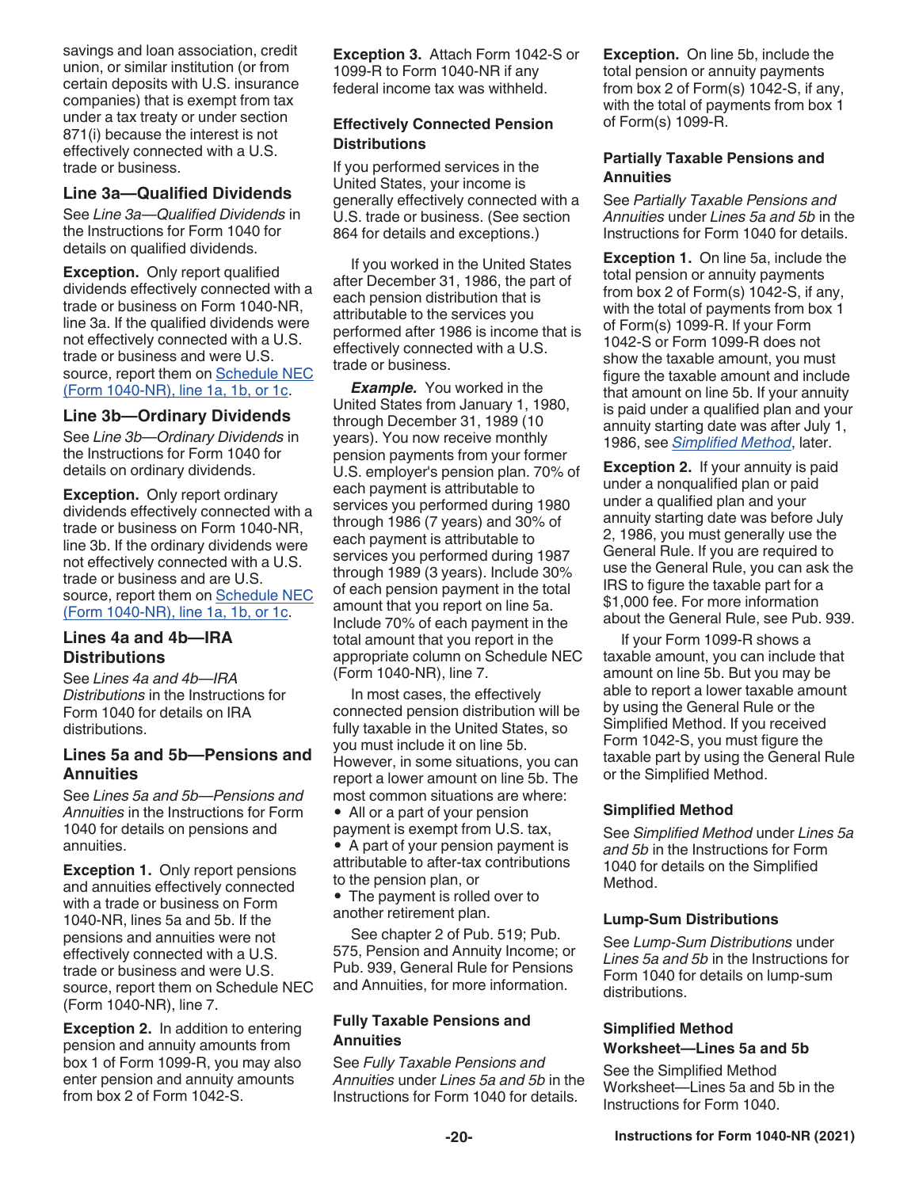savings and loan association, credit union, or similar institution (or from certain deposits with U.S. insurance companies) that is exempt from tax under a tax treaty or under section 871(i) because the interest is not effectively connected with a U.S. trade or business.

### **Line 3a—Qualified Dividends**

See *Line 3a—Qualified Dividends* in the Instructions for Form 1040 for details on qualified dividends.

**Exception.** Only report qualified dividends effectively connected with a trade or business on Form 1040-NR, line 3a. If the qualified dividends were not effectively connected with a U.S. trade or business and were U.S. source, report them on Schedule NEC (Form 1040-NR), line 1a, 1b, or 1c.

### **Line 3b—Ordinary Dividends**

See *Line 3b—Ordinary Dividends* in the Instructions for Form 1040 for details on ordinary dividends.

**Exception.** Only report ordinary dividends effectively connected with a trade or business on Form 1040-NR, line 3b. If the ordinary dividends were not effectively connected with a U.S. trade or business and are U.S. source, report them on Schedule NEC (Form 1040-NR), line 1a, 1b, or 1c.

### **Lines 4a and 4b—IRA Distributions**

See *Lines 4a and 4b—IRA Distributions* in the Instructions for Form 1040 for details on IRA distributions.

### **Lines 5a and 5b—Pensions and Annuities**

See *Lines 5a and 5b—Pensions and Annuities* in the Instructions for Form 1040 for details on pensions and annuities.

**Exception 1. Only report pensions** and annuities effectively connected with a trade or business on Form 1040-NR, lines 5a and 5b. If the pensions and annuities were not effectively connected with a U.S. trade or business and were U.S. source, report them on Schedule NEC (Form 1040-NR), line 7.

**Exception 2.** In addition to entering pension and annuity amounts from box 1 of Form 1099-R, you may also enter pension and annuity amounts from box 2 of Form 1042-S.

**Exception 3.** Attach Form 1042-S or 1099-R to Form 1040-NR if any federal income tax was withheld.

### **Effectively Connected Pension Distributions**

If you performed services in the United States, your income is generally effectively connected with a U.S. trade or business. (See section 864 for details and exceptions.)

If you worked in the United States after December 31, 1986, the part of each pension distribution that is attributable to the services you performed after 1986 is income that is effectively connected with a U.S. trade or business.

*Example.* You worked in the United States from January 1, 1980, through December 31, 1989 (10 years). You now receive monthly pension payments from your former U.S. employer's pension plan. 70% of each payment is attributable to services you performed during 1980 through 1986 (7 years) and 30% of each payment is attributable to services you performed during 1987 through 1989 (3 years). Include 30% of each pension payment in the total amount that you report on line 5a. Include 70% of each payment in the total amount that you report in the appropriate column on Schedule NEC (Form 1040-NR), line 7.

In most cases, the effectively connected pension distribution will be fully taxable in the United States, so you must include it on line 5b. However, in some situations, you can report a lower amount on line 5b. The most common situations are where:

• All or a part of your pension payment is exempt from U.S. tax,

• A part of your pension payment is attributable to after-tax contributions to the pension plan, or

• The payment is rolled over to another retirement plan.

See chapter 2 of Pub. 519; Pub. 575, Pension and Annuity Income; or Pub. 939, General Rule for Pensions and Annuities, for more information.

### **Fully Taxable Pensions and Annuities**

See *Fully Taxable Pensions and Annuities* under *Lines 5a and 5b* in the Instructions for Form 1040 for details.

**Exception.** On line 5b, include the total pension or annuity payments from box 2 of Form(s) 1042-S, if any, with the total of payments from box 1 of Form(s) 1099-R.

### **Partially Taxable Pensions and Annuities**

See *Partially Taxable Pensions and Annuities* under *Lines 5a and 5b* in the Instructions for Form 1040 for details.

**Exception 1.** On line 5a, include the total pension or annuity payments from box 2 of Form(s) 1042-S, if any, with the total of payments from box 1 of Form(s) 1099-R. If your Form 1042-S or Form 1099-R does not show the taxable amount, you must figure the taxable amount and include that amount on line 5b. If your annuity is paid under a qualified plan and your annuity starting date was after July 1, 1986, see *Simplified Method*, later.

**Exception 2.** If your annuity is paid under a nonqualified plan or paid under a qualified plan and your annuity starting date was before July 2, 1986, you must generally use the General Rule. If you are required to use the General Rule, you can ask the IRS to figure the taxable part for a \$1,000 fee. For more information about the General Rule, see Pub. 939.

If your Form 1099-R shows a taxable amount, you can include that amount on line 5b. But you may be able to report a lower taxable amount by using the General Rule or the Simplified Method. If you received Form 1042-S, you must figure the taxable part by using the General Rule or the Simplified Method.

### **Simplified Method**

See *Simplified Method* under *Lines 5a and 5b* in the Instructions for Form 1040 for details on the Simplified Method.

### **Lump-Sum Distributions**

See *Lump-Sum Distributions* under *Lines 5a and 5b* in the Instructions for Form 1040 for details on lump-sum distributions.

### **Simplified Method Worksheet—Lines 5a and 5b**

See the Simplified Method Worksheet—Lines 5a and 5b in the Instructions for Form 1040.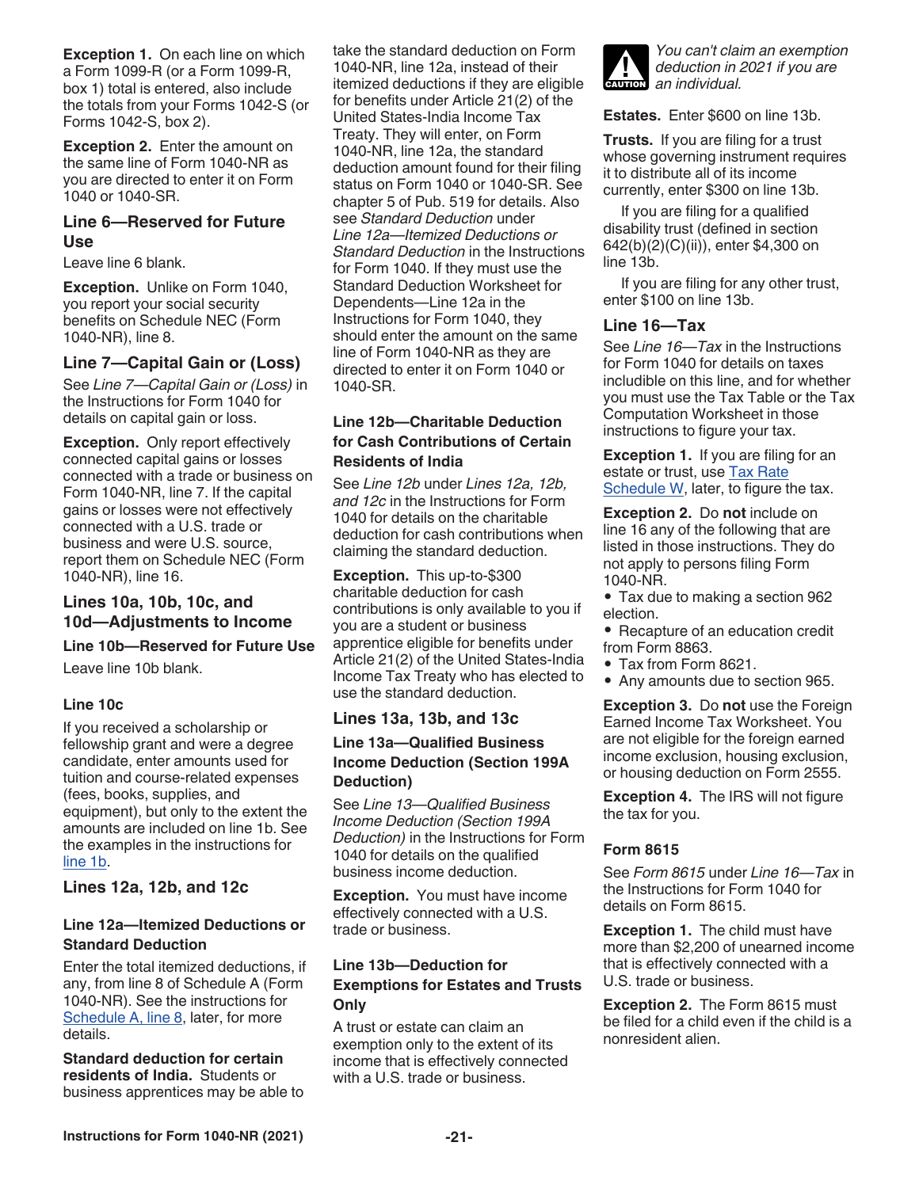**Exception 1.** On each line on which a Form 1099-R (or a Form 1099-R, box 1) total is entered, also include the totals from your Forms 1042-S (or Forms 1042-S, box 2).

**Exception 2.** Enter the amount on the same line of Form 1040-NR as you are directed to enter it on Form 1040 or 1040-SR.

### **Line 6—Reserved for Future Use**

Leave line 6 blank.

**Exception.** Unlike on Form 1040, you report your social security benefits on Schedule NEC (Form 1040-NR), line 8.

### **Line 7—Capital Gain or (Loss)**

See *Line 7—Capital Gain or (Loss)* in the Instructions for Form 1040 for details on capital gain or loss.

**Exception.** Only report effectively connected capital gains or losses connected with a trade or business on Form 1040-NR, line 7. If the capital gains or losses were not effectively connected with a U.S. trade or business and were U.S. source, report them on Schedule NEC (Form 1040-NR), line 16.

### **Lines 10a, 10b, 10c, and 10d—Adjustments to Income**

### **Line 10b—Reserved for Future Use**

Leave line 10b blank.

### **Line 10c**

If you received a scholarship or fellowship grant and were a degree candidate, enter amounts used for tuition and course-related expenses (fees, books, supplies, and equipment), but only to the extent the amounts are included on line 1b. See the examples in the instructions for line 1b.

**Lines 12a, 12b, and 12c**

### **Line 12a—Itemized Deductions or Standard Deduction**

Enter the total itemized deductions, if any, from line 8 of Schedule A (Form 1040-NR). See the instructions for Schedule A, line 8, later, for more details.

**Standard deduction for certain residents of India.** Students or business apprentices may be able to take the standard deduction on Form 1040-NR, line 12a, instead of their itemized deductions if they are eligible for benefits under Article 21(2) of the United States-India Income Tax Treaty. They will enter, on Form 1040-NR, line 12a, the standard deduction amount found for their filing status on Form 1040 or 1040-SR. See chapter 5 of Pub. 519 for details. Also see *Standard Deduction* under *Line 12a—Itemized Deductions or Standard Deduction* in the Instructions for Form 1040. If they must use the Standard Deduction Worksheet for Dependents—Line 12a in the Instructions for Form 1040, they should enter the amount on the same line of Form 1040-NR as they are directed to enter it on Form 1040 or 1040-SR.

### **Line 12b—Charitable Deduction for Cash Contributions of Certain Residents of India**

See *Line 12b* under *Lines 12a, 12b, and 12c* in the Instructions for Form 1040 for details on the charitable deduction for cash contributions when claiming the standard deduction.

**Exception.** This up-to-\$300 charitable deduction for cash contributions is only available to you if you are a student or business apprentice eligible for benefits under Article 21(2) of the United States-India Income Tax Treaty who has elected to use the standard deduction.

### **Lines 13a, 13b, and 13c**

### **Line 13a—Qualified Business Income Deduction (Section 199A Deduction)**

See *Line 13—Qualified Business Income Deduction (Section 199A Deduction)* in the Instructions for Form 1040 for details on the qualified business income deduction.

**Exception.** You must have income effectively connected with a U.S. trade or business.

### **Line 13b—Deduction for Exemptions for Estates and Trusts Only**

A trust or estate can claim an exemption only to the extent of its income that is effectively connected with a U.S. trade or business.



**Estates.** Enter \$600 on line 13b.

**Trusts.** If you are filing for a trust whose governing instrument requires it to distribute all of its income currently, enter \$300 on line 13b.

If you are filing for a qualified disability trust (defined in section 642(b)(2)(C)(ii)), enter \$4,300 on line 13b.

If you are filing for any other trust, enter \$100 on line 13b.

### **Line 16—Tax**

See *Line 16—Tax* in the Instructions for Form 1040 for details on taxes includible on this line, and for whether you must use the Tax Table or the Tax Computation Worksheet in those instructions to figure your tax.

**Exception 1.** If you are filing for an estate or trust, use Tax Rate Schedule W, later, to figure the tax.

**Exception 2.** Do **not** include on line 16 any of the following that are listed in those instructions. They do not apply to persons filing Form 1040-NR.

- Tax due to making a section 962 election.
- Recapture of an education credit from Form 8863.
- Tax from Form 8621.
- Any amounts due to section 965.

**Exception 3.** Do **not** use the Foreign Earned Income Tax Worksheet. You are not eligible for the foreign earned income exclusion, housing exclusion, or housing deduction on Form 2555.

**Exception 4.** The IRS will not figure the tax for you.

### **Form 8615**

See *Form 8615* under *Line 16—Tax* in the Instructions for Form 1040 for details on Form 8615.

**Exception 1.** The child must have more than \$2,200 of unearned income that is effectively connected with a U.S. trade or business.

**Exception 2.** The Form 8615 must be filed for a child even if the child is a nonresident alien.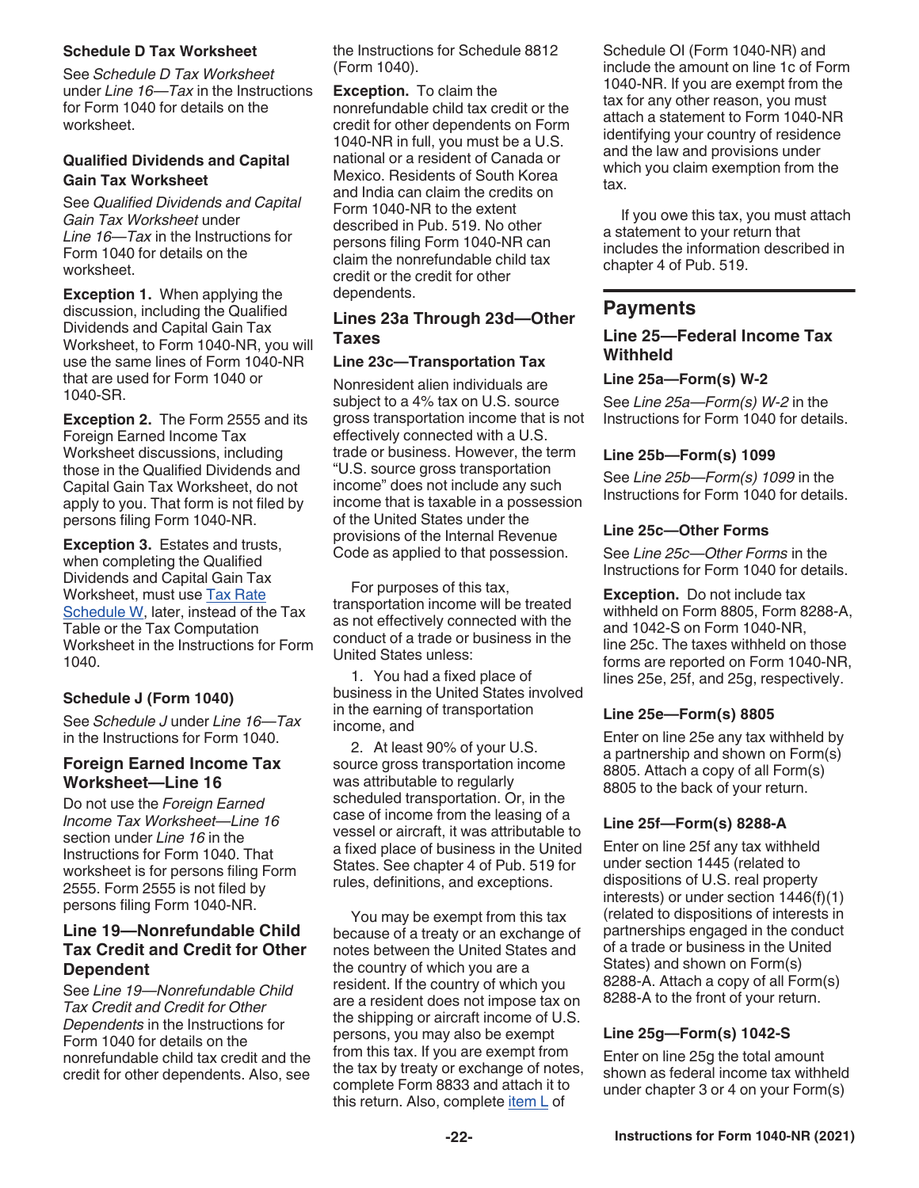### **Schedule D Tax Worksheet**

See *Schedule D Tax Worksheet*  under *Line 16—Tax* in the Instructions for Form 1040 for details on the worksheet.

### **Qualified Dividends and Capital Gain Tax Worksheet**

See *Qualified Dividends and Capital Gain Tax Worksheet* under *Line 16—Tax* in the Instructions for Form 1040 for details on the worksheet.

**Exception 1.** When applying the discussion, including the Qualified Dividends and Capital Gain Tax Worksheet, to Form 1040-NR, you will use the same lines of Form 1040-NR that are used for Form 1040 or 1040-SR.

**Exception 2.** The Form 2555 and its Foreign Earned Income Tax Worksheet discussions, including those in the Qualified Dividends and Capital Gain Tax Worksheet, do not apply to you. That form is not filed by persons filing Form 1040-NR.

**Exception 3.** Estates and trusts, when completing the Qualified Dividends and Capital Gain Tax Worksheet, must use Tax Rate Schedule W, later, instead of the Tax Table or the Tax Computation Worksheet in the Instructions for Form 1040.

### **Schedule J (Form 1040)**

See *Schedule J* under *Line 16—Tax*  in the Instructions for Form 1040.

### **Foreign Earned Income Tax Worksheet—Line 16**

Do not use the *Foreign Earned Income Tax Worksheet—I ine 16* section under *Line 16* in the Instructions for Form 1040. That worksheet is for persons filing Form 2555. Form 2555 is not filed by persons filing Form 1040-NR.

### **Line 19—Nonrefundable Child Tax Credit and Credit for Other Dependent**

See *Line 19—Nonrefundable Child Tax Credit and Credit for Other Dependents* in the Instructions for Form 1040 for details on the nonrefundable child tax credit and the credit for other dependents. Also, see the Instructions for Schedule 8812 (Form 1040).

**Exception.** To claim the nonrefundable child tax credit or the credit for other dependents on Form 1040-NR in full, you must be a U.S. national or a resident of Canada or Mexico. Residents of South Korea and India can claim the credits on Form 1040-NR to the extent described in Pub. 519. No other persons filing Form 1040-NR can claim the nonrefundable child tax credit or the credit for other dependents.

### **Lines 23a Through 23d—Other Taxes**

### **Line 23c—Transportation Tax**

Nonresident alien individuals are subject to a 4% tax on U.S. source gross transportation income that is not effectively connected with a U.S. trade or business. However, the term "U.S. source gross transportation income" does not include any such income that is taxable in a possession of the United States under the provisions of the Internal Revenue Code as applied to that possession.

For purposes of this tax, transportation income will be treated as not effectively connected with the conduct of a trade or business in the United States unless:

1. You had a fixed place of business in the United States involved in the earning of transportation income, and

2. At least 90% of your U.S. source gross transportation income was attributable to regularly scheduled transportation. Or, in the case of income from the leasing of a vessel or aircraft, it was attributable to a fixed place of business in the United States. See chapter 4 of Pub. 519 for rules, definitions, and exceptions.

You may be exempt from this tax because of a treaty or an exchange of notes between the United States and the country of which you are a resident. If the country of which you are a resident does not impose tax on the shipping or aircraft income of U.S. persons, you may also be exempt from this tax. If you are exempt from the tax by treaty or exchange of notes, complete Form 8833 and attach it to this return. Also, complete item L of

Schedule OI (Form 1040-NR) and include the amount on line 1c of Form 1040-NR. If you are exempt from the tax for any other reason, you must attach a statement to Form 1040-NR identifying your country of residence and the law and provisions under which you claim exemption from the tax.

If you owe this tax, you must attach a statement to your return that includes the information described in chapter 4 of Pub. 519.

### **Payments**

### **Line 25—Federal Income Tax Withheld**

### **Line 25a—Form(s) W-2**

See *Line 25a—Form(s) W-2* in the Instructions for Form 1040 for details.

### **Line 25b—Form(s) 1099**

See *Line 25b—Form(s) 1099* in the Instructions for Form 1040 for details.

### **Line 25c—Other Forms**

See *Line 25c—Other Forms* in the Instructions for Form 1040 for details.

**Exception.** Do not include tax withheld on Form 8805, Form 8288-A, and 1042-S on Form 1040-NR, line 25c. The taxes withheld on those forms are reported on Form 1040-NR, lines 25e, 25f, and 25g, respectively.

### **Line 25e—Form(s) 8805**

Enter on line 25e any tax withheld by a partnership and shown on Form(s) 8805. Attach a copy of all Form(s) 8805 to the back of your return.

### **Line 25f—Form(s) 8288-A**

Enter on line 25f any tax withheld under section 1445 (related to dispositions of U.S. real property interests) or under section 1446(f)(1) (related to dispositions of interests in partnerships engaged in the conduct of a trade or business in the United States) and shown on Form(s) 8288-A. Attach a copy of all Form(s) 8288-A to the front of your return.

### **Line 25g—Form(s) 1042-S**

Enter on line 25g the total amount shown as federal income tax withheld under chapter 3 or 4 on your Form(s)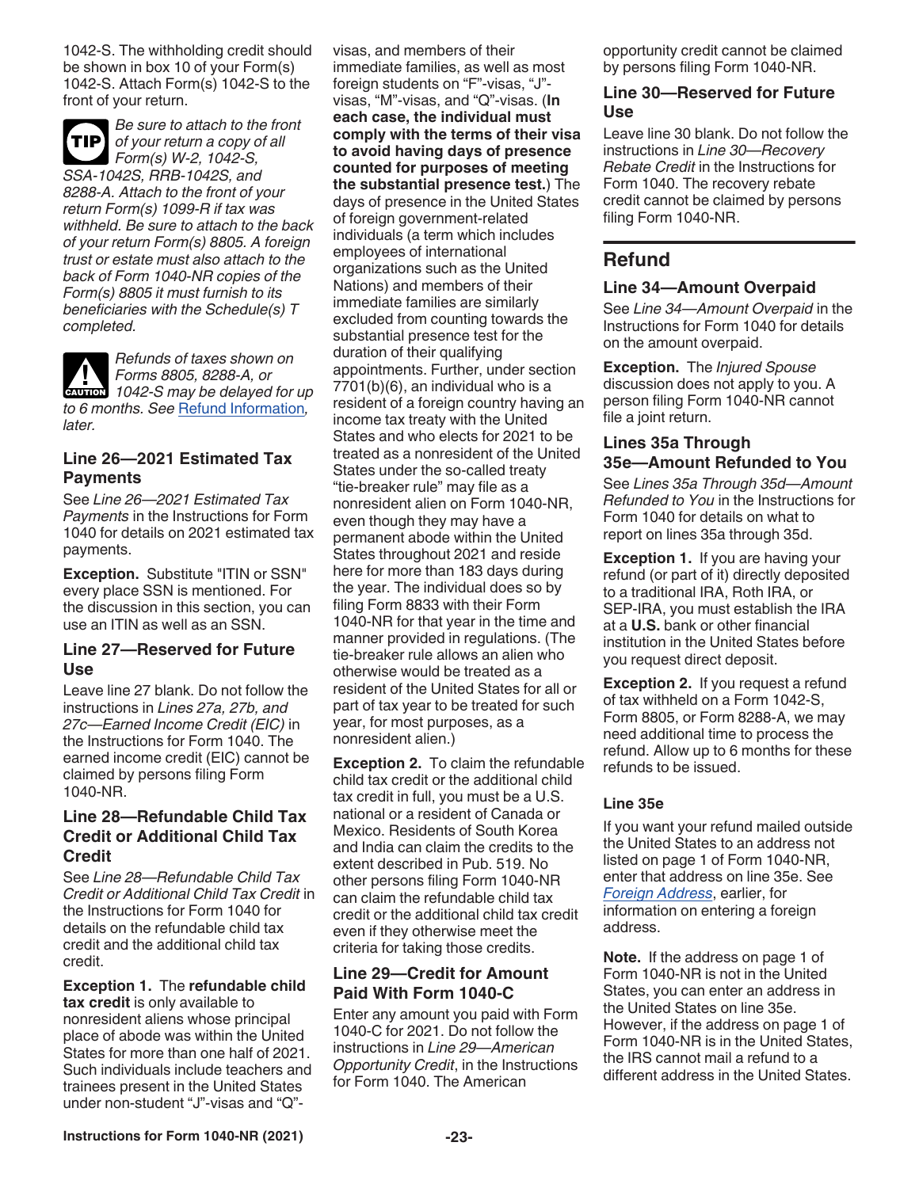1042-S. The withholding credit should be shown in box 10 of your Form(s) 1042-S. Attach Form(s) 1042-S to the front of your return.

*Be sure to attach to the front of your return a copy of all Form(s) W-2, 1042-S, SSA-1042S, RRB-1042S, and 8288-A. Attach to the front of your return Form(s) 1099-R if tax was withheld. Be sure to attach to the back of your return Form(s) 8805. A foreign trust or estate must also attach to the back of Form 1040-NR copies of the Form(s) 8805 it must furnish to its beneficiaries with the Schedule(s) T completed.* **TIP**

*Refunds of taxes shown on Forms 8805, 8288-A, or 1042-S may be delayed for up example to 6 months. See* Refund Information*, later.*

### **Line 26—2021 Estimated Tax Payments**

See *Line 26—2021 Estimated Tax Payments* in the Instructions for Form 1040 for details on 2021 estimated tax payments.

**Exception.** Substitute "ITIN or SSN" every place SSN is mentioned. For the discussion in this section, you can use an ITIN as well as an SSN.

### **Line 27—Reserved for Future Use**

Leave line 27 blank. Do not follow the instructions in *Lines 27a, 27b, and 27c—Earned Income Credit (EIC)* in the Instructions for Form 1040. The earned income credit (EIC) cannot be claimed by persons filing Form 1040-NR.

### **Line 28—Refundable Child Tax Credit or Additional Child Tax Credit**

See *Line 28—Refundable Child Tax Credit or Additional Child Tax Credit* in the Instructions for Form 1040 for details on the refundable child tax credit and the additional child tax credit.

**Exception 1.** The **refundable child tax credit** is only available to nonresident aliens whose principal place of abode was within the United States for more than one half of 2021. Such individuals include teachers and trainees present in the United States under non-student "J"-visas and "Q"-

visas, and members of their immediate families, as well as most foreign students on "F"-visas, "J" visas, "M"-visas, and "Q"-visas. (**In each case, the individual must comply with the terms of their visa to avoid having days of presence counted for purposes of meeting the substantial presence test.**) The days of presence in the United States of foreign government-related individuals (a term which includes employees of international organizations such as the United Nations) and members of their immediate families are similarly excluded from counting towards the substantial presence test for the duration of their qualifying appointments. Further, under section 7701(b)(6), an individual who is a resident of a foreign country having an income tax treaty with the United States and who elects for 2021 to be treated as a nonresident of the United States under the so-called treaty "tie-breaker rule" may file as a nonresident alien on Form 1040-NR, even though they may have a permanent abode within the United States throughout 2021 and reside here for more than 183 days during the year. The individual does so by filing Form 8833 with their Form 1040-NR for that year in the time and manner provided in regulations. (The tie-breaker rule allows an alien who otherwise would be treated as a resident of the United States for all or part of tax year to be treated for such year, for most purposes, as a nonresident alien.)

**Exception 2.** To claim the refundable child tax credit or the additional child tax credit in full, you must be a U.S. national or a resident of Canada or Mexico. Residents of South Korea and India can claim the credits to the extent described in Pub. 519. No other persons filing Form 1040-NR can claim the refundable child tax credit or the additional child tax credit even if they otherwise meet the criteria for taking those credits.

### **Line 29—Credit for Amount Paid With Form 1040-C**

Enter any amount you paid with Form 1040-C for 2021. Do not follow the instructions in *Line 29—American Opportunity Credit*, in the Instructions for Form 1040. The American

opportunity credit cannot be claimed by persons filing Form 1040-NR.

### **Line 30—Reserved for Future Use**

Leave line 30 blank. Do not follow the instructions in *Line 30—Recovery Rebate Credit* in the Instructions for Form 1040. The recovery rebate credit cannot be claimed by persons filing Form 1040-NR.

### **Refund**

### **Line 34—Amount Overpaid**

See *Line 34—Amount Overpaid* in the Instructions for Form 1040 for details on the amount overpaid.

**Exception.** The *Injured Spouse*  discussion does not apply to you. A person filing Form 1040-NR cannot file a joint return.

### **Lines 35a Through 35e—Amount Refunded to You**

See *Lines 35a Through 35d—Amount Refunded to You* in the Instructions for Form 1040 for details on what to report on lines 35a through 35d.

**Exception 1.** If you are having your refund (or part of it) directly deposited to a traditional IRA, Roth IRA, or SEP-IRA, you must establish the IRA at a **U.S.** bank or other financial institution in the United States before you request direct deposit.

**Exception 2.** If you request a refund of tax withheld on a Form 1042-S, Form 8805, or Form 8288-A, we may need additional time to process the refund. Allow up to 6 months for these refunds to be issued.

### **Line 35e**

If you want your refund mailed outside the United States to an address not listed on page 1 of Form 1040-NR, enter that address on line 35e. See *Foreign Address*, earlier, for information on entering a foreign address.

**Note.** If the address on page 1 of Form 1040-NR is not in the United States, you can enter an address in the United States on line 35e. However, if the address on page 1 of Form 1040-NR is in the United States, the IRS cannot mail a refund to a different address in the United States.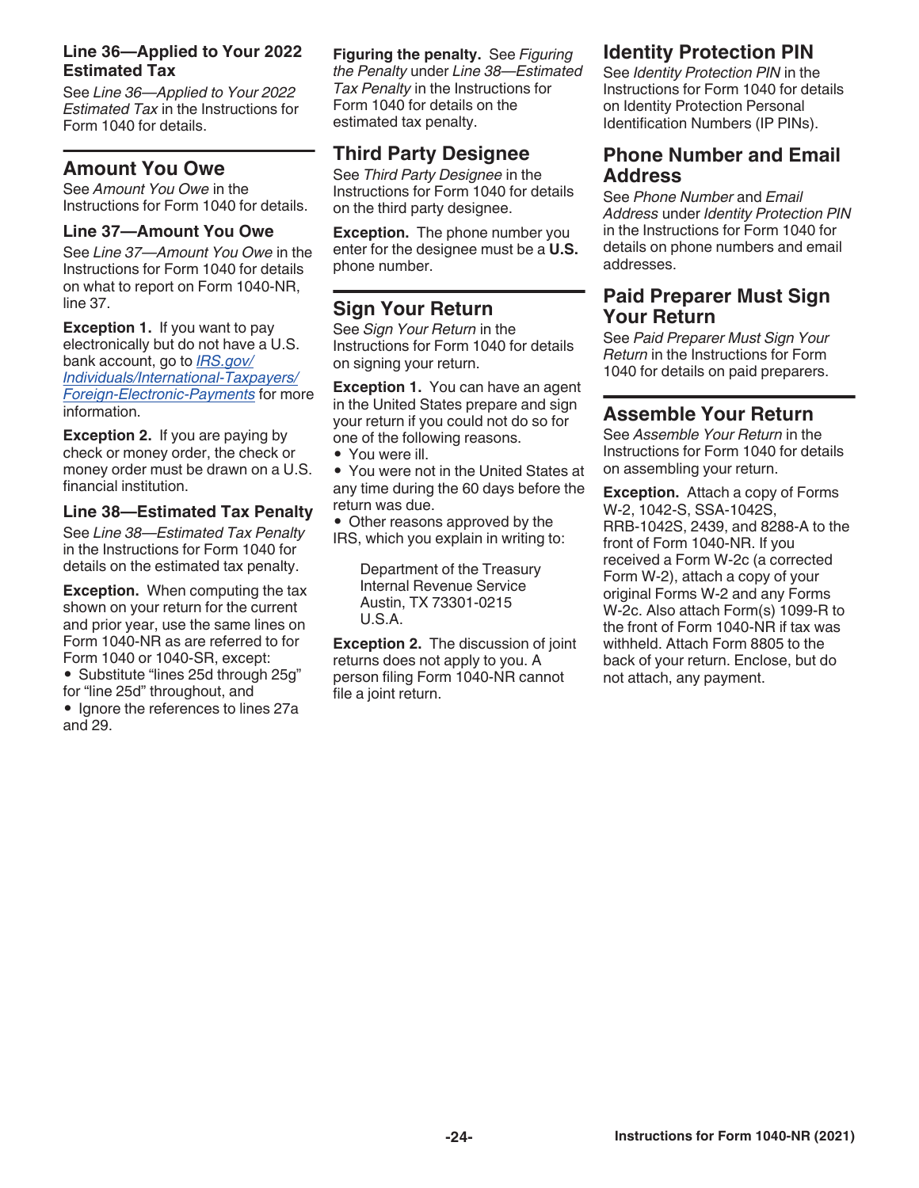### **Line 36—Applied to Your 2022 Estimated Tax**

See *Line 36—Applied to Your 2022 Estimated Tax* in the Instructions for Form 1040 for details.

### **Amount You Owe**

See *Amount You Owe* in the Instructions for Form 1040 for details.

### **Line 37—Amount You Owe**

See *Line 37—Amount You Owe* in the Instructions for Form 1040 for details on what to report on Form 1040-NR, line 37.

**Exception 1.** If you want to pay electronically but do not have a U.S. bank account, go to *[IRS.gov/](https://www.irs.gov/individuals/international-taxpayers/foreign-electronic-payments) [Individuals/International-Taxpayers/](https://www.irs.gov/individuals/international-taxpayers/foreign-electronic-payments) [Foreign-Electronic-Payments](https://www.irs.gov/individuals/international-taxpayers/foreign-electronic-payments)* for more information.

**Exception 2.** If you are paying by check or money order, the check or money order must be drawn on a U.S. financial institution.

### **Line 38—Estimated Tax Penalty**

See *Line 38—Estimated Tax Penalty*  in the Instructions for Form 1040 for details on the estimated tax penalty.

**Exception.** When computing the tax shown on your return for the current and prior year, use the same lines on Form 1040-NR as are referred to for Form 1040 or 1040-SR, except:

• Substitute "lines 25d through 25g" for "line 25d" throughout, and

• Ignore the references to lines 27a and 29.

**Figuring the penalty.** See *Figuring the Penalty* under *Line 38—Estimated Tax Penalty* in the Instructions for Form 1040 for details on the estimated tax penalty.

# **Third Party Designee**

See *Third Party Designee* in the Instructions for Form 1040 for details on the third party designee.

**Exception.** The phone number you enter for the designee must be a **U.S.**  phone number.

# **Sign Your Return**

See *Sign Your Return* in the Instructions for Form 1040 for details on signing your return.

**Exception 1.** You can have an agent in the United States prepare and sign your return if you could not do so for one of the following reasons.

• You were ill.

• You were not in the United States at any time during the 60 days before the return was due.

• Other reasons approved by the IRS, which you explain in writing to:

> Department of the Treasury Internal Revenue Service Austin, TX 73301-0215 U.S.A.

**Exception 2.** The discussion of joint returns does not apply to you. A person filing Form 1040-NR cannot file a joint return.

# **Identity Protection PIN**

See *Identity Protection PIN* in the Instructions for Form 1040 for details on Identity Protection Personal Identification Numbers (IP PINs).

### **Phone Number and Email Address**

See *Phone Number* and *Email Address* under *Identity Protection PIN*  in the Instructions for Form 1040 for details on phone numbers and email addresses.

### **Paid Preparer Must Sign Your Return**

See *Paid Preparer Must Sign Your Return* in the Instructions for Form 1040 for details on paid preparers.

### **Assemble Your Return**

See *Assemble Your Return* in the Instructions for Form 1040 for details on assembling your return.

**Exception.** Attach a copy of Forms W-2, 1042-S, SSA-1042S, RRB-1042S, 2439, and 8288-A to the front of Form 1040-NR. If you received a Form W-2c (a corrected Form W-2), attach a copy of your original Forms W-2 and any Forms W-2c. Also attach Form(s) 1099-R to the front of Form 1040-NR if tax was withheld. Attach Form 8805 to the back of your return. Enclose, but do not attach, any payment.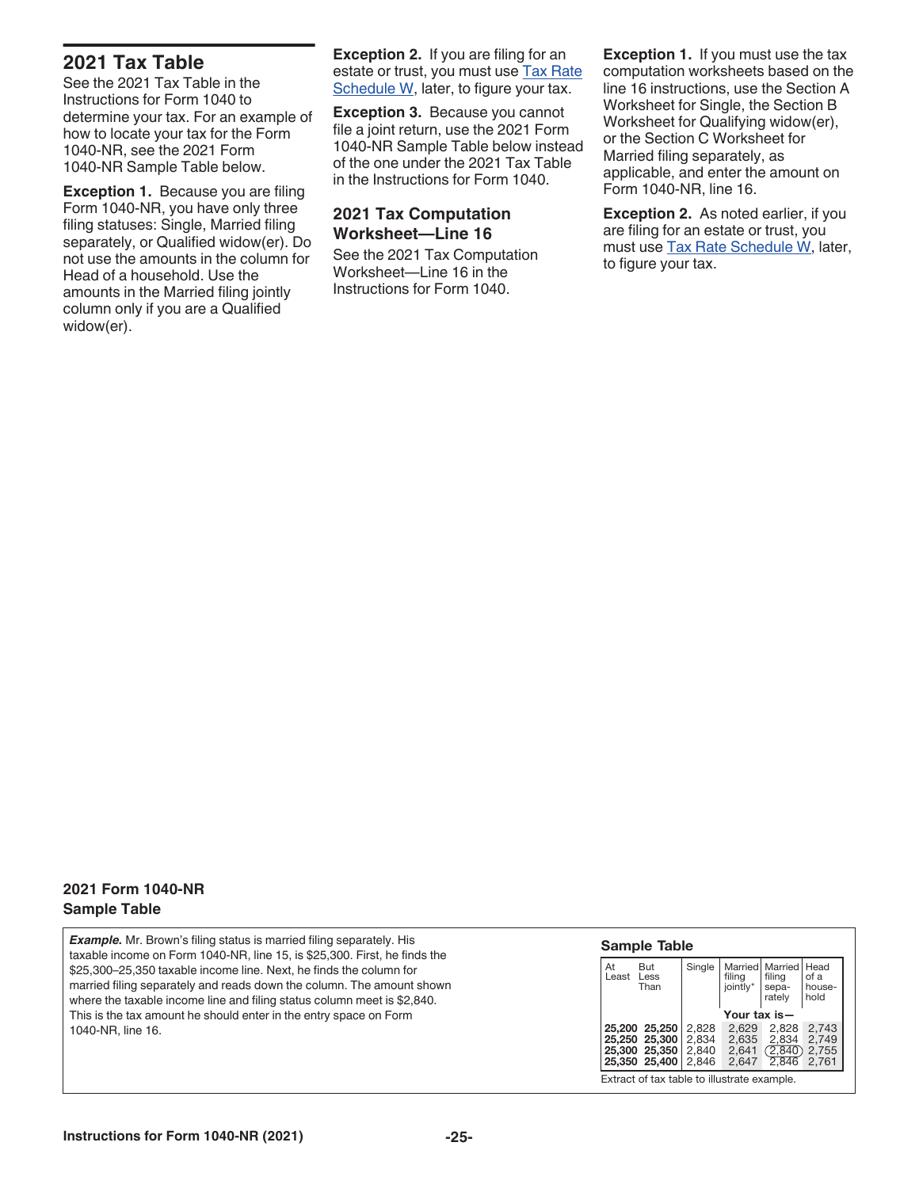### **2021 Tax Table**

See the 2021 Tax Table in the Instructions for Form 1040 to determine your tax. For an example of how to locate your tax for the Form 1040-NR, see the 2021 Form 1040-NR Sample Table below.

**Exception 1. Because you are filing** Form 1040-NR, you have only three filing statuses: Single, Married filing separately, or Qualified widow(er). Do not use the amounts in the column for Head of a household. Use the amounts in the Married filing jointly column only if you are a Qualified widow(er).

**Exception 2.** If you are filing for an estate or trust, you must use Tax Rate Schedule W, later, to figure your tax.

**Exception 3.** Because you cannot file a joint return, use the 2021 Form 1040-NR Sample Table below instead of the one under the 2021 Tax Table in the Instructions for Form 1040.

### **2021 Tax Computation Worksheet—Line 16**

See the 2021 Tax Computation Worksheet—Line 16 in the Instructions for Form 1040.

**Exception 1.** If you must use the tax computation worksheets based on the line 16 instructions, use the Section A Worksheet for Single, the Section B Worksheet for Qualifying widow(er), or the Section C Worksheet for Married filing separately, as applicable, and enter the amount on Form 1040-NR, line 16.

**Exception 2.** As noted earlier, if you are filing for an estate or trust, you must use Tax Rate Schedule W, later, to figure your tax.

### **2021 Form 1040-NR Sample Table**

*Example.* Mr. Brown's filing status is married filing separately. His taxable income on Form 1040-NR, line 15, is \$25,300. First, he finds the \$25,300–25,350 taxable income line. Next, he finds the column for married filing separately and reads down the column. The amount shown where the taxable income line and filing status column meet is \$2,840. This is the tax amount he should enter in the entry space on Form 1040-NR, line 16.

| At<br>But<br>Less<br>Least<br>Than                               | Single                           | filing<br>jointly* sepa- | Married   Married   Head<br>filing<br>rately | of a<br>house-<br>hold           |  |  |  |
|------------------------------------------------------------------|----------------------------------|--------------------------|----------------------------------------------|----------------------------------|--|--|--|
|                                                                  | Your tax is—                     |                          |                                              |                                  |  |  |  |
| 25,200 25,250<br>25,250 25,300<br>25,300 25,350<br>25.350 25.400 | 2.828<br>2.834<br>2,840<br>2.846 | 2.629<br>2.635<br>2.647  | 2.828<br>2.834<br>2,641(2,840)<br>2.846      | 2.743<br>2,749<br>2,755<br>2.761 |  |  |  |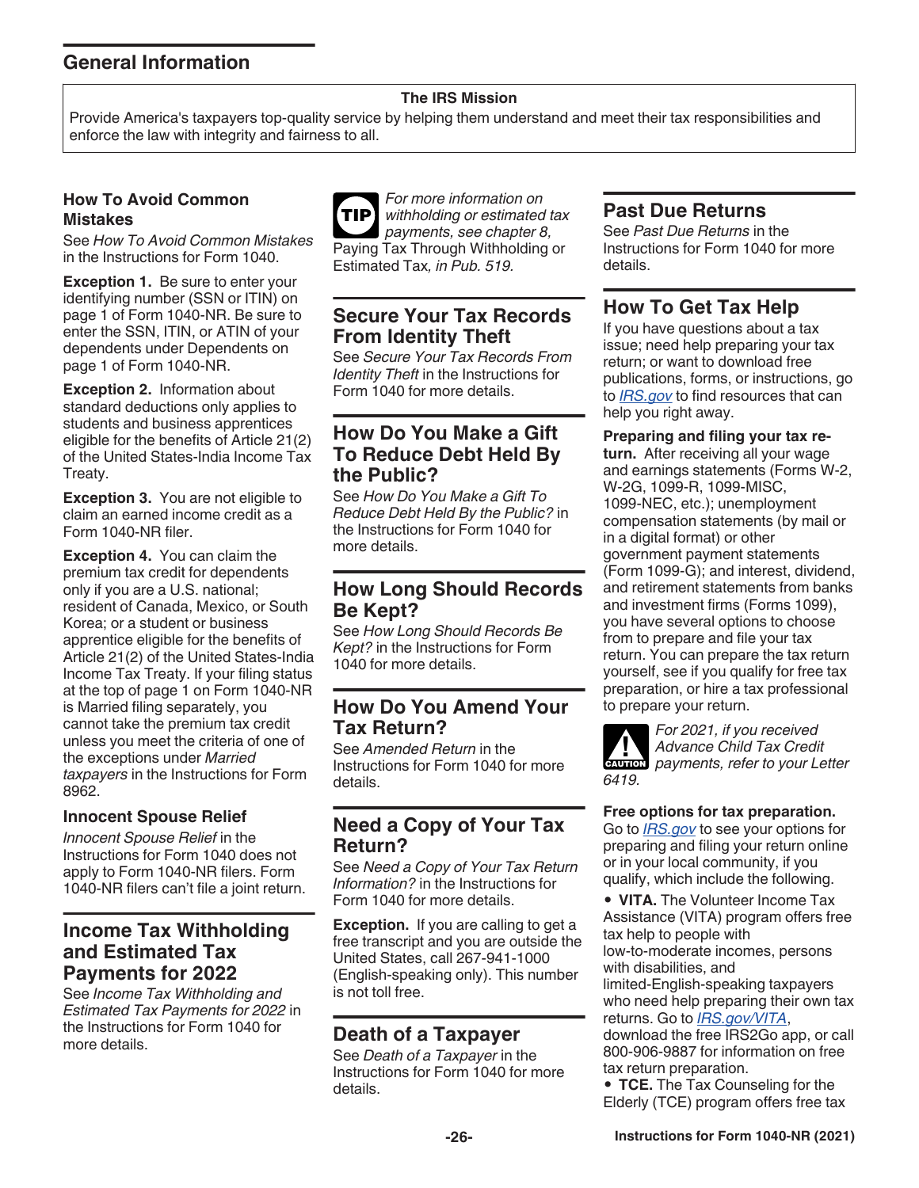# **General Information**

### **The IRS Mission**

Provide America's taxpayers top-quality service by helping them understand and meet their tax responsibilities and enforce the law with integrity and fairness to all.

### **How To Avoid Common Mistakes**

See *How To Avoid Common Mistakes*  in the Instructions for Form 1040.

**Exception 1.** Be sure to enter your identifying number (SSN or ITIN) on page 1 of Form 1040-NR. Be sure to enter the SSN, ITIN, or ATIN of your dependents under Dependents on page 1 of Form 1040-NR.

**Exception 2.** Information about standard deductions only applies to students and business apprentices eligible for the benefits of Article 21(2) of the United States-India Income Tax Treaty.

**Exception 3.** You are not eligible to claim an earned income credit as a Form 1040-NR filer.

**Exception 4.** You can claim the premium tax credit for dependents only if you are a U.S. national; resident of Canada, Mexico, or South Korea; or a student or business apprentice eligible for the benefits of Article 21(2) of the United States-India Income Tax Treaty. If your filing status at the top of page 1 on Form 1040-NR is Married filing separately, you cannot take the premium tax credit unless you meet the criteria of one of the exceptions under *Married taxpayers* in the Instructions for Form 8962.

### **Innocent Spouse Relief**

*Innocent Spouse Relief* in the Instructions for Form 1040 does not apply to Form 1040-NR filers. Form 1040-NR filers can't file a joint return.

### **Income Tax Withholding and Estimated Tax Payments for 2022**

See *Income Tax Withholding and Estimated Tax Payments for 2022* in the Instructions for Form 1040 for more details.



### **Secure Your Tax Records From Identity Theft**

See *Secure Your Tax Records From Identity Theft* in the Instructions for Form 1040 for more details.

### **How Do You Make a Gift To Reduce Debt Held By the Public?**

See *How Do You Make a Gift To Reduce Debt Held By the Public?* in the Instructions for Form 1040 for more details.

### **How Long Should Records Be Kept?**

See *How Long Should Records Be Kept?* in the Instructions for Form 1040 for more details.

### **How Do You Amend Your Tax Return?**

See *Amended Return* in the Instructions for Form 1040 for more details.

### **Need a Copy of Your Tax Return?**

See *Need a Copy of Your Tax Return Information?* in the Instructions for Form 1040 for more details.

**Exception.** If you are calling to get a free transcript and you are outside the United States, call 267-941-1000 (English-speaking only). This number is not toll free.

### **Death of a Taxpayer**

See *Death of a Taxpayer* in the Instructions for Form 1040 for more details.

### **Past Due Returns**

See *Past Due Returns* in the Instructions for Form 1040 for more details.

# **How To Get Tax Help**

If you have questions about a tax issue; need help preparing your tax return; or want to download free publications, forms, or instructions, go to *[IRS.gov](https://www.irs.gov)* to find resources that can help you right away.

**Preparing and filing your tax re-**

**turn.** After receiving all your wage and earnings statements (Forms W-2, W-2G, 1099-R, 1099-MISC, 1099-NEC, etc.); unemployment compensation statements (by mail or in a digital format) or other government payment statements (Form 1099-G); and interest, dividend, and retirement statements from banks and investment firms (Forms 1099), you have several options to choose from to prepare and file your tax return. You can prepare the tax return yourself, see if you qualify for free tax preparation, or hire a tax professional to prepare your return.



*For 2021, if you received Advance Child Tax Credit Advance Child Tax Credit*<br> **EAUTION** payments, refer to your Letter

### **Free options for tax preparation.**

Go to *[IRS.gov](https://www.irs.gov)* to see your options for preparing and filing your return online or in your local community, if you qualify, which include the following.

• **VITA.** The Volunteer Income Tax Assistance (VITA) program offers free tax help to people with low-to-moderate incomes, persons with disabilities, and limited-English-speaking taxpayers who need help preparing their own tax returns. Go to *[IRS.gov/VITA](https://www.IRS.gov/vita)*, download the free IRS2Go app, or call 800-906-9887 for information on free

tax return preparation. • **TCE.** The Tax Counseling for the Elderly (TCE) program offers free tax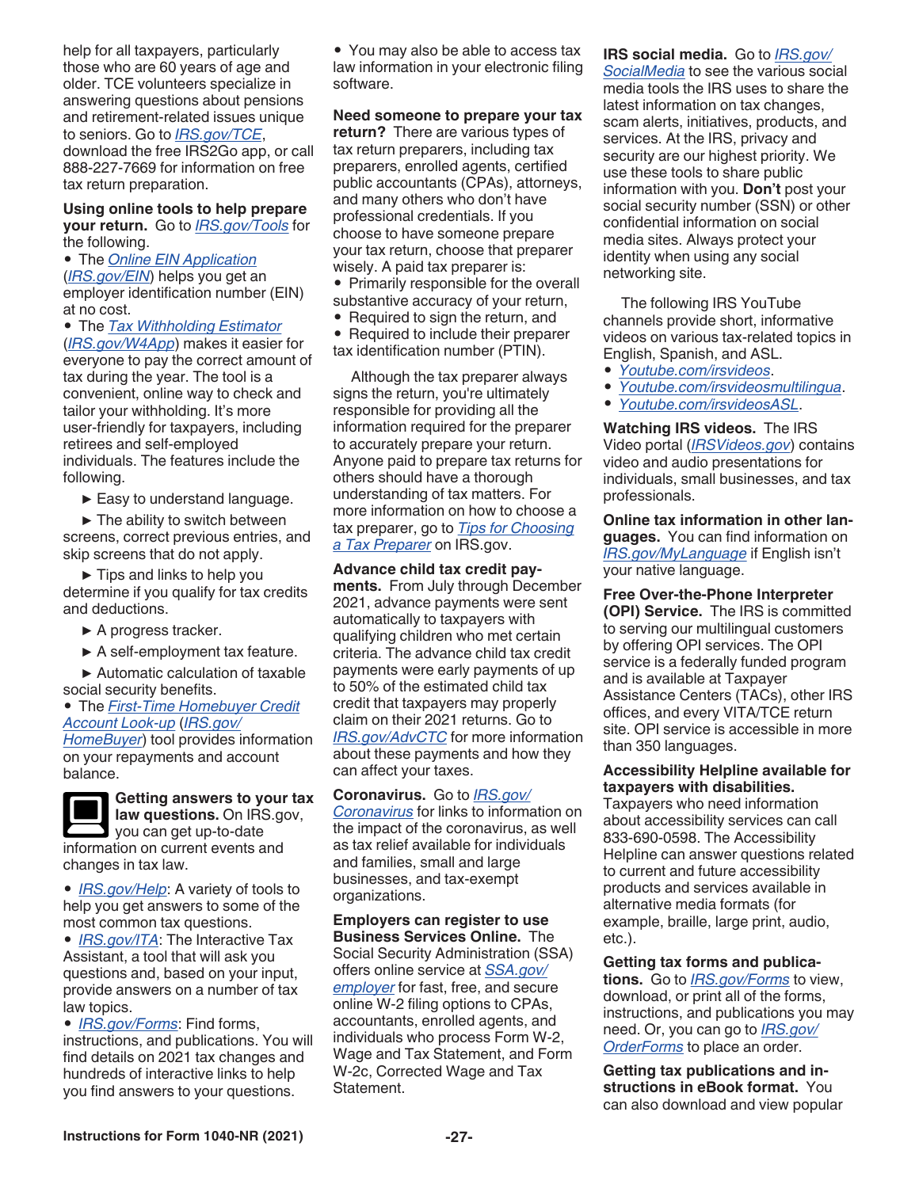help for all taxpayers, particularly those who are 60 years of age and older. TCE volunteers specialize in answering questions about pensions and retirement-related issues unique to seniors. Go to *[IRS.gov/TCE](https://www.IRS.gov/tce)*, download the free IRS2Go app, or call 888-227-7669 for information on free tax return preparation.

#### **Using online tools to help prepare your return.** Go to *[IRS.gov/Tools](https://www.IRS.gov/tools)* for the following.

• The *[Online EIN Application](https://www.irs.gov/ein)*  (*[IRS.gov/EIN](https://www.irs.gov/ein)*) helps you get an employer identification number (EIN) at no cost.

• The *[Tax Withholding Estimator](https://www.irs.gov/individuals/tax-withholding-estimator)* 

(*[IRS.gov/W4App](https://www.IRS.gov/w4app)*) makes it easier for everyone to pay the correct amount of tax during the year. The tool is a convenient, online way to check and tailor your withholding. It's more user-friendly for taxpayers, including retirees and self-employed individuals. The features include the following.

 $\blacktriangleright$  Easy to understand language.

 $\blacktriangleright$  The ability to switch between screens, correct previous entries, and skip screens that do not apply.

▶ Tips and links to help you determine if you qualify for tax credits and deductions.

▶ A progress tracker.

▶ A self-employment tax feature.

▶ Automatic calculation of taxable social security benefits.

• The *[First-Time Homebuyer Credit](https://www.irs.gov/homebuyer)  [Account Look-up](https://www.irs.gov/homebuyer)* (*[IRS.gov/](https://www.irs.gov/homebuyer) [HomeBuyer](https://www.irs.gov/homebuyer)*) tool provides information on your repayments and account balance.



**Getting answers to your tax** 

**law questions.** On IRS.gov, you can get up-to-date information on current events and changes in tax law.

• *[IRS.gov/Help](https://www.irs.gov/help)*: A variety of tools to help you get answers to some of the most common tax questions.

• *[IRS.gov/ITA](https://www.irs.gov/ita)*: The Interactive Tax Assistant, a tool that will ask you questions and, based on your input, provide answers on a number of tax law topics.

• *[IRS.gov/Forms](https://www.irs.gov/forms-instructions)*: Find forms, instructions, and publications. You will find details on 2021 tax changes and hundreds of interactive links to help you find answers to your questions.

• You may also be able to access tax law information in your electronic filing software.

#### **Need someone to prepare your tax**

**return?** There are various types of tax return preparers, including tax preparers, enrolled agents, certified public accountants (CPAs), attorneys, and many others who don't have professional credentials. If you choose to have someone prepare your tax return, choose that preparer wisely. A paid tax preparer is:

• Primarily responsible for the overall substantive accuracy of your return,

- Required to sign the return, and
- Required to include their preparer tax identification number (PTIN).

Although the tax preparer always signs the return, you're ultimately responsible for providing all the information required for the preparer to accurately prepare your return. Anyone paid to prepare tax returns for others should have a thorough understanding of tax matters. For more information on how to choose a tax preparer, go to *[Tips for Choosing](https://www.irs.gov/tax-professionals/choosing-a-tax-professional)  [a Tax Preparer](https://www.irs.gov/tax-professionals/choosing-a-tax-professional)* on IRS.gov.

**Advance child tax credit payments.** From July through December 2021, advance payments were sent automatically to taxpayers with qualifying children who met certain criteria. The advance child tax credit payments were early payments of up to 50% of the estimated child tax credit that taxpayers may properly claim on their 2021 returns. Go to *[IRS.gov/AdvCTC](https://www.irs.gov/advctc)* for more information about these payments and how they can affect your taxes.

**Coronavirus.** Go to *[IRS.gov/](https://www.irs.gov/coronavirus) [Coronavirus](https://www.irs.gov/coronavirus)* for links to information on the impact of the coronavirus, as well as tax relief available for individuals and families, small and large businesses, and tax-exempt organizations.

**Employers can register to use Business Services Online.** The Social Security Administration (SSA) offers online service at *[SSA.gov/](https://www.ssa.gov/employer/) [employer](https://www.ssa.gov/employer/)* for fast, free, and secure online W-2 filing options to CPAs, accountants, enrolled agents, and individuals who process Form W-2, Wage and Tax Statement, and Form W-2c, Corrected Wage and Tax Statement.

#### **IRS social media.** Go to *[IRS.gov/](https://www.irs.gov/newsroom/irs-new-media-1) [SocialMedia](https://www.irs.gov/newsroom/irs-new-media-1)* to see the various social media tools the IRS uses to share the latest information on tax changes, scam alerts, initiatives, products, and services. At the IRS, privacy and security are our highest priority. We use these tools to share public information with you. **Don't** post your

social security number (SSN) or other confidential information on social media sites. Always protect your identity when using any social networking site.

The following IRS YouTube channels provide short, informative videos on various tax-related topics in English, Spanish, and ASL.

- *[Youtube.com/irsvideos](https://www.youtube.com/user/irsvideos)*.
- *[Youtube.com/irsvideosmultilingua](https://www.youtube.com/user/IRSvideosmultilingua)*.
- *[Youtube.com/irsvideosASL](https://www.youtube.com/user/IRSvideosASL)*.

**Watching IRS videos.** The IRS Video portal (*[IRSVideos.gov](http://www.irsvideos.gov/)*) contains video and audio presentations for individuals, small businesses, and tax professionals.

**Online tax information in other languages.** You can find information on *[IRS.gov/MyLanguage](https://www.irs.gov/mylanguage)* if English isn't your native language.

**Free Over-the-Phone Interpreter (OPI) Service.** The IRS is committed to serving our multilingual customers by offering OPI services. The OPI service is a federally funded program and is available at Taxpayer Assistance Centers (TACs), other IRS offices, and every VITA/TCE return site. OPI service is accessible in more than 350 languages.

**Accessibility Helpline available for taxpayers with disabilities.** 

Taxpayers who need information about accessibility services can call 833-690-0598. The Accessibility Helpline can answer questions related to current and future accessibility products and services available in alternative media formats (for example, braille, large print, audio, etc.).

**Getting tax forms and publications.** Go to *[IRS.gov/Forms](https://www.IRS.gov/forms)* to view, download, or print all of the forms, instructions, and publications you may need. Or, you can go to *[IRS.gov/](https://www.IRS.gov/orderforms) [OrderForms](https://www.IRS.gov/orderforms)* to place an order.

**Getting tax publications and instructions in eBook format.** You can also download and view popular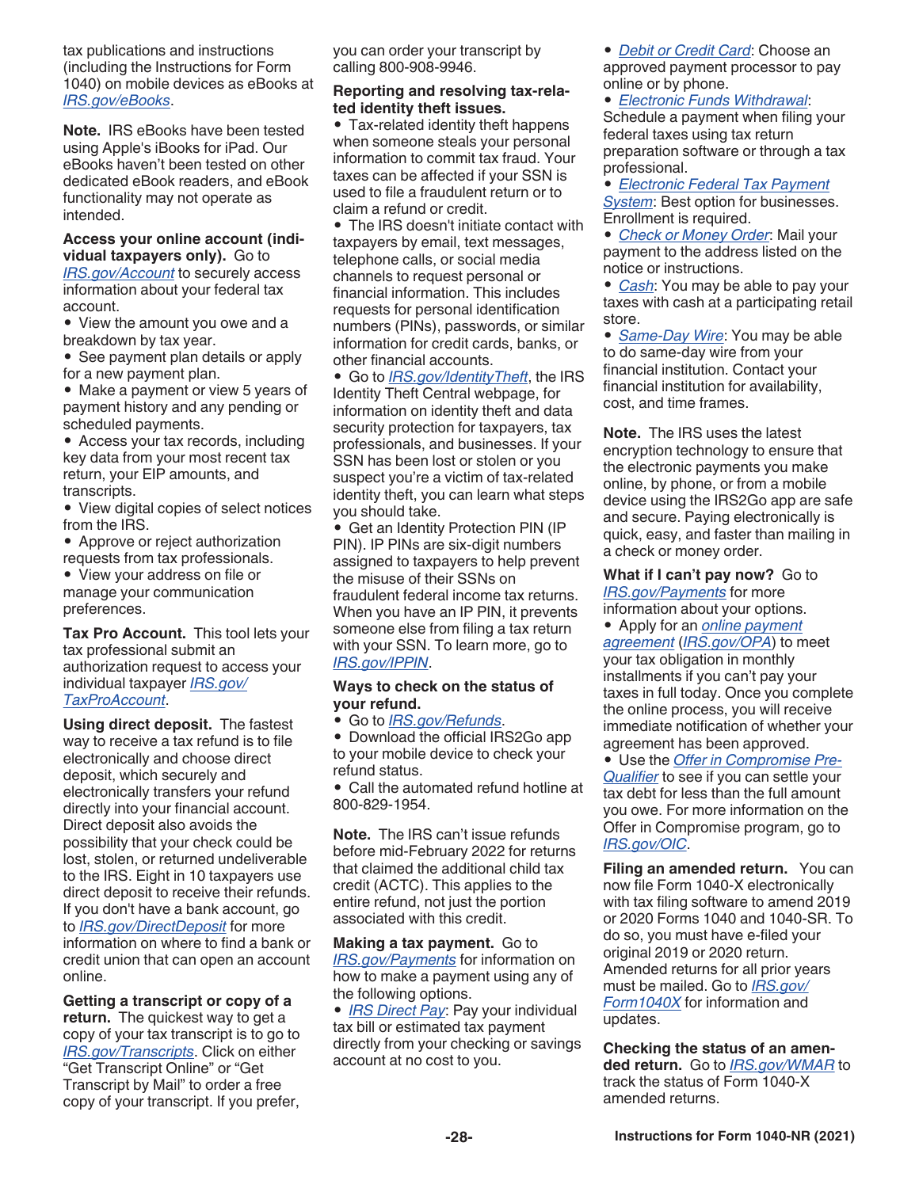tax publications and instructions (including the Instructions for Form 1040) on mobile devices as eBooks at *[IRS.gov/eBooks](https://www.irs.gov/ebooks)*.

**Note.** IRS eBooks have been tested using Apple's iBooks for iPad. Our eBooks haven't been tested on other dedicated eBook readers, and eBook functionality may not operate as intended.

**Access your online account (individual taxpayers only).** Go to *[IRS.gov/Account](https://www.irs.gov/account)* to securely access information about your federal tax account.

• View the amount you owe and a breakdown by tax year.

• See payment plan details or apply for a new payment plan.

• Make a payment or view 5 years of payment history and any pending or scheduled payments.

• Access your tax records, including key data from your most recent tax return, your EIP amounts, and transcripts.

• View digital copies of select notices from the IRS.

• Approve or reject authorization requests from tax professionals.

• View your address on file or manage your communication preferences.

**Tax Pro Account.** This tool lets your tax professional submit an authorization request to access your individual taxpayer *[IRS.gov/](https://www.irs.gov/account) [TaxProAccount](https://www.irs.gov/account)*.

**Using direct deposit.** The fastest way to receive a tax refund is to file electronically and choose direct deposit, which securely and electronically transfers your refund directly into your financial account. Direct deposit also avoids the possibility that your check could be lost, stolen, or returned undeliverable to the IRS. Eight in 10 taxpayers use direct deposit to receive their refunds. If you don't have a bank account, go to *[IRS.gov/DirectDeposit](https://www.irs.gov/directdeposit)* for more information on where to find a bank or credit union that can open an account online.

**Getting a transcript or copy of a return.** The quickest way to get a copy of your tax transcript is to go to *[IRS.gov/Transcripts](https://www.IRS.gov/transcripts)*. Click on either "Get Transcript Online" or "Get Transcript by Mail" to order a free copy of your transcript. If you prefer, you can order your transcript by calling 800-908-9946.

### **Reporting and resolving tax-related identity theft issues.**

• Tax-related identity theft happens when someone steals your personal information to commit tax fraud. Your taxes can be affected if your SSN is used to file a fraudulent return or to claim a refund or credit.

• The IRS doesn't initiate contact with taxpayers by email, text messages, telephone calls, or social media channels to request personal or financial information. This includes requests for personal identification numbers (PINs), passwords, or similar information for credit cards, banks, or other financial accounts.

• Go to *[IRS.gov/IdentityTheft](https://www.irs.gov/idprotection)*, the IRS Identity Theft Central webpage, for information on identity theft and data security protection for taxpayers, tax professionals, and businesses. If your SSN has been lost or stolen or you suspect you're a victim of tax-related identity theft, you can learn what steps you should take.

• Get an Identity Protection PIN (IP PIN). IP PINs are six-digit numbers assigned to taxpayers to help prevent the misuse of their SSNs on fraudulent federal income tax returns. When you have an IP PIN, it prevents someone else from filing a tax return with your SSN. To learn more, go to *[IRS.gov/IPPIN](https://www.irs.gov/ippin)*.

#### **Ways to check on the status of your refund.**

• Go to *[IRS.gov/Refunds](https://www.irs.gov/Refunds)*.

• Download the official IRS2Go app to your mobile device to check your refund status.

• Call the automated refund hotline at 800-829-1954.

**Note.** The IRS can't issue refunds before mid-February 2022 for returns that claimed the additional child tax credit (ACTC). This applies to the entire refund, not just the portion associated with this credit.

**Making a tax payment.** Go to *[IRS.gov/Payments](https://www.irs.gov/payments)* for information on how to make a payment using any of the following options.

• *[IRS Direct Pay](https://www.irs.gov/Payments/Direct-Pay)*: Pay your individual tax bill or estimated tax payment directly from your checking or savings account at no cost to you.

• *[Debit or Credit Card](https://www.irs.gov/payments/pay-taxes-by-credit-or-debit-card)*: Choose an approved payment processor to pay online or by phone.

• *[Electronic Funds Withdrawal](https://www.irs.gov/payments/pay-taxes-by-electronic-funds-withdrawal)*: Schedule a payment when filing your federal taxes using tax return preparation software or through a tax professional.

• *[Electronic Federal Tax Payment](https://www.irs.gov/payments/eftps-the-electronic-federal-tax-payment-system)  [System](https://www.irs.gov/payments/eftps-the-electronic-federal-tax-payment-system)*: Best option for businesses. Enrollment is required.

• *[Check or Money Order](https://www.irs.gov/payments/pay-by-check-or-money-order)*: Mail your payment to the address listed on the notice or instructions.

• *[Cash](https://www.irs.gov/payments/pay-with-cash-at-a-retail-partner)*: You may be able to pay your taxes with cash at a participating retail store.

• *[Same-Day Wire](https://www.irs.gov/payments/same-day-wire-federal-tax-payments)*: You may be able to do same-day wire from your financial institution. Contact your financial institution for availability, cost, and time frames.

**Note.** The IRS uses the latest encryption technology to ensure that the electronic payments you make online, by phone, or from a mobile device using the IRS2Go app are safe and secure. Paying electronically is quick, easy, and faster than mailing in a check or money order.

**What if I can't pay now?** Go to *[IRS.gov/Payments](https://www.irs.gov/payments)* for more

information about your options.

• Apply for an *[online payment](https://www.irs.gov/opa)  [agreement](https://www.irs.gov/opa)* (*[IRS.gov/OPA](https://www.irs.gov/opa)*) to meet your tax obligation in monthly installments if you can't pay your taxes in full today. Once you complete the online process, you will receive immediate notification of whether your agreement has been approved.

• Use the *[Offer in Compromise Pre-](https://irs.treasury.gov/oic_pre_qualifier/)[Qualifier](https://irs.treasury.gov/oic_pre_qualifier/)* to see if you can settle your tax debt for less than the full amount you owe. For more information on the Offer in Compromise program, go to *[IRS.gov/OIC](https://www.irs.gov/oic)*.

**Filing an amended return.** You can now file Form 1040-X electronically with tax filing software to amend 2019 or 2020 Forms 1040 and 1040-SR. To do so, you must have e-filed your original 2019 or 2020 return. Amended returns for all prior years must be mailed. Go to *[IRS.gov/](https://www.irs.gov/form1040X) [Form1040X](https://www.irs.gov/form1040X)* for information and updates.

**Checking the status of an amended return.** Go to *[IRS.gov/WMAR](https://www.irs.gov/wmar)* to track the status of Form 1040-X amended returns.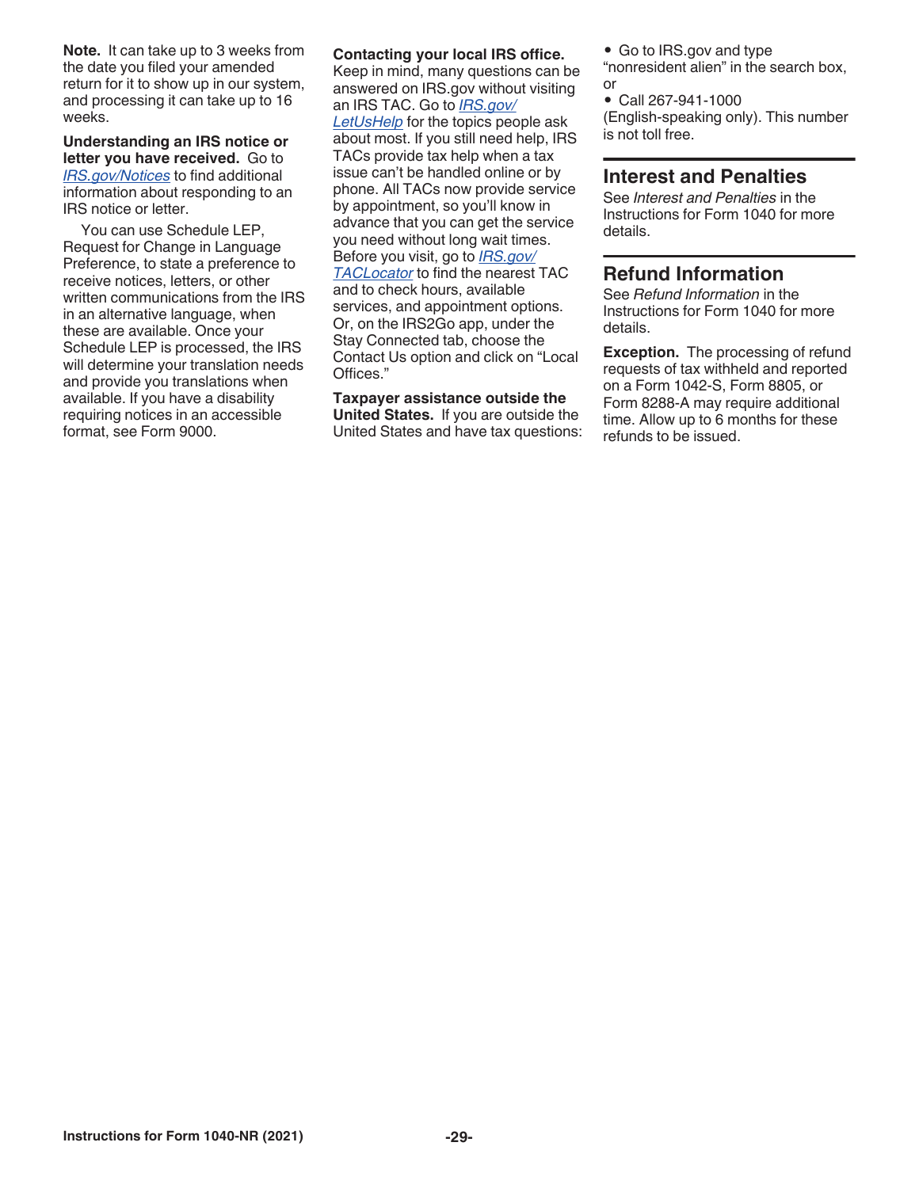**Note.** It can take up to 3 weeks from the date you filed your amended return for it to show up in our system, and processing it can take up to 16 weeks.

**Understanding an IRS notice or letter you have received.** Go to *[IRS.gov/Notices](https://www.IRS.gov/notices)* to find additional information about responding to an IRS notice or letter.

You can use Schedule LEP, Request for Change in Language Preference, to state a preference to receive notices, letters, or other written communications from the IRS in an alternative language, when these are available. Once your Schedule LEP is processed, the IRS will determine your translation needs and provide you translations when available. If you have a disability requiring notices in an accessible format, see Form 9000.

### **Contacting your local IRS office.**

Keep in mind, many questions can be answered on IRS.gov without visiting an IRS TAC. Go to *[IRS.gov/](https://www.irs.gov/letushelp) [LetUsHelp](https://www.irs.gov/letushelp)* for the topics people ask about most. If you still need help, IRS TACs provide tax help when a tax issue can't be handled online or by phone. All TACs now provide service by appointment, so you'll know in advance that you can get the service you need without long wait times. Before you visit, go to *[IRS.gov/](https://www.irs.gov/taclocator) [TACLocator](https://www.irs.gov/taclocator)* to find the nearest TAC and to check hours, available services, and appointment options. Or, on the IRS2Go app, under the Stay Connected tab, choose the Contact Us option and click on "Local Offices."

### **Taxpayer assistance outside the**

**United States.** If you are outside the United States and have tax questions: • Go to IRS.gov and type

"nonresident alien" in the search box, or

• Call 267-941-1000 (English-speaking only). This number is not toll free.

### **Interest and Penalties**

See *Interest and Penalties* in the Instructions for Form 1040 for more details.

### **Refund Information**

See *Refund Information* in the Instructions for Form 1040 for more details.

**Exception.** The processing of refund requests of tax withheld and reported on a Form 1042-S, Form 8805, or Form 8288-A may require additional time. Allow up to 6 months for these refunds to be issued.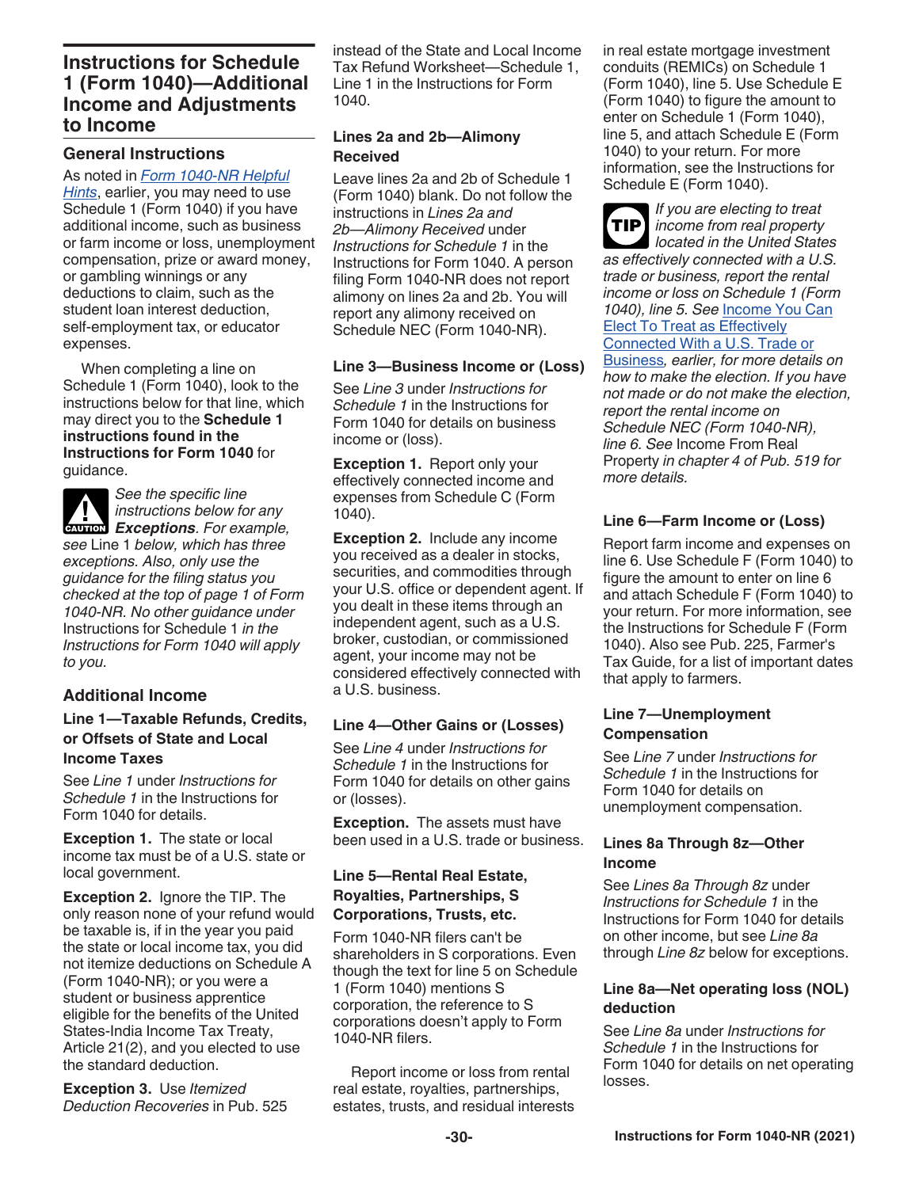### **Instructions for Schedule 1 (Form 1040)—Additional Income and Adjustments to Income**

### **General Instructions**

As noted in *Form 1040-NR Helpful Hints*, earlier, you may need to use Schedule 1 (Form 1040) if you have additional income, such as business or farm income or loss, unemployment compensation, prize or award money, or gambling winnings or any deductions to claim, such as the student loan interest deduction, self-employment tax, or educator expenses.

When completing a line on Schedule 1 (Form 1040), look to the instructions below for that line, which may direct you to the **Schedule 1 instructions found in the Instructions for Form 1040** for guidance.



*See the specific line instructions below for any*  **Exceptions** *Exceptions*. For example,

*see* Line 1 *below, which has three exceptions. Also, only use the guidance for the filing status you checked at the top of page 1 of Form 1040-NR. No other guidance under*  Instructions for Schedule 1 *in the Instructions for Form 1040 will apply to you.*

### **Additional Income**

### **Line 1—Taxable Refunds, Credits, or Offsets of State and Local Income Taxes**

See *Line 1* under *Instructions for Schedule 1* in the Instructions for Form 1040 for details.

**Exception 1.** The state or local income tax must be of a U.S. state or local government.

**Exception 2.** Ignore the TIP. The only reason none of your refund would be taxable is, if in the year you paid the state or local income tax, you did not itemize deductions on Schedule A (Form 1040-NR); or you were a student or business apprentice eligible for the benefits of the United States-India Income Tax Treaty, Article 21(2), and you elected to use the standard deduction.

**Exception 3.** Use *Itemized Deduction Recoveries* in Pub. 525 instead of the State and Local Income Tax Refund Worksheet—Schedule 1, Line 1 in the Instructions for Form 1040.

### **Lines 2a and 2b—Alimony Received**

Leave lines 2a and 2b of Schedule 1 (Form 1040) blank. Do not follow the instructions in *Lines 2a and 2b—Alimony Received* under *Instructions for Schedule 1* in the Instructions for Form 1040. A person filing Form 1040-NR does not report alimony on lines 2a and 2b. You will report any alimony received on Schedule NEC (Form 1040-NR).

### **Line 3—Business Income or (Loss)**

See *Line 3* under *Instructions for Schedule 1* in the Instructions for Form 1040 for details on business income or (loss).

**Exception 1. Report only your** effectively connected income and expenses from Schedule C (Form 1040).

**Exception 2.** Include any income you received as a dealer in stocks, securities, and commodities through your U.S. office or dependent agent. If you dealt in these items through an independent agent, such as a U.S. broker, custodian, or commissioned agent, your income may not be considered effectively connected with a U.S. business.

### **Line 4—Other Gains or (Losses)**

See *Line 4* under *Instructions for Schedule 1* in the Instructions for Form 1040 for details on other gains or (losses).

**Exception.** The assets must have been used in a U.S. trade or business.

### **Line 5—Rental Real Estate, Royalties, Partnerships, S Corporations, Trusts, etc.**

Form 1040-NR filers can't be shareholders in S corporations. Even though the text for line 5 on Schedule 1 (Form 1040) mentions S corporation, the reference to S corporations doesn't apply to Form 1040-NR filers.

Report income or loss from rental real estate, royalties, partnerships, estates, trusts, and residual interests in real estate mortgage investment conduits (REMICs) on Schedule 1 (Form 1040), line 5. Use Schedule E (Form 1040) to figure the amount to enter on Schedule 1 (Form 1040), line 5, and attach Schedule E (Form 1040) to your return. For more information, see the Instructions for Schedule E (Form 1040).

*If you are electing to treat income from real property*  **TIP** *located in the United States as effectively connected with a U.S. trade or business, report the rental income or loss on Schedule 1 (Form 1040), line 5. See* Income You Can Elect To Treat as Effectively Connected With a U.S. Trade or Business*, earlier, for more details on how to make the election. If you have not made or do not make the election, report the rental income on Schedule NEC (Form 1040-NR), line 6. See* Income From Real Property *in chapter 4 of Pub. 519 for more details.*

### **Line 6—Farm Income or (Loss)**

Report farm income and expenses on line 6. Use Schedule F (Form 1040) to figure the amount to enter on line 6 and attach Schedule F (Form 1040) to your return. For more information, see the Instructions for Schedule F (Form 1040). Also see Pub. 225, Farmer's Tax Guide, for a list of important dates that apply to farmers.

### **Line 7—Unemployment Compensation**

See *Line 7* under *Instructions for Schedule 1* in the Instructions for Form 1040 for details on unemployment compensation.

### **Lines 8a Through 8z—Other Income**

See *Lines 8a Through 8z* under *Instructions for Schedule 1* in the Instructions for Form 1040 for details on other income, but see *Line 8a*  through *Line 8z* below for exceptions.

### **Line 8a—Net operating loss (NOL) deduction**

See *Line 8a* under *Instructions for Schedule 1* in the Instructions for Form 1040 for details on net operating losses.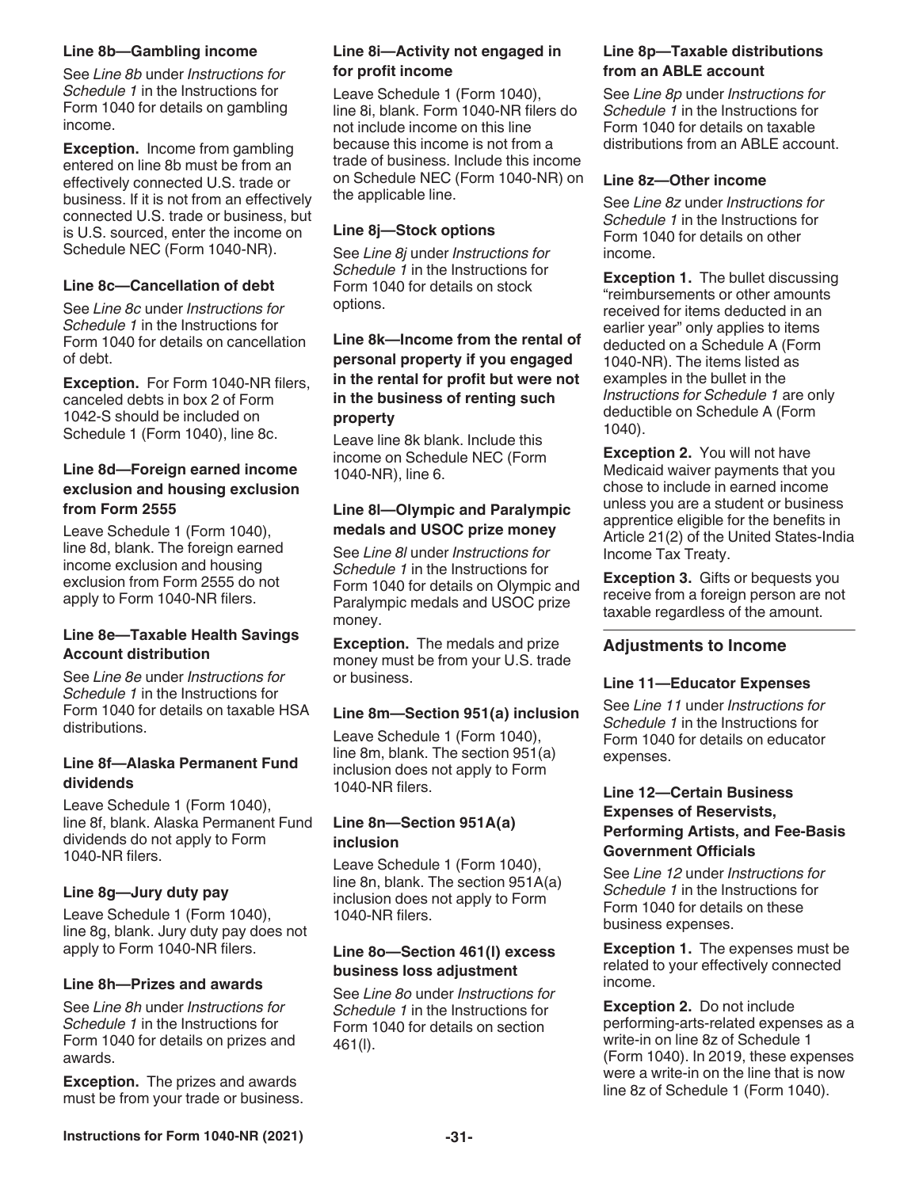### **Line 8b—Gambling income**

See *Line 8b* under *Instructions for Schedule 1* in the Instructions for Form 1040 for details on gambling income.

**Exception.** Income from gambling entered on line 8b must be from an effectively connected U.S. trade or business. If it is not from an effectively connected U.S. trade or business, but is U.S. sourced, enter the income on Schedule NEC (Form 1040-NR).

### **Line 8c—Cancellation of debt**

See *Line 8c* under *Instructions for Schedule 1* in the Instructions for Form 1040 for details on cancellation of debt.

**Exception.** For Form 1040-NR filers, canceled debts in box 2 of Form 1042-S should be included on Schedule 1 (Form 1040), line 8c.

### **Line 8d—Foreign earned income exclusion and housing exclusion from Form 2555**

Leave Schedule 1 (Form 1040), line 8d, blank. The foreign earned income exclusion and housing exclusion from Form 2555 do not apply to Form 1040-NR filers.

### **Line 8e—Taxable Health Savings Account distribution**

See *Line 8e* under *Instructions for Schedule 1* in the Instructions for Form 1040 for details on taxable HSA distributions.

### **Line 8f—Alaska Permanent Fund dividends**

Leave Schedule 1 (Form 1040), line 8f, blank. Alaska Permanent Fund dividends do not apply to Form 1040-NR filers.

### **Line 8g—Jury duty pay**

Leave Schedule 1 (Form 1040), line 8g, blank. Jury duty pay does not apply to Form 1040-NR filers.

### **Line 8h—Prizes and awards**

See *Line 8h* under *Instructions for Schedule 1* in the Instructions for Form 1040 for details on prizes and awards.

**Exception.** The prizes and awards must be from your trade or business.

### **Line 8i—Activity not engaged in for profit income**

Leave Schedule 1 (Form 1040), line 8i, blank. Form 1040-NR filers do not include income on this line because this income is not from a trade of business. Include this income on Schedule NEC (Form 1040-NR) on the applicable line.

### **Line 8j—Stock options**

See *Line 8j* under *Instructions for Schedule 1* in the Instructions for Form 1040 for details on stock options.

### **Line 8k—Income from the rental of personal property if you engaged in the rental for profit but were not in the business of renting such property**

Leave line 8k blank. Include this income on Schedule NEC (Form 1040-NR), line 6.

### **Line 8l—Olympic and Paralympic medals and USOC prize money**

See *Line 8l* under *Instructions for Schedule 1* in the Instructions for Form 1040 for details on Olympic and Paralympic medals and USOC prize money.

**Exception.** The medals and prize money must be from your U.S. trade or business.

### **Line 8m—Section 951(a) inclusion**

Leave Schedule 1 (Form 1040), line 8m, blank. The section 951(a) inclusion does not apply to Form 1040-NR filers.

### **Line 8n—Section 951A(a) inclusion**

Leave Schedule 1 (Form 1040), line 8n, blank. The section 951A(a) inclusion does not apply to Form 1040-NR filers.

### **Line 8o—Section 461(l) excess business loss adjustment**

See *Line 8o* under *Instructions for Schedule 1* in the Instructions for Form 1040 for details on section 461(l).

### **Line 8p—Taxable distributions from an ABLE account**

See *Line 8p* under *Instructions for Schedule 1* in the Instructions for Form 1040 for details on taxable distributions from an ABLE account.

### **Line 8z—Other income**

See *Line 8z* under *Instructions for Schedule 1* in the Instructions for Form 1040 for details on other income.

**Exception 1.** The bullet discussing "reimbursements or other amounts received for items deducted in an earlier year" only applies to items deducted on a Schedule A (Form 1040-NR). The items listed as examples in the bullet in the *Instructions for Schedule 1* are only deductible on Schedule A (Form 1040).

**Exception 2.** You will not have Medicaid waiver payments that you chose to include in earned income unless you are a student or business apprentice eligible for the benefits in Article 21(2) of the United States-India Income Tax Treaty.

**Exception 3.** Gifts or bequests you receive from a foreign person are not taxable regardless of the amount.

### **Adjustments to Income**

### **Line 11—Educator Expenses**

See *Line 11* under *Instructions for Schedule 1* in the Instructions for Form 1040 for details on educator expenses.

### **Line 12—Certain Business Expenses of Reservists, Performing Artists, and Fee-Basis Government Officials**

See *Line 12* under *Instructions for Schedule 1* in the Instructions for Form 1040 for details on these business expenses.

**Exception 1.** The expenses must be related to your effectively connected income.

**Exception 2.** Do not include performing-arts-related expenses as a write-in on line 8z of Schedule 1 (Form 1040). In 2019, these expenses were a write-in on the line that is now line 8z of Schedule 1 (Form 1040).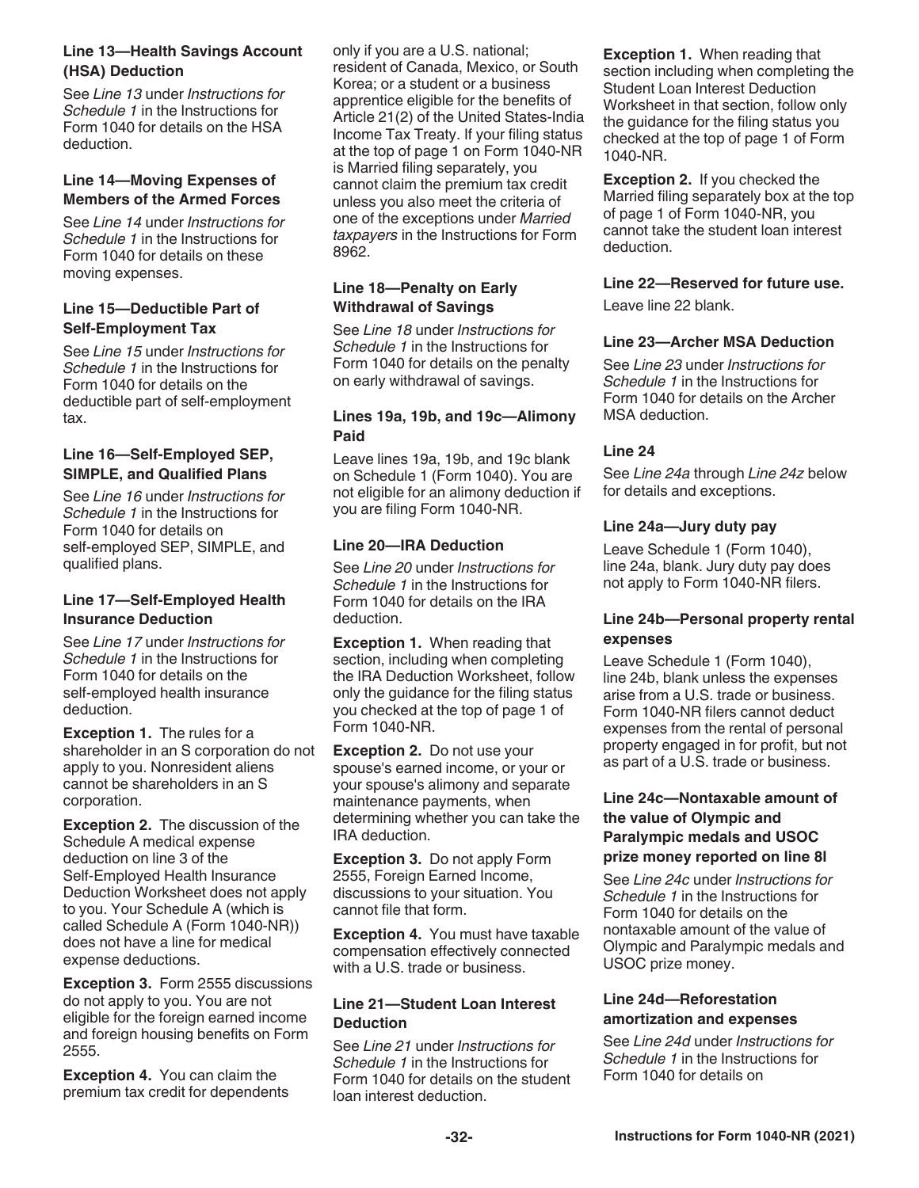### **Line 13—Health Savings Account (HSA) Deduction**

See *Line 13* under *Instructions for Schedule 1* in the Instructions for Form 1040 for details on the HSA deduction.

### **Line 14—Moving Expenses of Members of the Armed Forces**

See *Line 14* under *Instructions for Schedule 1* in the Instructions for Form 1040 for details on these moving expenses.

### **Line 15—Deductible Part of Self-Employment Tax**

See *Line 15* under *Instructions for Schedule 1* in the Instructions for Form 1040 for details on the deductible part of self-employment tax.

### **Line 16—Self-Employed SEP, SIMPLE, and Qualified Plans**

See *Line 16* under *Instructions for Schedule 1* in the Instructions for Form 1040 for details on self-employed SEP, SIMPLE, and qualified plans.

### **Line 17—Self-Employed Health Insurance Deduction**

See *Line 17* under *Instructions for Schedule 1* in the Instructions for Form 1040 for details on the self-employed health insurance deduction.

**Exception 1.** The rules for a shareholder in an S corporation do not apply to you. Nonresident aliens cannot be shareholders in an S corporation.

**Exception 2.** The discussion of the Schedule A medical expense deduction on line 3 of the Self-Employed Health Insurance Deduction Worksheet does not apply to you. Your Schedule A (which is called Schedule A (Form 1040-NR)) does not have a line for medical expense deductions.

**Exception 3.** Form 2555 discussions do not apply to you. You are not eligible for the foreign earned income and foreign housing benefits on Form 2555.

**Exception 4.** You can claim the premium tax credit for dependents only if you are a U.S. national; resident of Canada, Mexico, or South Korea; or a student or a business apprentice eligible for the benefits of Article 21(2) of the United States-India Income Tax Treaty. If your filing status at the top of page 1 on Form 1040-NR is Married filing separately, you cannot claim the premium tax credit unless you also meet the criteria of one of the exceptions under *Married taxpayers* in the Instructions for Form 8962.

### **Line 18—Penalty on Early Withdrawal of Savings**

See *Line 18* under *Instructions for Schedule 1* in the Instructions for Form 1040 for details on the penalty on early withdrawal of savings.

### **Lines 19a, 19b, and 19c—Alimony Paid**

Leave lines 19a, 19b, and 19c blank on Schedule 1 (Form 1040). You are not eligible for an alimony deduction if you are filing Form 1040-NR.

### **Line 20—IRA Deduction**

See *Line 20* under *Instructions for Schedule 1* in the Instructions for Form 1040 for details on the IRA deduction.

**Exception 1.** When reading that section, including when completing the IRA Deduction Worksheet, follow only the guidance for the filing status you checked at the top of page 1 of Form 1040-NR.

**Exception 2.** Do not use your spouse's earned income, or your or your spouse's alimony and separate maintenance payments, when determining whether you can take the IRA deduction.

**Exception 3.** Do not apply Form 2555, Foreign Earned Income, discussions to your situation. You cannot file that form.

**Exception 4.** You must have taxable compensation effectively connected with a U.S. trade or business.

### **Line 21—Student Loan Interest Deduction**

See *Line 21* under *Instructions for Schedule 1* in the Instructions for Form 1040 for details on the student loan interest deduction.

**Exception 1.** When reading that section including when completing the Student Loan Interest Deduction Worksheet in that section, follow only the guidance for the filing status you checked at the top of page 1 of Form 1040-NR.

**Exception 2.** If you checked the Married filing separately box at the top of page 1 of Form 1040-NR, you cannot take the student loan interest deduction.

### **Line 22—Reserved for future use.**

Leave line 22 blank.

### **Line 23—Archer MSA Deduction**

See *Line 23* under *Instructions for Schedule 1* in the Instructions for Form 1040 for details on the Archer MSA deduction.

### **Line 24**

See *Line 24a* through *Line 24z* below for details and exceptions.

### **Line 24a—Jury duty pay**

Leave Schedule 1 (Form 1040), line 24a, blank. Jury duty pay does not apply to Form 1040-NR filers.

### **Line 24b—Personal property rental expenses**

Leave Schedule 1 (Form 1040), line 24b, blank unless the expenses arise from a U.S. trade or business. Form 1040-NR filers cannot deduct expenses from the rental of personal property engaged in for profit, but not as part of a U.S. trade or business.

### **Line 24c—Nontaxable amount of the value of Olympic and Paralympic medals and USOC prize money reported on line 8l**

See *Line 24c* under *Instructions for Schedule 1* in the Instructions for Form 1040 for details on the nontaxable amount of the value of Olympic and Paralympic medals and USOC prize money.

### **Line 24d—Reforestation amortization and expenses**

See *Line 24d* under *Instructions for Schedule 1* in the Instructions for Form 1040 for details on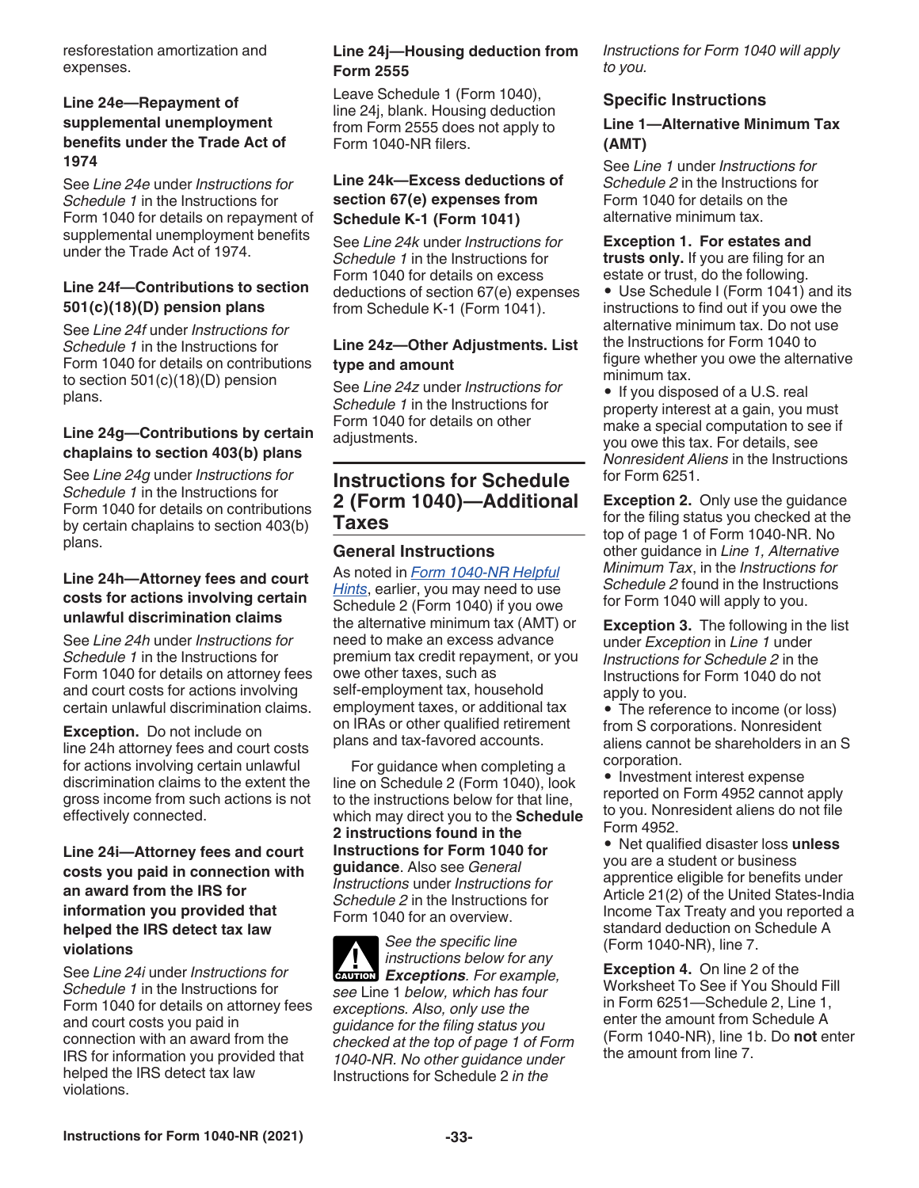resforestation amortization and expenses.

### **Line 24e—Repayment of supplemental unemployment benefits under the Trade Act of 1974**

See *Line 24e* under *Instructions for Schedule 1* in the Instructions for Form 1040 for details on repayment of supplemental unemployment benefits under the Trade Act of 1974.

### **Line 24f—Contributions to section 501(c)(18)(D) pension plans**

See *Line 24f* under *Instructions for Schedule 1* in the Instructions for Form 1040 for details on contributions to section 501(c)(18)(D) pension plans.

### **Line 24g—Contributions by certain chaplains to section 403(b) plans**

See *Line 24g* under *Instructions for Schedule 1* in the Instructions for Form 1040 for details on contributions by certain chaplains to section 403(b) plans.

### **Line 24h—Attorney fees and court costs for actions involving certain unlawful discrimination claims**

See *Line 24h* under *Instructions for Schedule 1* in the Instructions for Form 1040 for details on attorney fees and court costs for actions involving certain unlawful discrimination claims.

**Exception.** Do not include on line 24h attorney fees and court costs for actions involving certain unlawful discrimination claims to the extent the gross income from such actions is not effectively connected.

**Line 24i—Attorney fees and court costs you paid in connection with an award from the IRS for information you provided that helped the IRS detect tax law violations**

See *Line 24i* under *Instructions for Schedule 1* in the Instructions for Form 1040 for details on attorney fees and court costs you paid in connection with an award from the IRS for information you provided that helped the IRS detect tax law violations.

### **Line 24j—Housing deduction from Form 2555**

Leave Schedule 1 (Form 1040), line 24j, blank. Housing deduction from Form 2555 does not apply to Form 1040-NR filers.

### **Line 24k—Excess deductions of section 67(e) expenses from Schedule K-1 (Form 1041)**

See *Line 24k* under *Instructions for Schedule 1* in the Instructions for Form 1040 for details on excess deductions of section 67(e) expenses from Schedule K-1 (Form 1041).

### **Line 24z—Other Adjustments. List type and amount**

See *Line 24z* under *Instructions for Schedule 1* in the Instructions for Form 1040 for details on other adjustments.

## **Instructions for Schedule 2 (Form 1040)—Additional Taxes**

### **General Instructions**

As noted in *Form 1040-NR Helpful Hints*, earlier, you may need to use Schedule 2 (Form 1040) if you owe the alternative minimum tax (AMT) or need to make an excess advance premium tax credit repayment, or you owe other taxes, such as self-employment tax, household employment taxes, or additional tax on IRAs or other qualified retirement plans and tax-favored accounts.

For guidance when completing a line on Schedule 2 (Form 1040), look to the instructions below for that line, which may direct you to the **Schedule 2 instructions found in the Instructions for Form 1040 for guidance**. Also see *General Instructions* under *Instructions for Schedule 2* in the Instructions for Form 1040 for an overview.

*See the specific line instructions below for any*  **Exceptions** *Exceptions For example, see* Line 1 *below, which has four exceptions. Also, only use the guidance for the filing status you checked at the top of page 1 of Form 1040-NR. No other guidance under*  Instructions for Schedule 2 *in the* 

*Instructions for Form 1040 will apply to you.*

### **Specific Instructions**

### **Line 1—Alternative Minimum Tax (AMT)**

See *Line 1* under *Instructions for Schedule 2* in the Instructions for Form 1040 for details on the alternative minimum tax.

**Exception 1. For estates and trusts only.** If you are filing for an estate or trust, do the following.

• Use Schedule I (Form 1041) and its instructions to find out if you owe the alternative minimum tax. Do not use the Instructions for Form 1040 to figure whether you owe the alternative minimum tax.

• If you disposed of a U.S. real property interest at a gain, you must make a special computation to see if you owe this tax. For details, see *Nonresident Aliens* in the Instructions for Form 6251.

**Exception 2.** Only use the guidance for the filing status you checked at the top of page 1 of Form 1040-NR. No other guidance in *Line 1, Alternative Minimum Tax*, in the *Instructions for Schedule 2* found in the Instructions for Form 1040 will apply to you.

**Exception 3.** The following in the list under *Exception* in *Line 1* under *Instructions for Schedule 2* in the Instructions for Form 1040 do not apply to you.

• The reference to income (or loss) from S corporations. Nonresident aliens cannot be shareholders in an S corporation.

• Investment interest expense reported on Form 4952 cannot apply to you. Nonresident aliens do not file Form 4952.

• Net qualified disaster loss **unless**  you are a student or business apprentice eligible for benefits under Article 21(2) of the United States-India Income Tax Treaty and you reported a standard deduction on Schedule A (Form 1040-NR), line 7.

**Exception 4.** On line 2 of the Worksheet To See if You Should Fill in Form 6251—Schedule 2, Line 1, enter the amount from Schedule A (Form 1040-NR), line 1b. Do **not** enter the amount from line 7.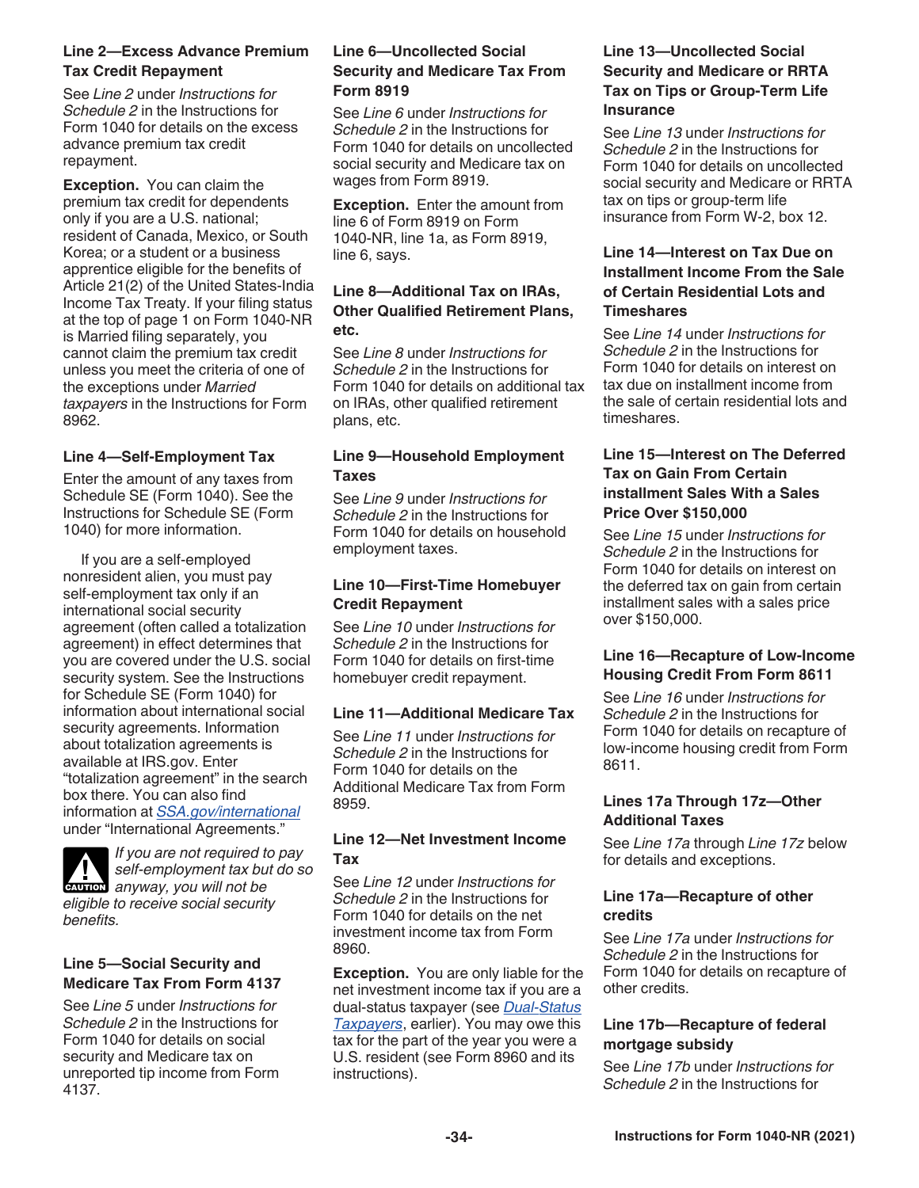### **Line 2—Excess Advance Premium Tax Credit Repayment**

See *Line 2* under *Instructions for Schedule 2* in the Instructions for Form 1040 for details on the excess advance premium tax credit repayment.

**Exception.** You can claim the premium tax credit for dependents only if you are a U.S. national; resident of Canada, Mexico, or South Korea; or a student or a business apprentice eligible for the benefits of Article 21(2) of the United States-India Income Tax Treaty. If your filing status at the top of page 1 on Form 1040-NR is Married filing separately, you cannot claim the premium tax credit unless you meet the criteria of one of the exceptions under *Married taxpayers* in the Instructions for Form 8962.

### **Line 4—Self-Employment Tax**

Enter the amount of any taxes from Schedule SE (Form 1040). See the Instructions for Schedule SE (Form 1040) for more information.

If you are a self-employed nonresident alien, you must pay self-employment tax only if an international social security agreement (often called a totalization agreement) in effect determines that you are covered under the U.S. social security system. See the Instructions for Schedule SE (Form 1040) for information about international social security agreements. Information about totalization agreements is available at IRS.gov. Enter "totalization agreement" in the search box there. You can also find information at *[SSA.gov/international](https://www.ssa.gov/international/)*  under "International Agreements."



*If you are not required to pay self-employment tax but do so*  **A** *anyway, you will not be anyway, you will not be eligible to receive social security benefits.*

### **Line 5—Social Security and Medicare Tax From Form 4137**

See *Line 5* under *Instructions for Schedule 2* in the Instructions for Form 1040 for details on social security and Medicare tax on unreported tip income from Form 4137.

### **Line 6—Uncollected Social Security and Medicare Tax From Form 8919**

See *Line 6* under *Instructions for Schedule 2* in the Instructions for Form 1040 for details on uncollected social security and Medicare tax on wages from Form 8919.

**Exception.** Enter the amount from line 6 of Form 8919 on Form 1040-NR, line 1a, as Form 8919, line 6, says.

### **Line 8—Additional Tax on IRAs, Other Qualified Retirement Plans, etc.**

See *Line 8* under *Instructions for Schedule 2* in the Instructions for Form 1040 for details on additional tax on IRAs, other qualified retirement plans, etc.

### **Line 9—Household Employment Taxes**

See *Line 9* under *Instructions for Schedule 2* in the Instructions for Form 1040 for details on household employment taxes.

### **Line 10—First-Time Homebuyer Credit Repayment**

See *Line 10* under *Instructions for Schedule 2* in the Instructions for Form 1040 for details on first-time homebuyer credit repayment.

### **Line 11—Additional Medicare Tax**

See *Line 11* under *Instructions for Schedule 2* in the Instructions for Form 1040 for details on the Additional Medicare Tax from Form 8959.

### **Line 12—Net Investment Income Tax**

See *Line 12* under *Instructions for Schedule 2* in the Instructions for Form 1040 for details on the net investment income tax from Form 8960.

**Exception.** You are only liable for the net investment income tax if you are a dual-status taxpayer (see *Dual-Status Taxpayers*, earlier). You may owe this tax for the part of the year you were a U.S. resident (see Form 8960 and its instructions).

### **Line 13—Uncollected Social Security and Medicare or RRTA Tax on Tips or Group-Term Life Insurance**

See *Line 13* under *Instructions for Schedule 2* in the Instructions for Form 1040 for details on uncollected social security and Medicare or RRTA tax on tips or group-term life insurance from Form W-2, box 12.

### **Line 14—Interest on Tax Due on Installment Income From the Sale of Certain Residential Lots and Timeshares**

See *Line 14* under *Instructions for Schedule 2* in the Instructions for Form 1040 for details on interest on tax due on installment income from the sale of certain residential lots and timeshares.

### **Line 15—Interest on The Deferred Tax on Gain From Certain installment Sales With a Sales Price Over \$150,000**

See *Line 15* under *Instructions for Schedule 2* in the Instructions for Form 1040 for details on interest on the deferred tax on gain from certain installment sales with a sales price over \$150,000.

### **Line 16—Recapture of Low-Income Housing Credit From Form 8611**

See *Line 16* under *Instructions for Schedule 2* in the Instructions for Form 1040 for details on recapture of low-income housing credit from Form 8611.

### **Lines 17a Through 17z—Other Additional Taxes**

See *Line 17a* through *Line 17z* below for details and exceptions.

### **Line 17a—Recapture of other credits**

See *Line 17a* under *Instructions for Schedule 2* in the Instructions for Form 1040 for details on recapture of other credits.

### **Line 17b—Recapture of federal mortgage subsidy**

See *Line 17b* under *Instructions for Schedule 2* in the Instructions for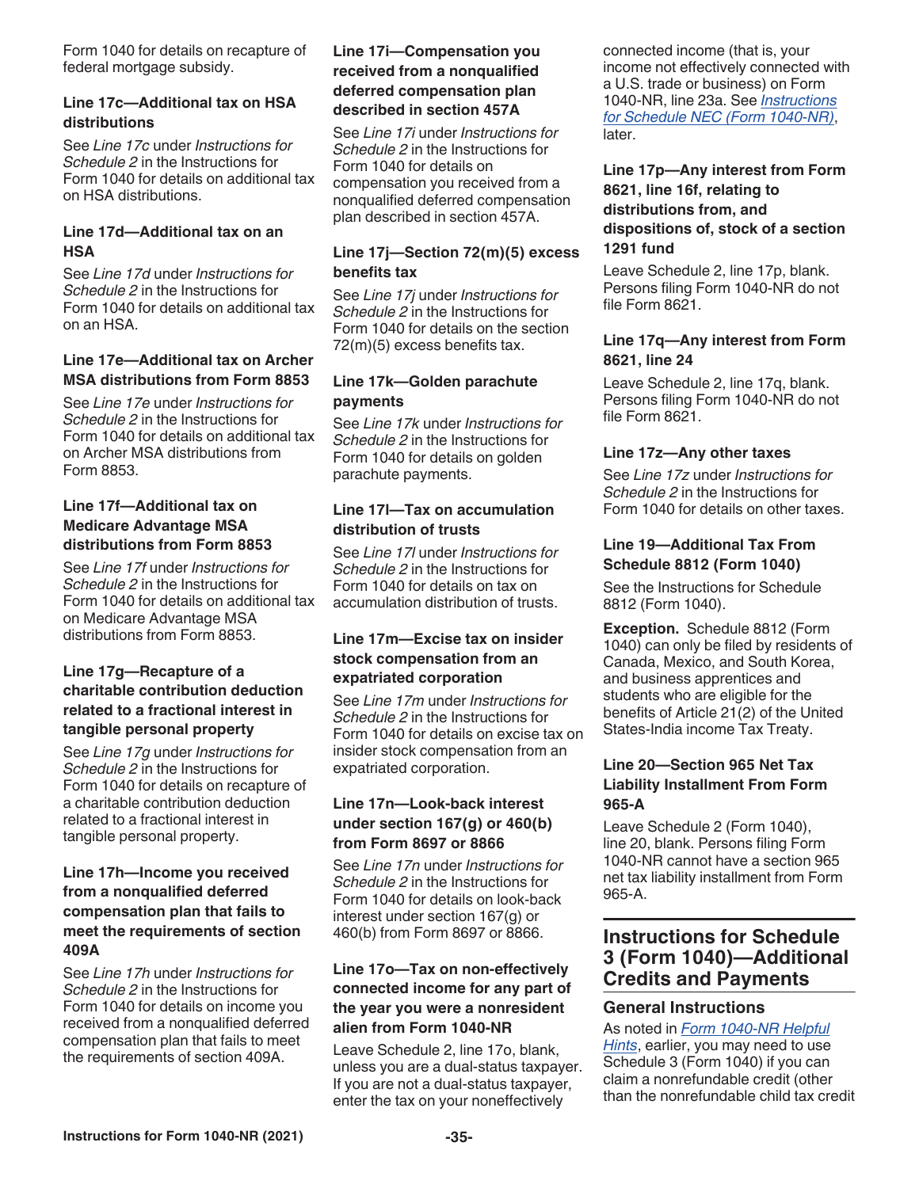Form 1040 for details on recapture of federal mortgage subsidy.

### **Line 17c—Additional tax on HSA distributions**

See *Line 17c* under *Instructions for Schedule 2* in the Instructions for Form 1040 for details on additional tax on HSA distributions.

### **Line 17d—Additional tax on an HSA**

See *Line 17d* under *Instructions for Schedule 2* in the Instructions for Form 1040 for details on additional tax on an HSA.

### **Line 17e—Additional tax on Archer MSA distributions from Form 8853**

See *Line 17e* under *Instructions for Schedule 2* in the Instructions for Form 1040 for details on additional tax on Archer MSA distributions from Form 8853.

### **Line 17f—Additional tax on Medicare Advantage MSA distributions from Form 8853**

See *Line 17f* under *Instructions for Schedule 2* in the Instructions for Form 1040 for details on additional tax on Medicare Advantage MSA distributions from Form 8853.

### **Line 17g—Recapture of a charitable contribution deduction related to a fractional interest in tangible personal property**

See *Line 17g* under *Instructions for Schedule 2* in the Instructions for Form 1040 for details on recapture of a charitable contribution deduction related to a fractional interest in tangible personal property.

### **Line 17h—Income you received from a nonqualified deferred compensation plan that fails to meet the requirements of section 409A**

See *Line 17h* under *Instructions for Schedule 2* in the Instructions for Form 1040 for details on income you received from a nonqualified deferred compensation plan that fails to meet the requirements of section 409A.

### **Line 17i—Compensation you received from a nonqualified deferred compensation plan described in section 457A**

See *Line 17i* under *Instructions for Schedule 2* in the Instructions for Form 1040 for details on compensation you received from a nonqualified deferred compensation plan described in section 457A.

### **Line 17j—Section 72(m)(5) excess benefits tax**

See *Line 17j* under *Instructions for Schedule 2* in the Instructions for Form 1040 for details on the section 72(m)(5) excess benefits tax.

### **Line 17k—Golden parachute payments**

See *Line 17k* under *Instructions for Schedule 2* in the Instructions for Form 1040 for details on golden parachute payments.

### **Line 17l—Tax on accumulation distribution of trusts**

See *Line 17l* under *Instructions for Schedule 2* in the Instructions for Form 1040 for details on tax on accumulation distribution of trusts.

### **Line 17m—Excise tax on insider stock compensation from an expatriated corporation**

See *Line 17m* under *Instructions for Schedule 2* in the Instructions for Form 1040 for details on excise tax on insider stock compensation from an expatriated corporation.

### **Line 17n—Look-back interest under section 167(g) or 460(b) from Form 8697 or 8866**

See *Line 17n* under *Instructions for Schedule 2* in the Instructions for Form 1040 for details on look-back interest under section 167(g) or 460(b) from Form 8697 or 8866.

### **Line 17o—Tax on non-effectively connected income for any part of the year you were a nonresident alien from Form 1040-NR**

Leave Schedule 2, line 17o, blank, unless you are a dual-status taxpayer. If you are not a dual-status taxpayer, enter the tax on your noneffectively

connected income (that is, your income not effectively connected with a U.S. trade or business) on Form 1040-NR, line 23a. See *Instructions for Schedule NEC (Form 1040-NR)*, later.

### **Line 17p—Any interest from Form 8621, line 16f, relating to distributions from, and dispositions of, stock of a section 1291 fund**

Leave Schedule 2, line 17p, blank. Persons filing Form 1040-NR do not file Form 8621.

### **Line 17q—Any interest from Form 8621, line 24**

Leave Schedule 2, line 17q, blank. Persons filing Form 1040-NR do not file Form 8621.

### **Line 17z—Any other taxes**

See *Line 17z* under *Instructions for Schedule 2* in the Instructions for Form 1040 for details on other taxes.

### **Line 19—Additional Tax From Schedule 8812 (Form 1040)**

See the Instructions for Schedule 8812 (Form 1040).

**Exception.** Schedule 8812 (Form 1040) can only be filed by residents of Canada, Mexico, and South Korea, and business apprentices and students who are eligible for the benefits of Article 21(2) of the United States-India income Tax Treaty.

### **Line 20—Section 965 Net Tax Liability Installment From Form 965-A**

Leave Schedule 2 (Form 1040), line 20, blank. Persons filing Form 1040-NR cannot have a section 965 net tax liability installment from Form 965-A.

# **Instructions for Schedule 3 (Form 1040)—Additional Credits and Payments**

### **General Instructions**

As noted in *Form 1040-NR Helpful Hints*, earlier, you may need to use Schedule 3 (Form 1040) if you can claim a nonrefundable credit (other than the nonrefundable child tax credit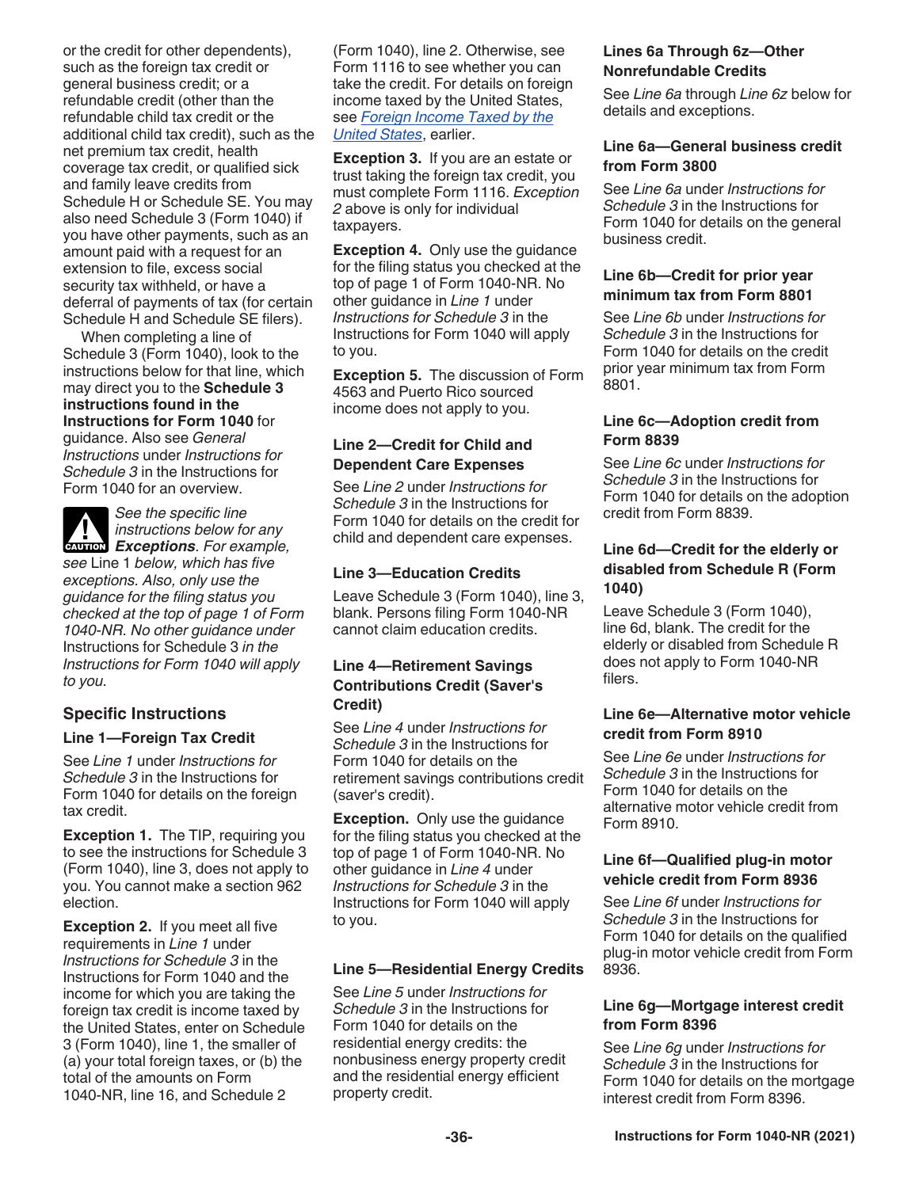or the credit for other dependents), such as the foreign tax credit or general business credit; or a refundable credit (other than the refundable child tax credit or the additional child tax credit), such as the net premium tax credit, health coverage tax credit, or qualified sick and family leave credits from Schedule H or Schedule SE. You may also need Schedule 3 (Form 1040) if you have other payments, such as an amount paid with a request for an extension to file, excess social security tax withheld, or have a deferral of payments of tax (for certain Schedule H and Schedule SE filers).

When completing a line of Schedule 3 (Form 1040), look to the instructions below for that line, which may direct you to the **Schedule 3 instructions found in the Instructions for Form 1040** for guidance. Also see *General Instructions* under *Instructions for Schedule 3* in the Instructions for Form 1040 for an overview.

*See the specific line instructions below for any*  **EXCEPTIONS**<br> **EXCEPTIONS**<br> **EXCEPTIONS**<br> **EXCEPTIONS** 

*see* Line 1 *below, which has five exceptions. Also, only use the guidance for the filing status you checked at the top of page 1 of Form 1040-NR. No other guidance under*  Instructions for Schedule 3 *in the Instructions for Form 1040 will apply to you.*

### **Specific Instructions**

### **Line 1—Foreign Tax Credit**

See *Line 1* under *Instructions for Schedule 3* in the Instructions for Form 1040 for details on the foreign tax credit.

**Exception 1.** The TIP, requiring you to see the instructions for Schedule 3 (Form 1040), line 3, does not apply to you. You cannot make a section 962 election.

**Exception 2.** If you meet all five requirements in *Line 1* under *Instructions for Schedule 3* in the Instructions for Form 1040 and the income for which you are taking the foreign tax credit is income taxed by the United States, enter on Schedule 3 (Form 1040), line 1, the smaller of (a) your total foreign taxes, or (b) the total of the amounts on Form 1040-NR, line 16, and Schedule 2

(Form 1040), line 2. Otherwise, see Form 1116 to see whether you can take the credit. For details on foreign income taxed by the United States, see *Foreign Income Taxed by the United States*, earlier.

**Exception 3.** If you are an estate or trust taking the foreign tax credit, you must complete Form 1116. *Exception 2* above is only for individual taxpayers.

**Exception 4.** Only use the guidance for the filing status you checked at the top of page 1 of Form 1040-NR. No other guidance in *Line 1* under *Instructions for Schedule 3* in the Instructions for Form 1040 will apply to you.

**Exception 5.** The discussion of Form 4563 and Puerto Rico sourced income does not apply to you.

### **Line 2—Credit for Child and Dependent Care Expenses**

See *Line 2* under *Instructions for Schedule 3* in the Instructions for Form 1040 for details on the credit for child and dependent care expenses.

### **Line 3—Education Credits**

Leave Schedule 3 (Form 1040), line 3, blank. Persons filing Form 1040-NR cannot claim education credits.

### **Line 4—Retirement Savings Contributions Credit (Saver's Credit)**

See *Line 4* under *Instructions for Schedule 3* in the Instructions for Form 1040 for details on the retirement savings contributions credit (saver's credit).

**Exception.** Only use the quidance for the filing status you checked at the top of page 1 of Form 1040-NR. No other guidance in *Line 4* under *Instructions for Schedule 3* in the Instructions for Form 1040 will apply to you.

### **Line 5—Residential Energy Credits**

See *Line 5* under *Instructions for Schedule 3* in the Instructions for Form 1040 for details on the residential energy credits: the nonbusiness energy property credit and the residential energy efficient property credit.

### **Lines 6a Through 6z—Other Nonrefundable Credits**

See *Line 6a* through *Line 6z* below for details and exceptions.

### **Line 6a—General business credit from Form 3800**

See *Line 6a* under *Instructions for Schedule 3* in the Instructions for Form 1040 for details on the general business credit.

### **Line 6b—Credit for prior year minimum tax from Form 8801**

See *Line 6b* under *Instructions for Schedule 3* in the Instructions for Form 1040 for details on the credit prior year minimum tax from Form 8801.

### **Line 6c—Adoption credit from Form 8839**

See *Line 6c* under *Instructions for Schedule 3* in the Instructions for Form 1040 for details on the adoption credit from Form 8839.

### **Line 6d—Credit for the elderly or disabled from Schedule R (Form 1040)**

Leave Schedule 3 (Form 1040), line 6d, blank. The credit for the elderly or disabled from Schedule R does not apply to Form 1040-NR filers.

### **Line 6e—Alternative motor vehicle credit from Form 8910**

See *Line 6e* under *Instructions for Schedule 3* in the Instructions for Form 1040 for details on the alternative motor vehicle credit from Form 8910.

### **Line 6f—Qualified plug-in motor vehicle credit from Form 8936**

See *Line 6f* under *Instructions for Schedule 3* in the Instructions for Form 1040 for details on the qualified plug-in motor vehicle credit from Form 8936.

### **Line 6g—Mortgage interest credit from Form 8396**

See *Line 6g* under *Instructions for Schedule 3* in the Instructions for Form 1040 for details on the mortgage interest credit from Form 8396.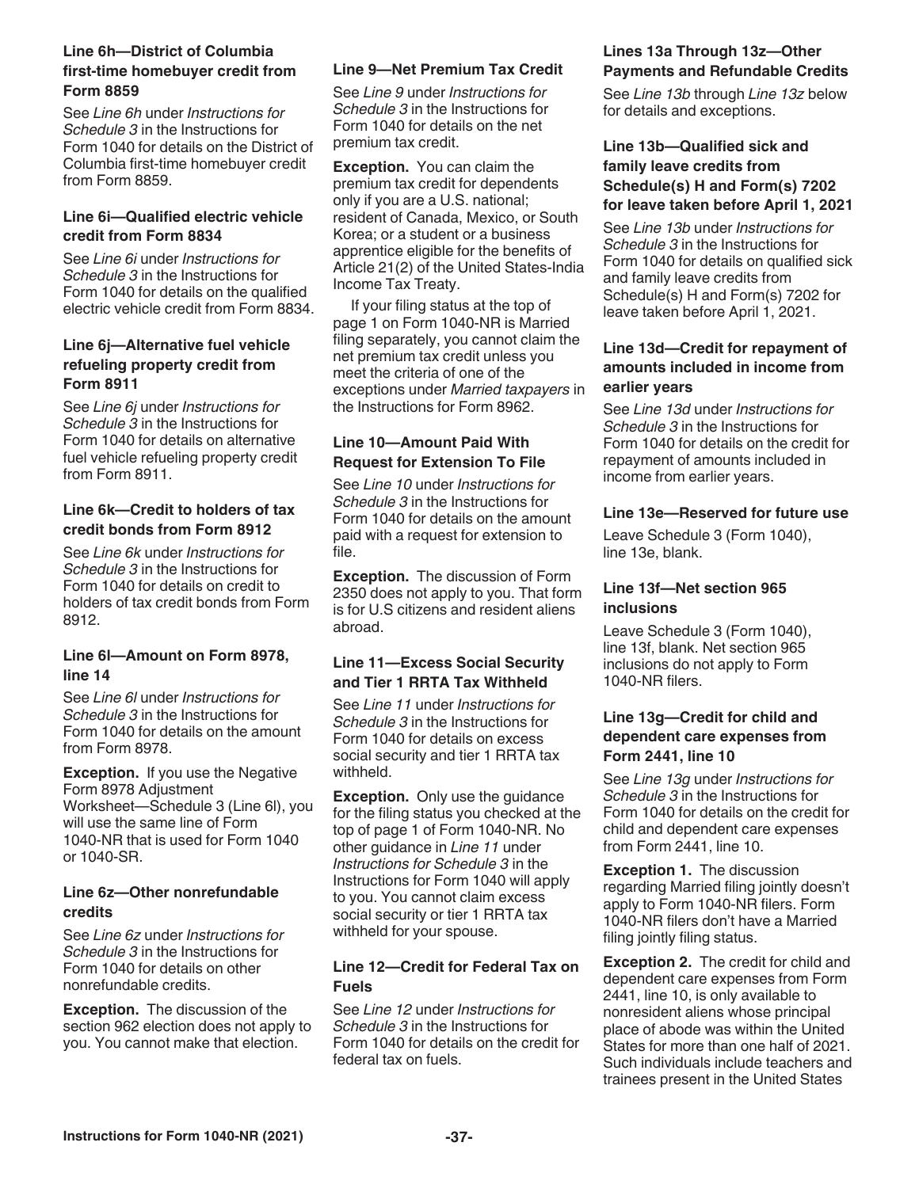### **Line 6h—District of Columbia first-time homebuyer credit from Form 8859**

See *Line 6h* under *Instructions for Schedule 3* in the Instructions for Form 1040 for details on the District of Columbia first-time homebuyer credit from Form 8859.

### **Line 6i—Qualified electric vehicle credit from Form 8834**

See *Line 6i* under *Instructions for Schedule 3* in the Instructions for Form 1040 for details on the qualified electric vehicle credit from Form 8834.

### **Line 6j—Alternative fuel vehicle refueling property credit from Form 8911**

See *Line 6j* under *Instructions for Schedule 3* in the Instructions for Form 1040 for details on alternative fuel vehicle refueling property credit from Form 8911.

### **Line 6k—Credit to holders of tax credit bonds from Form 8912**

See *Line 6k* under *Instructions for Schedule 3* in the Instructions for Form 1040 for details on credit to holders of tax credit bonds from Form 8912.

### **Line 6l—Amount on Form 8978, line 14**

See *Line 6l* under *Instructions for Schedule 3* in the Instructions for Form 1040 for details on the amount from Form 8978.

**Exception.** If you use the Negative Form 8978 Adjustment Worksheet—Schedule 3 (Line 6l), you will use the same line of Form 1040-NR that is used for Form 1040 or 1040-SR.

### **Line 6z—Other nonrefundable credits**

See *Line 6z* under *Instructions for Schedule 3* in the Instructions for Form 1040 for details on other nonrefundable credits.

**Exception.** The discussion of the section 962 election does not apply to you. You cannot make that election.

### **Line 9—Net Premium Tax Credit**

See *Line 9* under *Instructions for Schedule 3* in the Instructions for Form 1040 for details on the net premium tax credit.

**Exception.** You can claim the premium tax credit for dependents only if you are a U.S. national; resident of Canada, Mexico, or South Korea; or a student or a business apprentice eligible for the benefits of Article 21(2) of the United States-India Income Tax Treaty.

If your filing status at the top of page 1 on Form 1040-NR is Married filing separately, you cannot claim the net premium tax credit unless you meet the criteria of one of the exceptions under *Married taxpayers* in the Instructions for Form 8962.

### **Line 10—Amount Paid With Request for Extension To File**

See *Line 10* under *Instructions for Schedule 3* in the Instructions for Form 1040 for details on the amount paid with a request for extension to file.

**Exception.** The discussion of Form 2350 does not apply to you. That form is for U.S citizens and resident aliens abroad.

### **Line 11—Excess Social Security and Tier 1 RRTA Tax Withheld**

See *Line 11* under *Instructions for Schedule 3* in the Instructions for Form 1040 for details on excess social security and tier 1 RRTA tax withheld.

**Exception.** Only use the guidance for the filing status you checked at the top of page 1 of Form 1040-NR. No other guidance in *Line 11* under *Instructions for Schedule 3* in the Instructions for Form 1040 will apply to you. You cannot claim excess social security or tier 1 RRTA tax withheld for your spouse.

### **Line 12—Credit for Federal Tax on Fuels**

See *Line 12* under *Instructions for Schedule 3* in the Instructions for Form 1040 for details on the credit for federal tax on fuels.

### **Lines 13a Through 13z—Other Payments and Refundable Credits**

See *Line 13b* through *Line 13z* below for details and exceptions.

### **Line 13b—Qualified sick and family leave credits from Schedule(s) H and Form(s) 7202 for leave taken before April 1, 2021**

See *Line 13b* under *Instructions for Schedule 3* in the Instructions for Form 1040 for details on qualified sick and family leave credits from Schedule(s) H and Form(s) 7202 for leave taken before April 1, 2021.

### **Line 13d—Credit for repayment of amounts included in income from earlier years**

See *Line 13d* under *Instructions for Schedule 3* in the Instructions for Form 1040 for details on the credit for repayment of amounts included in income from earlier years.

### **Line 13e—Reserved for future use**

Leave Schedule 3 (Form 1040), line 13e, blank.

### **Line 13f—Net section 965 inclusions**

Leave Schedule 3 (Form 1040), line 13f, blank. Net section 965 inclusions do not apply to Form 1040-NR filers.

### **Line 13g—Credit for child and dependent care expenses from Form 2441, line 10**

See *Line 13g* under *Instructions for Schedule 3* in the Instructions for Form 1040 for details on the credit for child and dependent care expenses from Form 2441, line 10.

**Exception 1.** The discussion regarding Married filing jointly doesn't apply to Form 1040-NR filers. Form 1040-NR filers don't have a Married filing jointly filing status.

**Exception 2.** The credit for child and dependent care expenses from Form 2441, line 10, is only available to nonresident aliens whose principal place of abode was within the United States for more than one half of 2021. Such individuals include teachers and trainees present in the United States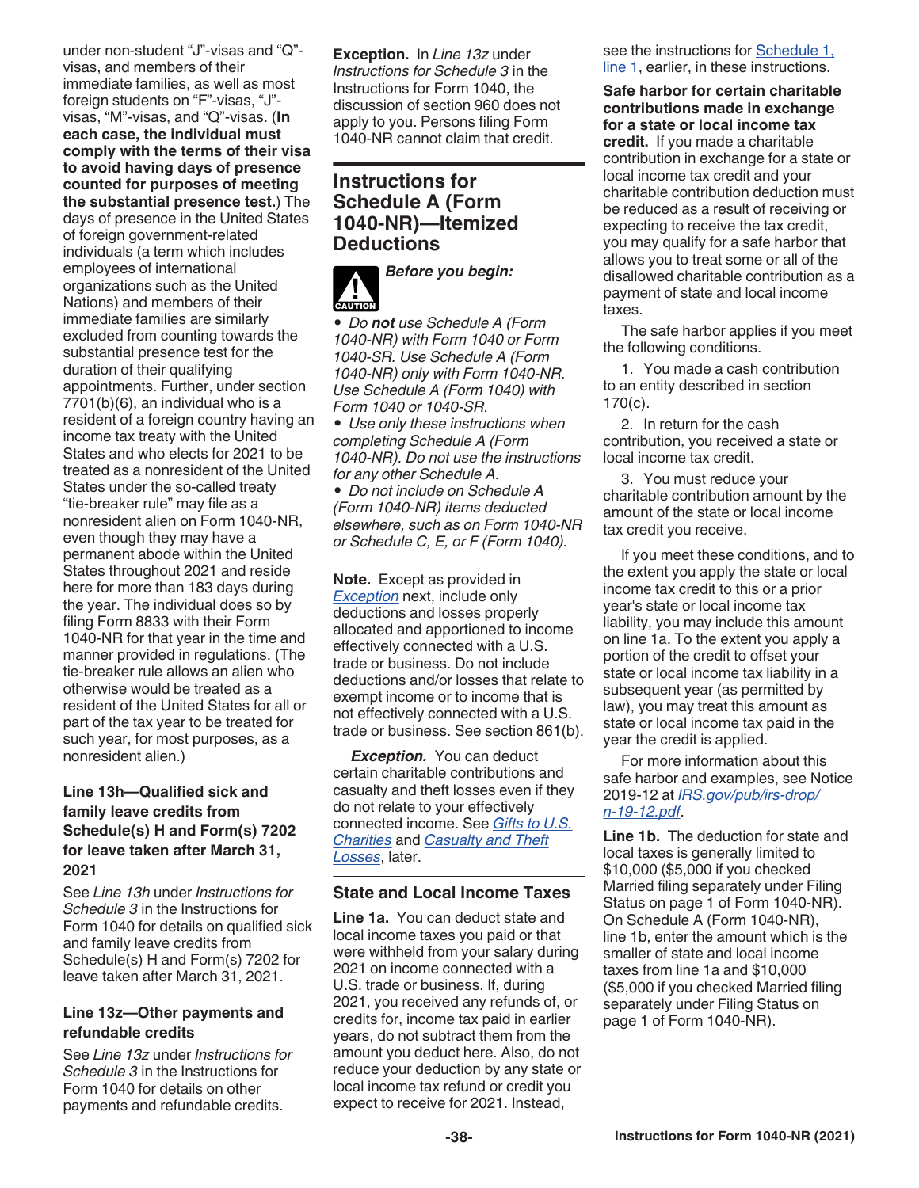under non-student "J"-visas and "Q" visas, and members of their immediate families, as well as most foreign students on "F"-visas, "J" visas, "M"-visas, and "Q"-visas. (**In each case, the individual must comply with the terms of their visa to avoid having days of presence counted for purposes of meeting the substantial presence test.**) The days of presence in the United States of foreign government-related individuals (a term which includes employees of international organizations such as the United Nations) and members of their immediate families are similarly excluded from counting towards the substantial presence test for the duration of their qualifying appointments. Further, under section 7701(b)(6), an individual who is a resident of a foreign country having an income tax treaty with the United States and who elects for 2021 to be treated as a nonresident of the United States under the so-called treaty "tie-breaker rule" may file as a nonresident alien on Form 1040-NR, even though they may have a permanent abode within the United States throughout 2021 and reside here for more than 183 days during the year. The individual does so by filing Form 8833 with their Form 1040-NR for that year in the time and manner provided in regulations. (The tie-breaker rule allows an alien who otherwise would be treated as a resident of the United States for all or part of the tax year to be treated for such year, for most purposes, as a nonresident alien.)

### **Line 13h—Qualified sick and family leave credits from Schedule(s) H and Form(s) 7202 for leave taken after March 31, 2021**

See *Line 13h* under *Instructions for Schedule 3* in the Instructions for Form 1040 for details on qualified sick and family leave credits from Schedule(s) H and Form(s) 7202 for leave taken after March 31, 2021.

### **Line 13z—Other payments and refundable credits**

See *Line 13z* under *Instructions for Schedule 3* in the Instructions for Form 1040 for details on other payments and refundable credits.

**Exception.** In *Line 13z* under *Instructions for Schedule 3* in the Instructions for Form 1040, the discussion of section 960 does not apply to you. Persons filing Form 1040-NR cannot claim that credit.

### **Instructions for Schedule A (Form 1040-NR)—Itemized Deductions**



*• Do not use Schedule A (Form 1040-NR) with Form 1040 or Form 1040-SR. Use Schedule A (Form 1040-NR) only with Form 1040-NR. Use Schedule A (Form 1040) with Form 1040 or 1040-SR.*

*• Use only these instructions when completing Schedule A (Form 1040-NR). Do not use the instructions for any other Schedule A.*

*• Do not include on Schedule A (Form 1040-NR) items deducted elsewhere, such as on Form 1040-NR or Schedule C, E, or F (Form 1040).*

**Note.** Except as provided in *Exception* next, include only deductions and losses properly allocated and apportioned to income effectively connected with a U.S. trade or business. Do not include deductions and/or losses that relate to exempt income or to income that is not effectively connected with a U.S. trade or business. See section 861(b).

*Exception.* You can deduct certain charitable contributions and casualty and theft losses even if they do not relate to your effectively connected income. See *Gifts to U.S. Charities* and *Casualty and Theft Losses*, later.

### **State and Local Income Taxes**

**Line 1a.** You can deduct state and local income taxes you paid or that were withheld from your salary during 2021 on income connected with a U.S. trade or business. If, during 2021, you received any refunds of, or credits for, income tax paid in earlier years, do not subtract them from the amount you deduct here. Also, do not reduce your deduction by any state or local income tax refund or credit you expect to receive for 2021. Instead,

see the instructions for Schedule 1, line 1, earlier, in these instructions.

**Safe harbor for certain charitable contributions made in exchange for a state or local income tax credit.** If you made a charitable contribution in exchange for a state or local income tax credit and your charitable contribution deduction must be reduced as a result of receiving or expecting to receive the tax credit, you may qualify for a safe harbor that allows you to treat some or all of the disallowed charitable contribution as a payment of state and local income taxes.

The safe harbor applies if you meet the following conditions.

1. You made a cash contribution to an entity described in section 170(c).

2. In return for the cash contribution, you received a state or local income tax credit.

3. You must reduce your charitable contribution amount by the amount of the state or local income tax credit you receive.

If you meet these conditions, and to the extent you apply the state or local income tax credit to this or a prior year's state or local income tax liability, you may include this amount on line 1a. To the extent you apply a portion of the credit to offset your state or local income tax liability in a subsequent year (as permitted by law), you may treat this amount as state or local income tax paid in the year the credit is applied.

For more information about this safe harbor and examples, see Notice 2019-12 at *[IRS.gov/pub/irs-drop/](https://www.irs.gov/pub/irs-drop/n-19-12.pdf) [n-19-12.pdf](https://www.irs.gov/pub/irs-drop/n-19-12.pdf)*.

**Line 1b.** The deduction for state and local taxes is generally limited to \$10,000 (\$5,000 if you checked Married filing separately under Filing Status on page 1 of Form 1040-NR). On Schedule A (Form 1040-NR), line 1b, enter the amount which is the smaller of state and local income taxes from line 1a and \$10,000 (\$5,000 if you checked Married filing separately under Filing Status on page 1 of Form 1040-NR).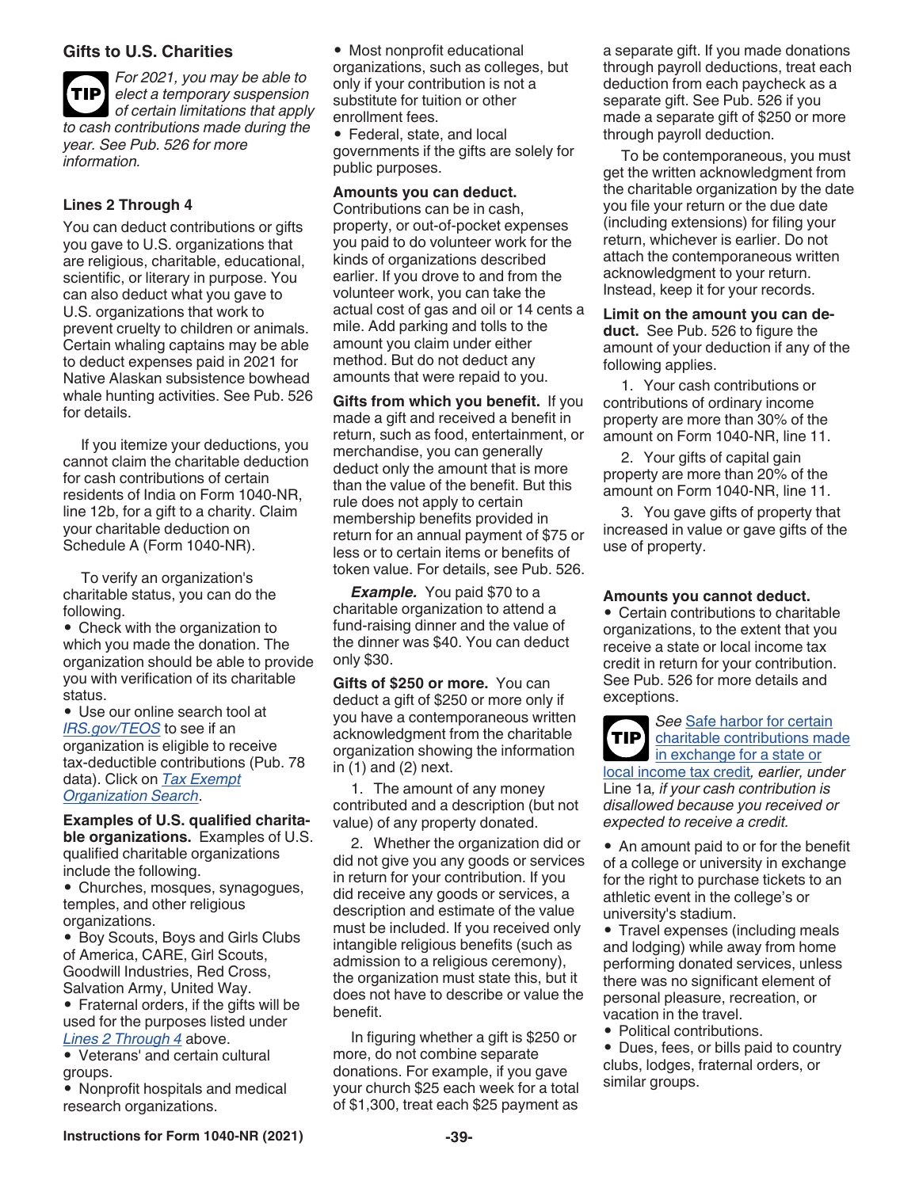### **Gifts to U.S. Charities**

*For 2021, you may be able to elect a temporary suspension of certain limitations that apply to cash contributions made during the year. See Pub. 526 for more information.* **TIP**

### **Lines 2 Through 4**

You can deduct contributions or gifts you gave to U.S. organizations that are religious, charitable, educational, scientific, or literary in purpose. You can also deduct what you gave to U.S. organizations that work to prevent cruelty to children or animals. Certain whaling captains may be able to deduct expenses paid in 2021 for Native Alaskan subsistence bowhead whale hunting activities. See Pub. 526 for details.

If you itemize your deductions, you cannot claim the charitable deduction for cash contributions of certain residents of India on Form 1040-NR, line 12b, for a gift to a charity. Claim your charitable deduction on Schedule A (Form 1040-NR).

To verify an organization's charitable status, you can do the following.

• Check with the organization to which you made the donation. The organization should be able to provide you with verification of its charitable status.

• Use our online search tool at *[IRS.gov/TEOS](https://www.irs.gov/charities-non-profits/tax-exempt-organization-search)* to see if an organization is eligible to receive tax-deductible contributions (Pub. 78 data). Click on *[Tax Exempt](https://www.irs.gov/charities-non-profits/tax-exempt-organization-search)  [Organization Search](https://www.irs.gov/charities-non-profits/tax-exempt-organization-search)*.

**Examples of U.S. qualified charitable organizations.** Examples of U.S. qualified charitable organizations include the following.

• Churches, mosques, synagogues, temples, and other religious organizations.

• Boy Scouts, Boys and Girls Clubs of America, CARE, Girl Scouts, Goodwill Industries, Red Cross, Salvation Army, United Way.

• Fraternal orders, if the gifts will be used for the purposes listed under *Lines 2 Through 4* above.

• Veterans' and certain cultural groups.

• Nonprofit hospitals and medical research organizations.

• Most nonprofit educational organizations, such as colleges, but only if your contribution is not a substitute for tuition or other enrollment fees.

• Federal, state, and local governments if the gifts are solely for public purposes.

#### **Amounts you can deduct.**

Contributions can be in cash, property, or out-of-pocket expenses you paid to do volunteer work for the kinds of organizations described earlier. If you drove to and from the volunteer work, you can take the actual cost of gas and oil or 14 cents a mile. Add parking and tolls to the amount you claim under either method. But do not deduct any amounts that were repaid to you.

**Gifts from which you benefit.** If you made a gift and received a benefit in return, such as food, entertainment, or merchandise, you can generally deduct only the amount that is more than the value of the benefit. But this rule does not apply to certain membership benefits provided in return for an annual payment of \$75 or less or to certain items or benefits of token value. For details, see Pub. 526.

*Example.* You paid \$70 to a charitable organization to attend a fund-raising dinner and the value of the dinner was \$40. You can deduct only \$30.

**Gifts of \$250 or more.** You can deduct a gift of \$250 or more only if you have a contemporaneous written acknowledgment from the charitable organization showing the information in (1) and (2) next.

1. The amount of any money contributed and a description (but not value) of any property donated.

2. Whether the organization did or did not give you any goods or services in return for your contribution. If you did receive any goods or services, a description and estimate of the value must be included. If you received only intangible religious benefits (such as admission to a religious ceremony), the organization must state this, but it does not have to describe or value the benefit.

In figuring whether a gift is \$250 or more, do not combine separate donations. For example, if you gave your church \$25 each week for a total of \$1,300, treat each \$25 payment as

a separate gift. If you made donations through payroll deductions, treat each deduction from each paycheck as a separate gift. See Pub. 526 if you made a separate gift of \$250 or more through payroll deduction.

To be contemporaneous, you must get the written acknowledgment from the charitable organization by the date you file your return or the due date (including extensions) for filing your return, whichever is earlier. Do not attach the contemporaneous written acknowledgment to your return. Instead, keep it for your records.

#### **Limit on the amount you can deduct.** See Pub. 526 to figure the amount of your deduction if any of the following applies.

1. Your cash contributions or contributions of ordinary income property are more than 30% of the amount on Form 1040-NR, line 11.

2. Your gifts of capital gain property are more than 20% of the amount on Form 1040-NR, line 11.

3. You gave gifts of property that increased in value or gave gifts of the use of property.

#### **Amounts you cannot deduct.**

• Certain contributions to charitable organizations, to the extent that you receive a state or local income tax credit in return for your contribution. See Pub. 526 for more details and exceptions.

*See* Safe harbor for certain charitable contributions made in exchange for a state or local income tax credit*, earlier, under*  Line 1a*, if your cash contribution is disallowed because you received or expected to receive a credit.* **TIP**

• An amount paid to or for the benefit of a college or university in exchange for the right to purchase tickets to an athletic event in the college's or university's stadium.

• Travel expenses (including meals and lodging) while away from home performing donated services, unless there was no significant element of personal pleasure, recreation, or vacation in the travel.

• Political contributions.

• Dues, fees, or bills paid to country clubs, lodges, fraternal orders, or similar groups.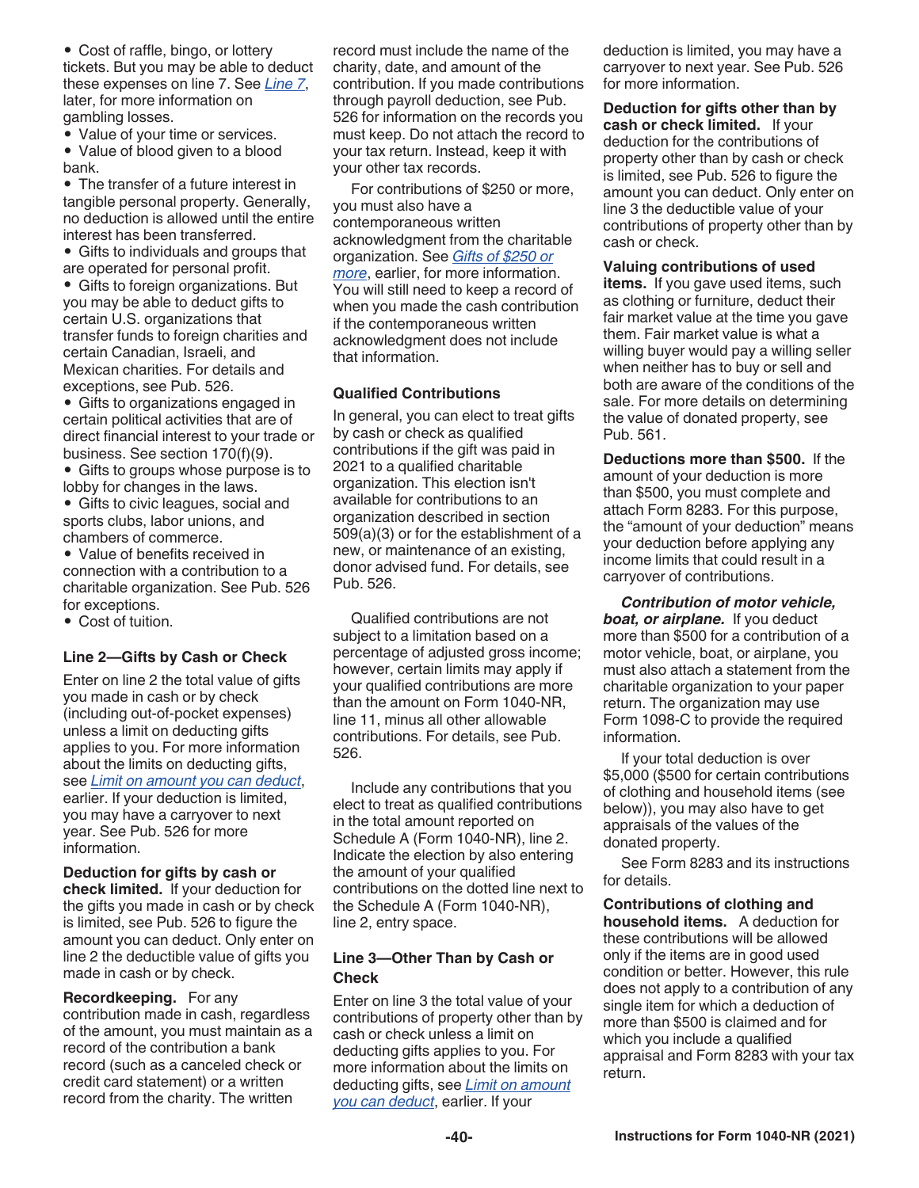• Cost of raffle, bingo, or lottery tickets. But you may be able to deduct these expenses on line 7. See *Line 7*, later, for more information on gambling losses.

• Value of your time or services.

• Value of blood given to a blood bank.

• The transfer of a future interest in tangible personal property. Generally, no deduction is allowed until the entire interest has been transferred.

• Gifts to individuals and groups that are operated for personal profit.

• Gifts to foreign organizations. But you may be able to deduct gifts to certain U.S. organizations that transfer funds to foreign charities and certain Canadian, Israeli, and Mexican charities. For details and exceptions, see Pub. 526.

• Gifts to organizations engaged in certain political activities that are of direct financial interest to your trade or business. See section 170(f)(9).

• Gifts to groups whose purpose is to lobby for changes in the laws.

• Gifts to civic leagues, social and sports clubs, labor unions, and chambers of commerce.

• Value of benefits received in connection with a contribution to a charitable organization. See Pub. 526 for exceptions.

• Cost of tuition.

### **Line 2—Gifts by Cash or Check**

Enter on line 2 the total value of gifts you made in cash or by check (including out-of-pocket expenses) unless a limit on deducting gifts applies to you. For more information about the limits on deducting gifts, see *Limit on amount you can deduct*, earlier. If your deduction is limited, you may have a carryover to next year. See Pub. 526 for more information.

**Deduction for gifts by cash or check limited.** If your deduction for the gifts you made in cash or by check is limited, see Pub. 526 to figure the amount you can deduct. Only enter on line 2 the deductible value of gifts you made in cash or by check.

**Recordkeeping.** For any contribution made in cash, regardless of the amount, you must maintain as a record of the contribution a bank record (such as a canceled check or credit card statement) or a written record from the charity. The written

record must include the name of the charity, date, and amount of the contribution. If you made contributions through payroll deduction, see Pub. 526 for information on the records you must keep. Do not attach the record to your tax return. Instead, keep it with your other tax records.

For contributions of \$250 or more, you must also have a contemporaneous written acknowledgment from the charitable organization. See *Gifts of \$250 or more*, earlier, for more information. You will still need to keep a record of when you made the cash contribution if the contemporaneous written acknowledgment does not include that information.

### **Qualified Contributions**

In general, you can elect to treat gifts by cash or check as qualified contributions if the gift was paid in 2021 to a qualified charitable organization. This election isn't available for contributions to an organization described in section 509(a)(3) or for the establishment of a new, or maintenance of an existing, donor advised fund. For details, see Pub. 526.

Qualified contributions are not subject to a limitation based on a percentage of adjusted gross income; however, certain limits may apply if your qualified contributions are more than the amount on Form 1040-NR, line 11, minus all other allowable contributions. For details, see Pub. 526.

Include any contributions that you elect to treat as qualified contributions in the total amount reported on Schedule A (Form 1040-NR), line 2. Indicate the election by also entering the amount of your qualified contributions on the dotted line next to the Schedule A (Form 1040-NR), line 2, entry space.

### **Line 3—Other Than by Cash or Check**

Enter on line 3 the total value of your contributions of property other than by cash or check unless a limit on deducting gifts applies to you. For more information about the limits on deducting gifts, see *Limit on amount you can deduct*, earlier. If your

deduction is limited, you may have a carryover to next year. See Pub. 526 for more information.

#### **Deduction for gifts other than by cash or check limited.** If your deduction for the contributions of property other than by cash or check is limited, see Pub. 526 to figure the amount you can deduct. Only enter on line 3 the deductible value of your contributions of property other than by cash or check.

### **Valuing contributions of used**

**items.** If you gave used items, such as clothing or furniture, deduct their fair market value at the time you gave them. Fair market value is what a willing buyer would pay a willing seller when neither has to buy or sell and both are aware of the conditions of the sale. For more details on determining the value of donated property, see Pub. 561.

**Deductions more than \$500.** If the amount of your deduction is more than \$500, you must complete and attach Form 8283. For this purpose, the "amount of your deduction" means your deduction before applying any income limits that could result in a carryover of contributions.

*Contribution of motor vehicle,*  **boat, or airplane.** If you deduct more than \$500 for a contribution of a motor vehicle, boat, or airplane, you must also attach a statement from the charitable organization to your paper return. The organization may use Form 1098-C to provide the required information.

If your total deduction is over \$5,000 (\$500 for certain contributions of clothing and household items (see below)), you may also have to get appraisals of the values of the donated property.

See Form 8283 and its instructions for details.

**Contributions of clothing and household items.** A deduction for these contributions will be allowed only if the items are in good used condition or better. However, this rule does not apply to a contribution of any single item for which a deduction of more than \$500 is claimed and for which you include a qualified appraisal and Form 8283 with your tax return.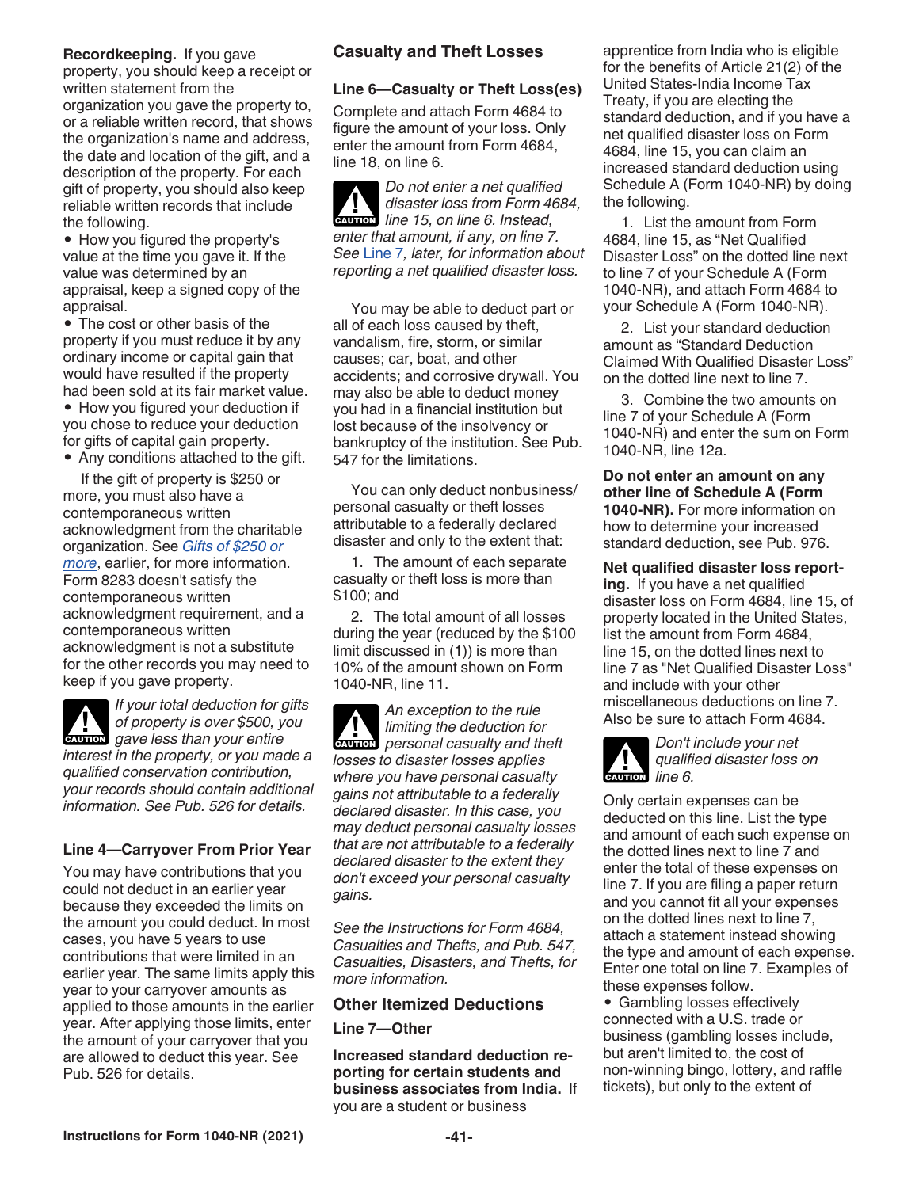#### **Recordkeeping.** If you gave property, you should keep a receipt or written statement from the organization you gave the property to, or a reliable written record, that shows the organization's name and address, the date and location of the gift, and a description of the property. For each gift of property, you should also keep reliable written records that include the following.

• How you figured the property's value at the time you gave it. If the value was determined by an appraisal, keep a signed copy of the appraisal.

• The cost or other basis of the property if you must reduce it by any ordinary income or capital gain that would have resulted if the property had been sold at its fair market value.

• How you figured your deduction if you chose to reduce your deduction for gifts of capital gain property.

• Any conditions attached to the gift.

If the gift of property is \$250 or more, you must also have a contemporaneous written acknowledgment from the charitable organization. See *Gifts of \$250 or more*, earlier, for more information. Form 8283 doesn't satisfy the contemporaneous written acknowledgment requirement, and a contemporaneous written acknowledgment is not a substitute for the other records you may need to keep if you gave property.

*If your total deduction for gifts of property is over \$500, you*  **g** of property is over \$500, your entire *interest in the property, or you made a qualified conservation contribution, your records should contain additional information. See Pub. 526 for details.*

### **Line 4—Carryover From Prior Year**

You may have contributions that you could not deduct in an earlier year because they exceeded the limits on the amount you could deduct. In most cases, you have 5 years to use contributions that were limited in an earlier year. The same limits apply this year to your carryover amounts as applied to those amounts in the earlier year. After applying those limits, enter the amount of your carryover that you are allowed to deduct this year. See Pub. 526 for details.

### **Casualty and Theft Losses**

### **Line 6—Casualty or Theft Loss(es)**

Complete and attach Form 4684 to figure the amount of your loss. Only enter the amount from Form 4684, line 18, on line 6.

*Do not enter a net qualified disaster loss from Form 4684,*  **disaster loss from Form 46**<br> **CAUTION** line 15, on line 6. Instead, *enter that amount, if any, on line 7. See* Line 7*, later, for information about reporting a net qualified disaster loss.*

You may be able to deduct part or all of each loss caused by theft, vandalism, fire, storm, or similar causes; car, boat, and other accidents; and corrosive drywall. You may also be able to deduct money you had in a financial institution but lost because of the insolvency or bankruptcy of the institution. See Pub. 547 for the limitations.

You can only deduct nonbusiness/ personal casualty or theft losses attributable to a federally declared disaster and only to the extent that:

1. The amount of each separate casualty or theft loss is more than \$100; and

2. The total amount of all losses during the year (reduced by the \$100 limit discussed in (1)) is more than 10% of the amount shown on Form 1040-NR, line 11.

*An exception to the rule limiting the deduction for personal casualty and theft losses to disaster losses applies where you have personal casualty gains not attributable to a federally declared disaster. In this case, you may deduct personal casualty losses that are not attributable to a federally declared disaster to the extent they don't exceed your personal casualty gains.*

*See the Instructions for Form 4684, Casualties and Thefts, and Pub. 547, Casualties, Disasters, and Thefts, for more information.*

### **Other Itemized Deductions**

**Line 7—Other**

**Increased standard deduction reporting for certain students and business associates from India.** If you are a student or business

apprentice from India who is eligible for the benefits of Article 21(2) of the United States-India Income Tax Treaty, if you are electing the standard deduction, and if you have a net qualified disaster loss on Form 4684, line 15, you can claim an increased standard deduction using Schedule A (Form 1040-NR) by doing the following.

1. List the amount from Form 4684, line 15, as "Net Qualified Disaster Loss" on the dotted line next to line 7 of your Schedule A (Form 1040-NR), and attach Form 4684 to your Schedule A (Form 1040-NR).

2. List your standard deduction amount as "Standard Deduction Claimed With Qualified Disaster Loss" on the dotted line next to line 7.

3. Combine the two amounts on line 7 of your Schedule A (Form 1040-NR) and enter the sum on Form 1040-NR, line 12a.

**Do not enter an amount on any other line of Schedule A (Form 1040-NR).** For more information on how to determine your increased standard deduction, see Pub. 976.

**Net qualified disaster loss report-**

**ing.** If you have a net qualified disaster loss on Form 4684, line 15, of property located in the United States, list the amount from Form 4684, line 15, on the dotted lines next to line 7 as "Net Qualified Disaster Loss" and include with your other miscellaneous deductions on line 7. Also be sure to attach Form 4684.



*Don't include your net qualified disaster loss on*  **discutes** dualities du dieu

Only certain expenses can be deducted on this line. List the type and amount of each such expense on the dotted lines next to line 7 and enter the total of these expenses on line 7. If you are filing a paper return and you cannot fit all your expenses on the dotted lines next to line 7, attach a statement instead showing the type and amount of each expense. Enter one total on line 7. Examples of these expenses follow.

• Gambling losses effectively connected with a U.S. trade or business (gambling losses include, but aren't limited to, the cost of non-winning bingo, lottery, and raffle tickets), but only to the extent of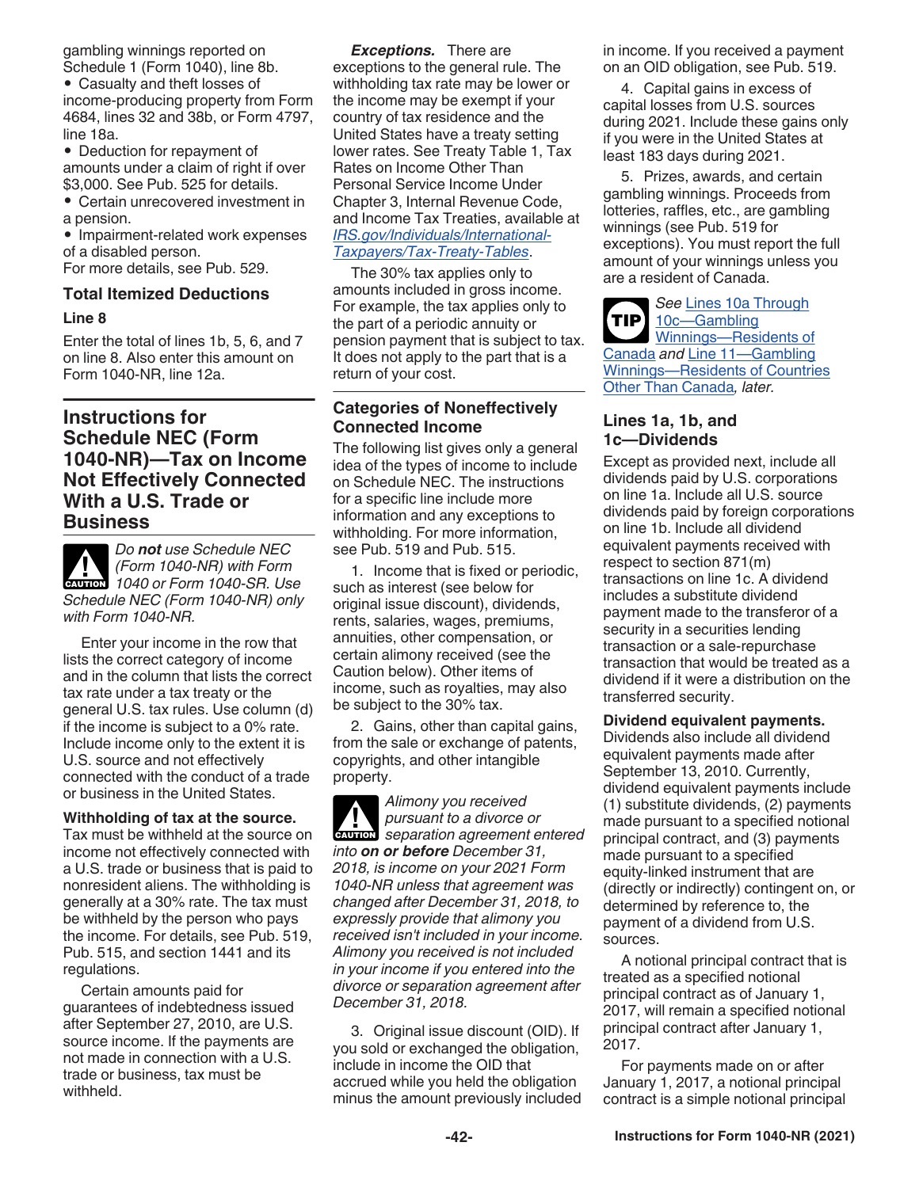gambling winnings reported on Schedule 1 (Form 1040), line 8b.

• Casualty and theft losses of income-producing property from Form 4684, lines 32 and 38b, or Form 4797, line 18a.

• Deduction for repayment of amounts under a claim of right if over \$3,000. See Pub. 525 for details.

• Certain unrecovered investment in a pension.

• Impairment-related work expenses of a disabled person.

For more details, see Pub. 529.

### **Total Itemized Deductions**

#### **Line 8**

Enter the total of lines 1b, 5, 6, and 7 on line 8. Also enter this amount on Form 1040-NR, line 12a.

### **Instructions for Schedule NEC (Form 1040-NR)—Tax on Income Not Effectively Connected With a U.S. Trade or Business**



*Do not use Schedule NEC (Form 1040-NR) with Form CAUTION* (Form 1040-NR) with Form<br>
1040 or Form 1040-SR. Use *Schedule NEC (Form 1040-NR) only with Form 1040-NR.*

Enter your income in the row that lists the correct category of income and in the column that lists the correct tax rate under a tax treaty or the general U.S. tax rules. Use column (d) if the income is subject to a 0% rate. Include income only to the extent it is U.S. source and not effectively connected with the conduct of a trade or business in the United States.

#### **Withholding of tax at the source.**

Tax must be withheld at the source on income not effectively connected with a U.S. trade or business that is paid to nonresident aliens. The withholding is generally at a 30% rate. The tax must be withheld by the person who pays the income. For details, see Pub. 519, Pub. 515, and section 1441 and its regulations.

Certain amounts paid for guarantees of indebtedness issued after September 27, 2010, are U.S. source income. If the payments are not made in connection with a U.S. trade or business, tax must be withheld.

*Exceptions.* There are exceptions to the general rule. The withholding tax rate may be lower or the income may be exempt if your country of tax residence and the United States have a treaty setting lower rates. See Treaty Table 1, Tax Rates on Income Other Than Personal Service Income Under Chapter 3, Internal Revenue Code, and Income Tax Treaties, available at *[IRS.gov/Individuals/International-](https://www.irs.gov/individuals/international-taxpayers/tax-treaty-tables)[Taxpayers/Tax-Treaty-Tables](https://www.irs.gov/individuals/international-taxpayers/tax-treaty-tables)*.

The 30% tax applies only to amounts included in gross income. For example, the tax applies only to the part of a periodic annuity or pension payment that is subject to tax. It does not apply to the part that is a return of your cost.

### **Categories of Noneffectively Connected Income**

The following list gives only a general idea of the types of income to include on Schedule NEC. The instructions for a specific line include more information and any exceptions to withholding. For more information, see Pub. 519 and Pub. 515.

1. Income that is fixed or periodic, such as interest (see below for original issue discount), dividends, rents, salaries, wages, premiums, annuities, other compensation, or certain alimony received (see the Caution below). Other items of income, such as royalties, may also be subject to the 30% tax.

2. Gains, other than capital gains, from the sale or exchange of patents, copyrights, and other intangible property.

*Alimony you received pursuant to a divorce or*  **z**<br>**CAUTION** separation agreement entered *into on or before December 31, 2018, is income on your 2021 Form 1040-NR unless that agreement was changed after December 31, 2018, to expressly provide that alimony you received isn't included in your income. Alimony you received is not included in your income if you entered into the divorce or separation agreement after December 31, 2018.*

3. Original issue discount (OID). If you sold or exchanged the obligation, include in income the OID that accrued while you held the obligation minus the amount previously included in income. If you received a payment on an OID obligation, see Pub. 519.

4. Capital gains in excess of capital losses from U.S. sources during 2021. Include these gains only if you were in the United States at least 183 days during 2021.

5. Prizes, awards, and certain gambling winnings. Proceeds from lotteries, raffles, etc., are gambling winnings (see Pub. 519 for exceptions). You must report the full amount of your winnings unless you are a resident of Canada.

*See* Lines 10a Through 10c—Gambling Winnings—Residents of Canada *and* Line 11—Gambling Winnings—Residents of Countries Other Than Canada*, later.* **TIP**

### **Lines 1a, 1b, and 1c—Dividends**

Except as provided next, include all dividends paid by U.S. corporations on line 1a. Include all U.S. source dividends paid by foreign corporations on line 1b. Include all dividend equivalent payments received with respect to section 871(m) transactions on line 1c. A dividend includes a substitute dividend payment made to the transferor of a security in a securities lending transaction or a sale-repurchase transaction that would be treated as a dividend if it were a distribution on the transferred security.

#### **Dividend equivalent payments.**

Dividends also include all dividend equivalent payments made after September 13, 2010. Currently, dividend equivalent payments include (1) substitute dividends, (2) payments made pursuant to a specified notional principal contract, and (3) payments made pursuant to a specified equity-linked instrument that are (directly or indirectly) contingent on, or determined by reference to, the payment of a dividend from U.S. sources.

A notional principal contract that is treated as a specified notional principal contract as of January 1, 2017, will remain a specified notional principal contract after January 1, 2017.

For payments made on or after January 1, 2017, a notional principal contract is a simple notional principal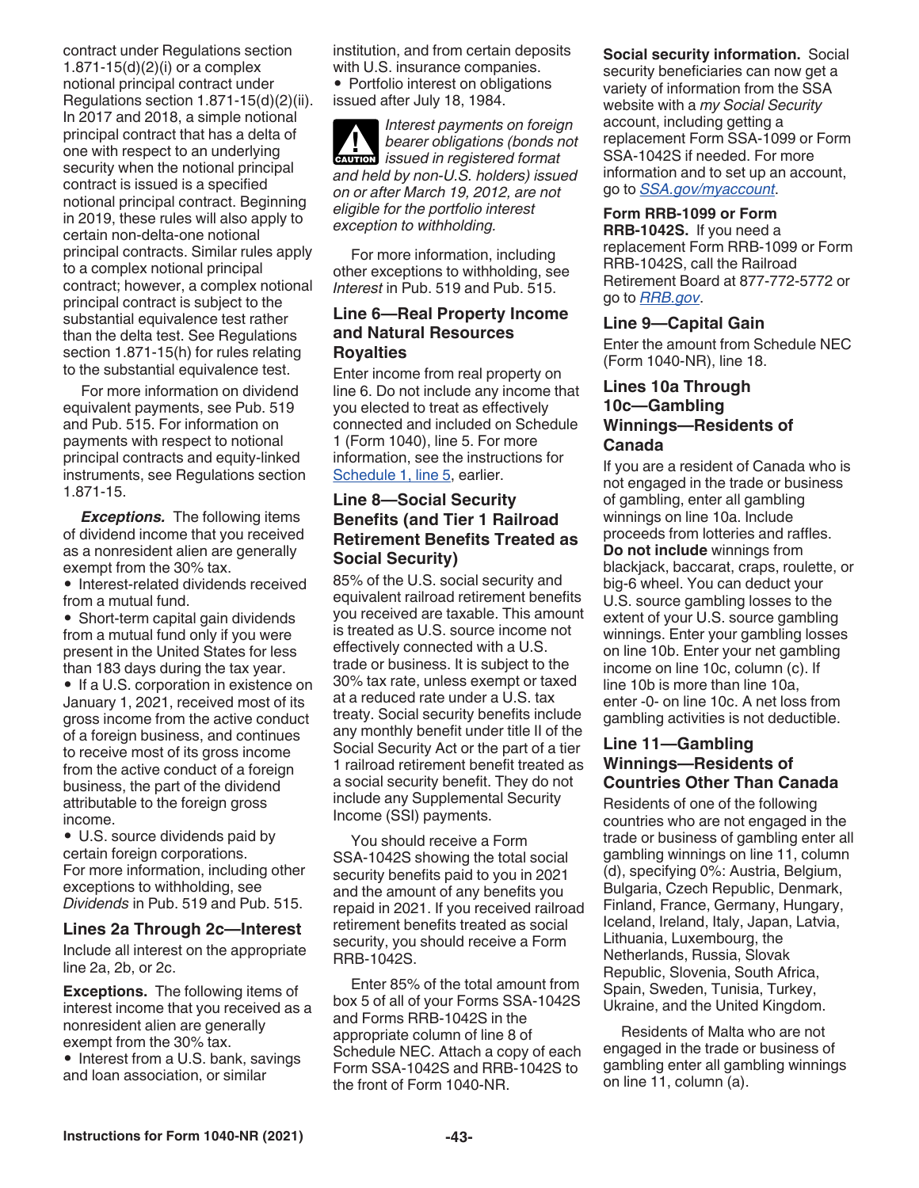contract under Regulations section 1.871-15(d)(2)(i) or a complex notional principal contract under Regulations section 1.871-15(d)(2)(ii). In 2017 and 2018, a simple notional principal contract that has a delta of one with respect to an underlying security when the notional principal contract is issued is a specified notional principal contract. Beginning in 2019, these rules will also apply to certain non-delta-one notional principal contracts. Similar rules apply to a complex notional principal contract; however, a complex notional principal contract is subject to the substantial equivalence test rather than the delta test. See Regulations section 1.871-15(h) for rules relating to the substantial equivalence test.

For more information on dividend equivalent payments, see Pub. 519 and Pub. 515. For information on payments with respect to notional principal contracts and equity-linked instruments, see Regulations section 1.871-15.

*Exceptions.* The following items of dividend income that you received as a nonresident alien are generally exempt from the 30% tax.

• Interest-related dividends received from a mutual fund.

• Short-term capital gain dividends from a mutual fund only if you were present in the United States for less than 183 days during the tax year.

• If a U.S. corporation in existence on January 1, 2021, received most of its gross income from the active conduct of a foreign business, and continues to receive most of its gross income from the active conduct of a foreign business, the part of the dividend attributable to the foreign gross income.

• U.S. source dividends paid by certain foreign corporations. For more information, including other exceptions to withholding, see *Dividends* in Pub. 519 and Pub. 515.

### **Lines 2a Through 2c—Interest**

Include all interest on the appropriate line 2a, 2b, or 2c.

**Exceptions.** The following items of interest income that you received as a nonresident alien are generally exempt from the 30% tax.

• Interest from a U.S. bank, savings and loan association, or similar

institution, and from certain deposits with U.S. insurance companies.

• Portfolio interest on obligations issued after July 18, 1984.

*Interest payments on foreign bearer obligations (bonds not bearer obligations (bonds now issued in registered format and held by non-U.S. holders) issued on or after March 19, 2012, are not eligible for the portfolio interest exception to withholding.*

For more information, including other exceptions to withholding, see *Interest* in Pub. 519 and Pub. 515.

### **Line 6—Real Property Income and Natural Resources Royalties**

Enter income from real property on line 6. Do not include any income that you elected to treat as effectively connected and included on Schedule 1 (Form 1040), line 5. For more information, see the instructions for Schedule 1, line 5, earlier.

### **Line 8—Social Security Benefits (and Tier 1 Railroad Retirement Benefits Treated as Social Security)**

85% of the U.S. social security and equivalent railroad retirement benefits you received are taxable. This amount is treated as U.S. source income not effectively connected with a U.S. trade or business. It is subject to the 30% tax rate, unless exempt or taxed at a reduced rate under a U.S. tax treaty. Social security benefits include any monthly benefit under title II of the Social Security Act or the part of a tier 1 railroad retirement benefit treated as a social security benefit. They do not include any Supplemental Security Income (SSI) payments.

You should receive a Form SSA-1042S showing the total social security benefits paid to you in 2021 and the amount of any benefits you repaid in 2021. If you received railroad retirement benefits treated as social security, you should receive a Form RRB-1042S.

Enter 85% of the total amount from box 5 of all of your Forms SSA-1042S and Forms RRB-1042S in the appropriate column of line 8 of Schedule NEC. Attach a copy of each Form SSA-1042S and RRB-1042S to the front of Form 1040-NR.

### **Social security information.** Social

security beneficiaries can now get a variety of information from the SSA website with a *my Social Security*  account, including getting a replacement Form SSA-1099 or Form SSA-1042S if needed. For more information and to set up an account, go to *[SSA.gov/myaccount](http://www.ssa.gov/myaccount)*.

#### **Form RRB-1099 or Form**

**RRB-1042S.** If you need a replacement Form RRB-1099 or Form RRB-1042S, call the Railroad Retirement Board at 877-772-5772 or go to *[RRB.gov](http://www.rrb.gov)*.

#### **Line 9—Capital Gain**

Enter the amount from Schedule NEC (Form 1040-NR), line 18.

### **Lines 10a Through 10c—Gambling Winnings—Residents of Canada**

If you are a resident of Canada who is not engaged in the trade or business of gambling, enter all gambling winnings on line 10a. Include proceeds from lotteries and raffles. **Do not include** winnings from blackjack, baccarat, craps, roulette, or big-6 wheel. You can deduct your U.S. source gambling losses to the extent of your U.S. source gambling winnings. Enter your gambling losses on line 10b. Enter your net gambling income on line 10c, column (c). If line 10b is more than line 10a, enter -0- on line 10c. A net loss from gambling activities is not deductible.

### **Line 11—Gambling Winnings—Residents of Countries Other Than Canada**

Residents of one of the following countries who are not engaged in the trade or business of gambling enter all gambling winnings on line 11, column (d), specifying 0%: Austria, Belgium, Bulgaria, Czech Republic, Denmark, Finland, France, Germany, Hungary, Iceland, Ireland, Italy, Japan, Latvia, Lithuania, Luxembourg, the Netherlands, Russia, Slovak Republic, Slovenia, South Africa, Spain, Sweden, Tunisia, Turkey, Ukraine, and the United Kingdom.

Residents of Malta who are not engaged in the trade or business of gambling enter all gambling winnings on line 11, column (a).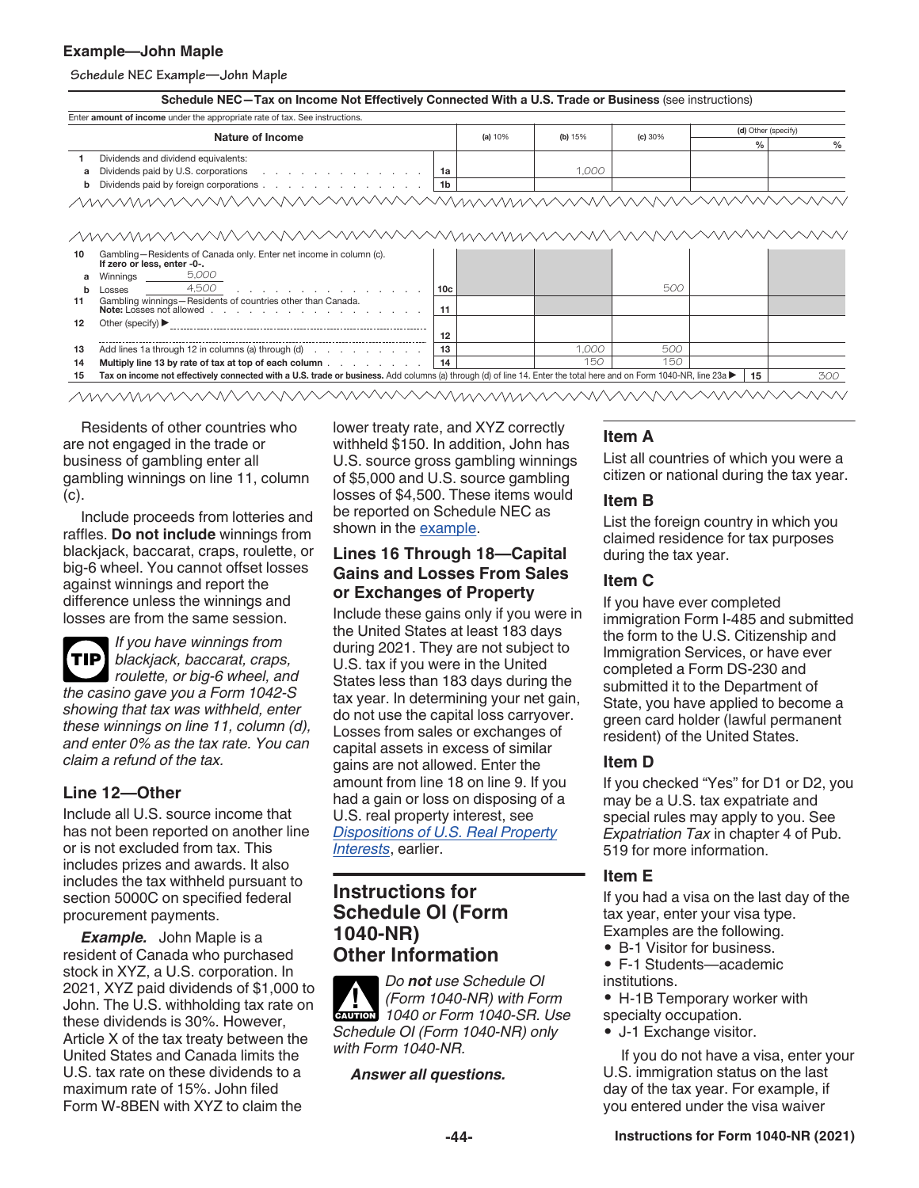### **Example—John Maple**

**Schedule NEC Example—John Maple**

| Enter amount of income under the appropriate rate of tax. See instructions.                                                                                                                                                         |                 |         |         |         |                     |               |
|-------------------------------------------------------------------------------------------------------------------------------------------------------------------------------------------------------------------------------------|-----------------|---------|---------|---------|---------------------|---------------|
| Nature of Income                                                                                                                                                                                                                    |                 | (a) 10% | (b) 15% | (c) 30% | (d) Other (specify) |               |
|                                                                                                                                                                                                                                     |                 |         |         |         | $\frac{0}{0}$       | $\frac{0}{0}$ |
| Dividends and dividend equivalents:                                                                                                                                                                                                 |                 |         |         |         |                     |               |
| Dividends paid by U.S. corporations example and the set of the set of the set of the set of the set of the set of the set of the set of the set of the set of the set of the set of the set of the set of the set of the set o<br>a | 1a              |         | 1,000   |         |                     |               |
| Dividends paid by foreign corporations<br>b                                                                                                                                                                                         | 1 <sub>b</sub>  |         |         |         |                     |               |
| MWWWWWWWWWWWWWWWWWWWWWWWWWWWWWWWWWW                                                                                                                                                                                                 |                 |         |         |         |                     |               |
|                                                                                                                                                                                                                                     |                 |         |         |         |                     |               |
| Gambling-Residents of Canada only. Enter net income in column (c).<br>10<br>If zero or less, enter -0-.<br>5,000<br>Winnings                                                                                                        |                 |         |         |         |                     |               |
| 4,500<br>b<br>and the contract of the contract of the contract of<br>Losses                                                                                                                                                         | 10 <sub>c</sub> |         |         | 500     |                     |               |
| Gambling winnings-Residents of countries other than Canada.                                                                                                                                                                         | 11              |         |         |         |                     |               |
| 12                                                                                                                                                                                                                                  |                 |         |         |         |                     |               |
|                                                                                                                                                                                                                                     | 12              |         |         |         |                     |               |
|                                                                                                                                                                                                                                     | 13              |         | 1,000   | 500     |                     |               |
| <u>MWWWWWWWWWWW</u><br>11<br>13<br>14<br>Multiply line 13 by rate of tax at top of each column                                                                                                                                      | 14              |         | 150     | 150     |                     |               |

Residents of other countries who are not engaged in the trade or business of gambling enter all gambling winnings on line 11, column (c).

Include proceeds from lotteries and raffles. **Do not include** winnings from blackjack, baccarat, craps, roulette, or big-6 wheel. You cannot offset losses against winnings and report the difference unless the winnings and losses are from the same session.

*If you have winnings from blackjack, baccarat, craps,*  **TIP** *roulette, or big-6 wheel, and the casino gave you a Form 1042-S showing that tax was withheld, enter these winnings on line 11, column (d), and enter 0% as the tax rate. You can claim a refund of the tax.*

### **Line 12—Other**

Include all U.S. source income that has not been reported on another line or is not excluded from tax. This includes prizes and awards. It also includes the tax withheld pursuant to section 5000C on specified federal procurement payments.

*Example.* John Maple is a resident of Canada who purchased stock in XYZ, a U.S. corporation. In 2021, XYZ paid dividends of \$1,000 to John. The U.S. withholding tax rate on these dividends is 30%. However, Article X of the tax treaty between the United States and Canada limits the U.S. tax rate on these dividends to a maximum rate of 15%. John filed Form W-8BEN with XYZ to claim the

lower treaty rate, and XYZ correctly withheld \$150. In addition, John has U.S. source gross gambling winnings of \$5,000 and U.S. source gambling losses of \$4,500. These items would be reported on Schedule NEC as shown in the example.

### **Lines 16 Through 18—Capital Gains and Losses From Sales or Exchanges of Property**

Include these gains only if you were in the United States at least 183 days during 2021. They are not subject to U.S. tax if you were in the United States less than 183 days during the tax year. In determining your net gain, do not use the capital loss carryover. Losses from sales or exchanges of capital assets in excess of similar gains are not allowed. Enter the amount from line 18 on line 9. If you had a gain or loss on disposing of a U.S. real property interest, see *Dispositions of U.S. Real Property* 

*Interests*, earlier.

### **Instructions for Schedule OI (Form 1040-NR) Other Information**

*Do not use Schedule OI (Form 1040-NR) with Form CAUTION* (Form 1040-NR) with Form<br>
1040 or Form 1040-SR. Use *Schedule OI (Form 1040-NR) only with Form 1040-NR.*

### *Answer all questions.*

### **Item A**

List all countries of which you were a citizen or national during the tax year.

### **Item B**

List the foreign country in which you claimed residence for tax purposes during the tax year.

### **Item C**

If you have ever completed immigration Form I-485 and submitted the form to the U.S. Citizenship and Immigration Services, or have ever completed a Form DS-230 and submitted it to the Department of State, you have applied to become a green card holder (lawful permanent resident) of the United States.

### **Item D**

If you checked "Yes" for D1 or D2, you may be a U.S. tax expatriate and special rules may apply to you. See *Expatriation Tax* in chapter 4 of Pub. 519 for more information.

### **Item E**

If you had a visa on the last day of the tax year, enter your visa type. Examples are the following.

- B-1 Visitor for business.
- F-1 Students—academic institutions.
- H-1B Temporary worker with
- specialty occupation.
- J-1 Exchange visitor.

If you do not have a visa, enter your U.S. immigration status on the last day of the tax year. For example, if you entered under the visa waiver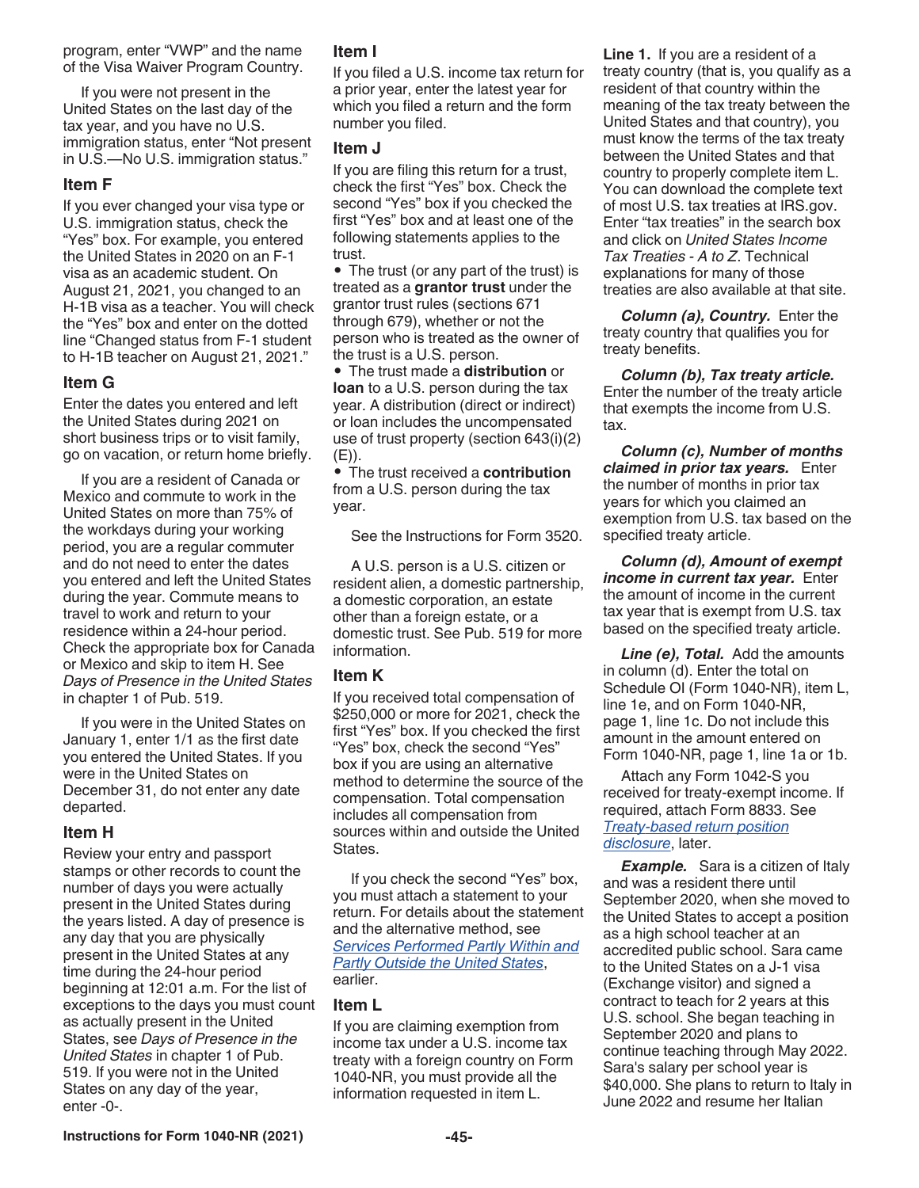If you were not present in the United States on the last day of the tax year, and you have no U.S. immigration status, enter "Not present in U.S.—No U.S. immigration status."

### **Item F**

If you ever changed your visa type or U.S. immigration status, check the "Yes" box. For example, you entered the United States in 2020 on an F-1 visa as an academic student. On August 21, 2021, you changed to an H-1B visa as a teacher. You will check the "Yes" box and enter on the dotted line "Changed status from F-1 student to H-1B teacher on August 21, 2021."

### **Item G**

Enter the dates you entered and left the United States during 2021 on short business trips or to visit family, go on vacation, or return home briefly.

If you are a resident of Canada or Mexico and commute to work in the United States on more than 75% of the workdays during your working period, you are a regular commuter and do not need to enter the dates you entered and left the United States during the year. Commute means to travel to work and return to your residence within a 24-hour period. Check the appropriate box for Canada or Mexico and skip to item H. See *Days of Presence in the United States*  in chapter 1 of Pub. 519.

If you were in the United States on January 1, enter 1/1 as the first date you entered the United States. If you were in the United States on December 31, do not enter any date departed.

### **Item H**

Review your entry and passport stamps or other records to count the number of days you were actually present in the United States during the years listed. A day of presence is any day that you are physically present in the United States at any time during the 24-hour period beginning at 12:01 a.m. For the list of exceptions to the days you must count as actually present in the United States, see *Days of Presence in the United States* in chapter 1 of Pub. 519. If you were not in the United States on any day of the year, enter -0-.

### **Item I**

If you filed a U.S. income tax return for a prior year, enter the latest year for which you filed a return and the form number you filed.

### **Item J**

If you are filing this return for a trust, check the first "Yes" box. Check the second "Yes" box if you checked the first "Yes" box and at least one of the following statements applies to the trust.

• The trust (or any part of the trust) is treated as a **grantor trust** under the grantor trust rules (sections 671 through 679), whether or not the person who is treated as the owner of the trust is a U.S. person.

• The trust made a **distribution** or **loan** to a U.S. person during the tax year. A distribution (direct or indirect) or loan includes the uncompensated use of trust property (section 643(i)(2) (E)).

• The trust received a **contribution**  from a U.S. person during the tax year.

See the Instructions for Form 3520.

A U.S. person is a U.S. citizen or resident alien, a domestic partnership, a domestic corporation, an estate other than a foreign estate, or a domestic trust. See Pub. 519 for more information.

### **Item K**

If you received total compensation of \$250,000 or more for 2021, check the first "Yes" box. If you checked the first "Yes" box, check the second "Yes" box if you are using an alternative method to determine the source of the compensation. Total compensation includes all compensation from sources within and outside the United States.

If you check the second "Yes" box, you must attach a statement to your return. For details about the statement and the alternative method, see *Services Performed Partly Within and Partly Outside the United States*, earlier.

### **Item L**

If you are claiming exemption from income tax under a U.S. income tax treaty with a foreign country on Form 1040-NR, you must provide all the information requested in item L.

**Line 1.** If you are a resident of a treaty country (that is, you qualify as a resident of that country within the meaning of the tax treaty between the United States and that country), you must know the terms of the tax treaty between the United States and that country to properly complete item L. You can download the complete text of most U.S. tax treaties at IRS.gov. Enter "tax treaties" in the search box and click on *United States Income Tax Treaties - A to Z*. Technical explanations for many of those treaties are also available at that site.

*Column (a), Country.* Enter the treaty country that qualifies you for treaty benefits.

*Column (b), Tax treaty article.*  Enter the number of the treaty article that exempts the income from U.S. tax.

*Column (c), Number of months claimed in prior tax years.* Enter the number of months in prior tax years for which you claimed an exemption from U.S. tax based on the specified treaty article.

*Column (d), Amount of exempt income in current tax year.* Enter the amount of income in the current tax year that is exempt from U.S. tax based on the specified treaty article.

*Line (e), Total.* Add the amounts in column (d). Enter the total on Schedule OI (Form 1040-NR), item L, line 1e, and on Form 1040-NR, page 1, line 1c. Do not include this amount in the amount entered on Form 1040-NR, page 1, line 1a or 1b.

Attach any Form 1042-S you received for treaty-exempt income. If required, attach Form 8833. See *Treaty-based return position disclosure*, later.

**Example.** Sara is a citizen of Italy and was a resident there until September 2020, when she moved to the United States to accept a position as a high school teacher at an accredited public school. Sara came to the United States on a J-1 visa (Exchange visitor) and signed a contract to teach for 2 years at this U.S. school. She began teaching in September 2020 and plans to continue teaching through May 2022. Sara's salary per school year is \$40,000. She plans to return to Italy in June 2022 and resume her Italian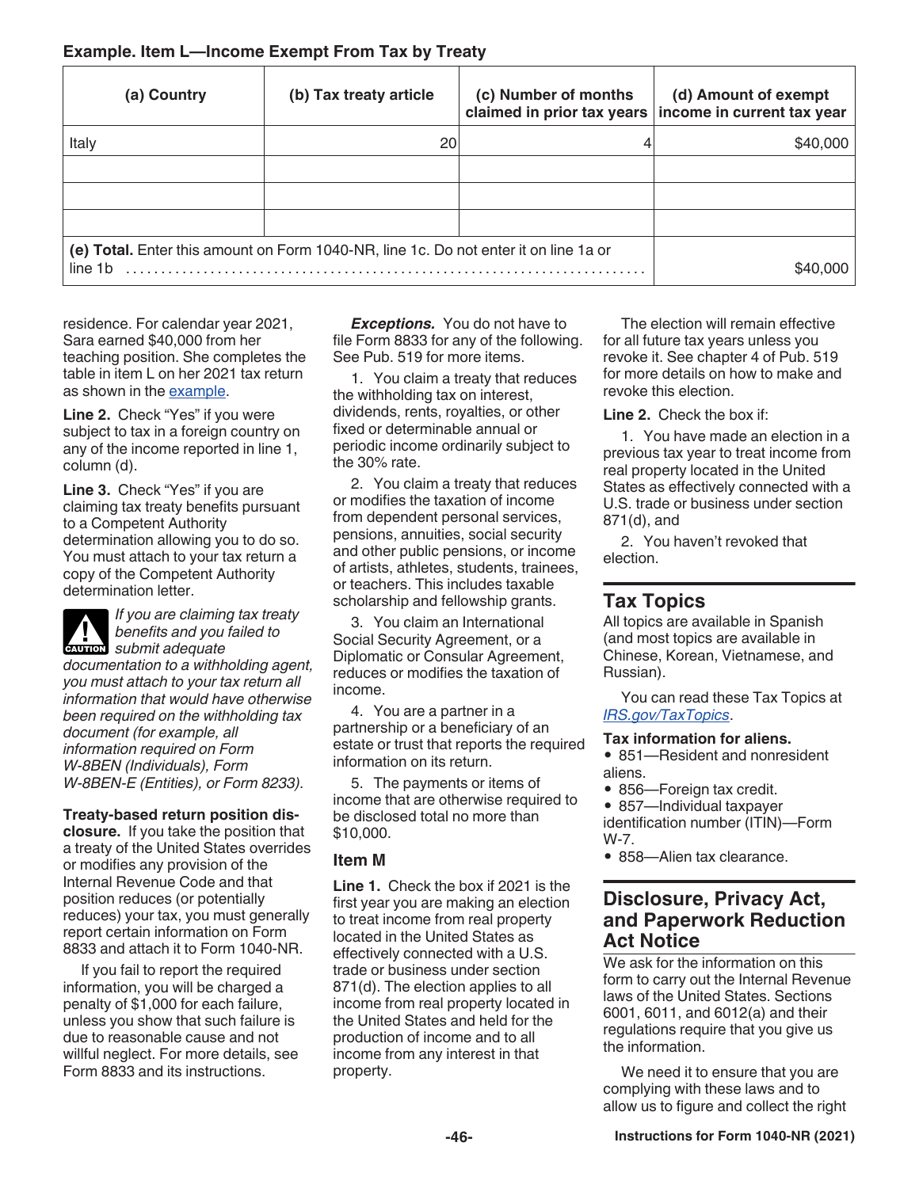### **Example. Item L—Income Exempt From Tax by Treaty**

| (a) Country                                                                                     | (b) Tax treaty article | (c) Number of months | (d) Amount of exempt<br>claimed in prior tax years   income in current tax year |
|-------------------------------------------------------------------------------------------------|------------------------|----------------------|---------------------------------------------------------------------------------|
| Italy                                                                                           | 20                     |                      | \$40,000                                                                        |
|                                                                                                 |                        |                      |                                                                                 |
|                                                                                                 |                        |                      |                                                                                 |
|                                                                                                 |                        |                      |                                                                                 |
| (e) Total. Enter this amount on Form 1040-NR, line 1c. Do not enter it on line 1a or<br>line 1b |                        |                      |                                                                                 |

residence. For calendar year 2021, Sara earned \$40,000 from her teaching position. She completes the table in item L on her 2021 tax return as shown in the example.

**Line 2.** Check "Yes" if you were subject to tax in a foreign country on any of the income reported in line 1, column (d).

**Line 3.** Check "Yes" if you are claiming tax treaty benefits pursuant to a Competent Authority determination allowing you to do so. You must attach to your tax return a copy of the Competent Authority determination letter.

*If you are claiming tax treaty benefits and you failed to*  **c** benefits and you *documentation to a withholding agent, you must attach to your tax return all information that would have otherwise been required on the withholding tax document (for example, all information required on Form W-8BEN (Individuals), Form W-8BEN-E (Entities), or Form 8233).*

**Treaty-based return position disclosure.** If you take the position that a treaty of the United States overrides or modifies any provision of the Internal Revenue Code and that position reduces (or potentially reduces) your tax, you must generally report certain information on Form 8833 and attach it to Form 1040-NR.

If you fail to report the required information, you will be charged a penalty of \$1,000 for each failure, unless you show that such failure is due to reasonable cause and not willful neglect. For more details, see Form 8833 and its instructions.

*Exceptions.* You do not have to file Form 8833 for any of the following. See Pub. 519 for more items.

1. You claim a treaty that reduces the withholding tax on interest, dividends, rents, royalties, or other fixed or determinable annual or periodic income ordinarily subject to the 30% rate.

2. You claim a treaty that reduces or modifies the taxation of income from dependent personal services, pensions, annuities, social security and other public pensions, or income of artists, athletes, students, trainees, or teachers. This includes taxable scholarship and fellowship grants.

3. You claim an International Social Security Agreement, or a Diplomatic or Consular Agreement, reduces or modifies the taxation of income.

4. You are a partner in a partnership or a beneficiary of an estate or trust that reports the required information on its return.

5. The payments or items of income that are otherwise required to be disclosed total no more than \$10,000.

### **Item M**

**Line 1.** Check the box if 2021 is the first year you are making an election to treat income from real property located in the United States as effectively connected with a U.S. trade or business under section 871(d). The election applies to all income from real property located in the United States and held for the production of income and to all income from any interest in that property.

The election will remain effective for all future tax years unless you revoke it. See chapter 4 of Pub. 519 for more details on how to make and revoke this election.

**Line 2.** Check the box if:

1. You have made an election in a previous tax year to treat income from real property located in the United States as effectively connected with a U.S. trade or business under section 871(d), and

2. You haven't revoked that election.

### **Tax Topics**

All topics are available in Spanish (and most topics are available in Chinese, Korean, Vietnamese, and Russian).

You can read these Tax Topics at *[IRS.gov/TaxTopics](https://www.irs.gov/taxtopics)*.

### **Tax information for aliens.**

• 851-Resident and nonresident aliens.

• 856—Foreign tax credit.

• 857—Individual taxpayer identification number (ITIN)—Form W-7.

• 858-Alien tax clearance.

### **Disclosure, Privacy Act, and Paperwork Reduction Act Notice**

We ask for the information on this form to carry out the Internal Revenue laws of the United States. Sections 6001, 6011, and 6012(a) and their regulations require that you give us the information.

We need it to ensure that you are complying with these laws and to allow us to figure and collect the right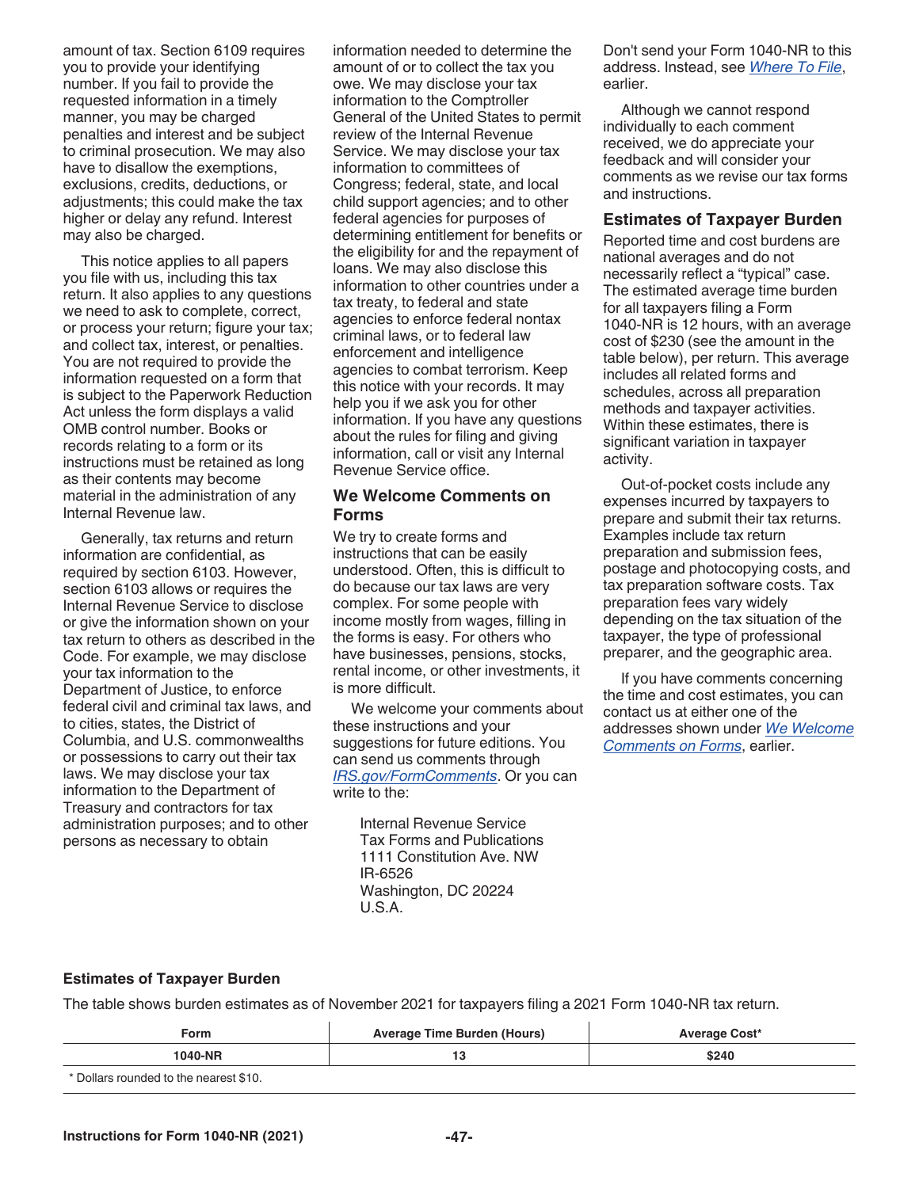amount of tax. Section 6109 requires you to provide your identifying number. If you fail to provide the requested information in a timely manner, you may be charged penalties and interest and be subject to criminal prosecution. We may also have to disallow the exemptions, exclusions, credits, deductions, or adjustments; this could make the tax higher or delay any refund. Interest may also be charged.

This notice applies to all papers you file with us, including this tax return. It also applies to any questions we need to ask to complete, correct, or process your return; figure your tax; and collect tax, interest, or penalties. You are not required to provide the information requested on a form that is subject to the Paperwork Reduction Act unless the form displays a valid OMB control number. Books or records relating to a form or its instructions must be retained as long as their contents may become material in the administration of any Internal Revenue law.

Generally, tax returns and return information are confidential, as required by section 6103. However, section 6103 allows or requires the Internal Revenue Service to disclose or give the information shown on your tax return to others as described in the Code. For example, we may disclose your tax information to the Department of Justice, to enforce federal civil and criminal tax laws, and to cities, states, the District of Columbia, and U.S. commonwealths or possessions to carry out their tax laws. We may disclose your tax information to the Department of Treasury and contractors for tax administration purposes; and to other persons as necessary to obtain

information needed to determine the amount of or to collect the tax you owe. We may disclose your tax information to the Comptroller General of the United States to permit review of the Internal Revenue Service. We may disclose your tax information to committees of Congress; federal, state, and local child support agencies; and to other federal agencies for purposes of determining entitlement for benefits or the eligibility for and the repayment of loans. We may also disclose this information to other countries under a tax treaty, to federal and state agencies to enforce federal nontax criminal laws, or to federal law enforcement and intelligence agencies to combat terrorism. Keep this notice with your records. It may help you if we ask you for other information. If you have any questions about the rules for filing and giving information, call or visit any Internal Revenue Service office.

### **We Welcome Comments on Forms**

We try to create forms and instructions that can be easily understood. Often, this is difficult to do because our tax laws are very complex. For some people with income mostly from wages, filling in the forms is easy. For others who have businesses, pensions, stocks, rental income, or other investments, it is more difficult.

We welcome your comments about these instructions and your suggestions for future editions. You can send us comments through *[IRS.gov/FormComments](https://www.irs.gov/formcomments)*. Or you can write to the:

> Internal Revenue Service Tax Forms and Publications 1111 Constitution Ave. NW IR-6526 Washington, DC 20224 U.S.A.

Don't send your Form 1040-NR to this address. Instead, see *Where To File*, earlier.

Although we cannot respond individually to each comment received, we do appreciate your feedback and will consider your comments as we revise our tax forms and instructions.

### **Estimates of Taxpayer Burden**

Reported time and cost burdens are national averages and do not necessarily reflect a "typical" case. The estimated average time burden for all taxpayers filing a Form 1040-NR is 12 hours, with an average cost of \$230 (see the amount in the table below), per return. This average includes all related forms and schedules, across all preparation methods and taxpayer activities. Within these estimates, there is significant variation in taxpayer activity.

Out-of-pocket costs include any expenses incurred by taxpayers to prepare and submit their tax returns. Examples include tax return preparation and submission fees, postage and photocopying costs, and tax preparation software costs. Tax preparation fees vary widely depending on the tax situation of the taxpayer, the type of professional preparer, and the geographic area.

If you have comments concerning the time and cost estimates, you can contact us at either one of the addresses shown under *We Welcome Comments on Forms*, earlier.

### **Estimates of Taxpayer Burden**

The table shows burden estimates as of November 2021 for taxpayers filing a 2021 Form 1040-NR tax return.

| Form                                   | Average Time Burden (Hours) | <b>Average Cost*</b> |  |
|----------------------------------------|-----------------------------|----------------------|--|
| 1040-NR                                |                             | \$240                |  |
| * Dollars rounded to the nearest \$10. |                             |                      |  |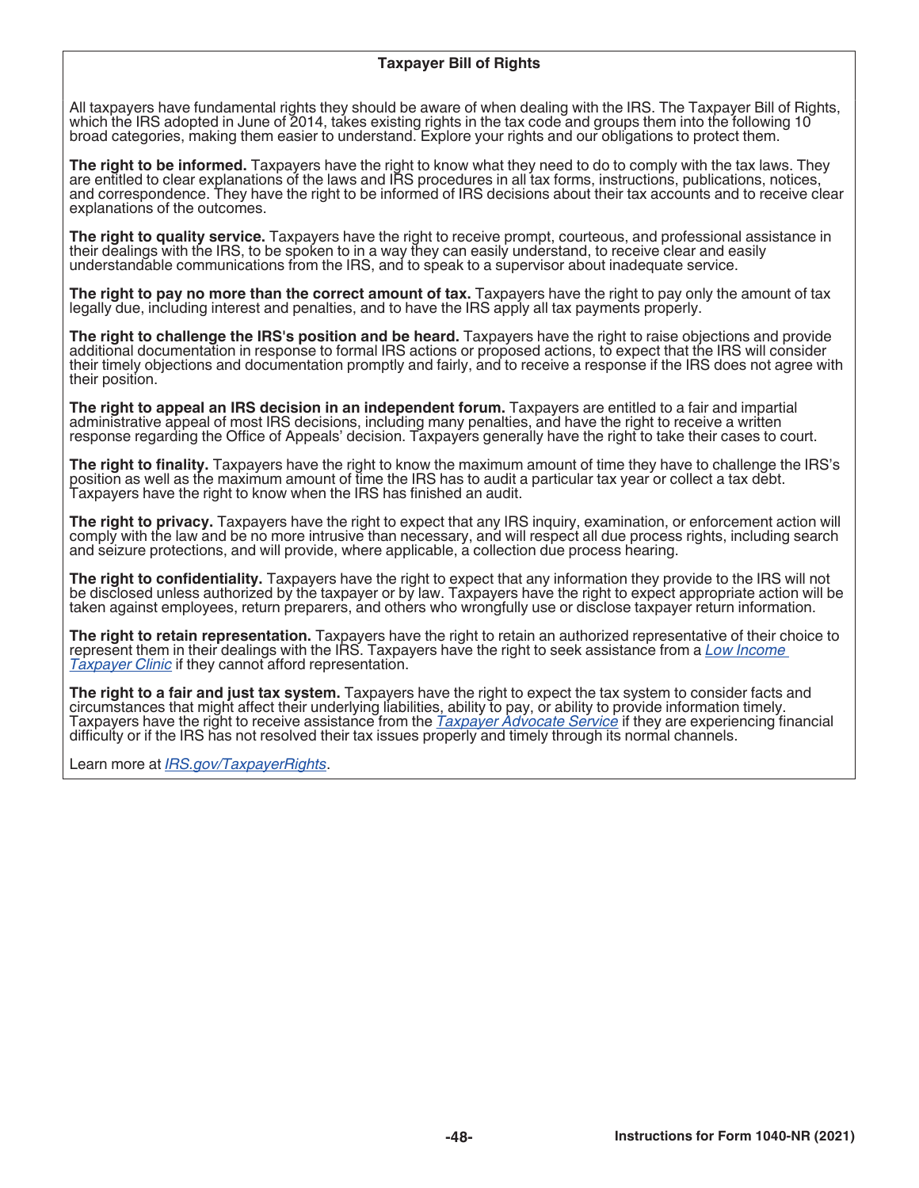### **Taxpayer Bill of Rights**

All taxpayers have fundamental rights they should be aware of when dealing with the IRS. The Taxpayer Bill of Rights, which the IRS adopted in June of 2014, takes existing rights in the tax code and groups them into the following 10 broad categories, making them easier to understand. Explore your rights and our obligations to protect them.

**The right to be informed.** Taxpayers have the right to know what they need to do to comply with the tax laws. They are entitled to clear explanations of the laws and IRS procedures in all tax forms, instructions, publications, notices, and correspondence. They have the right to be informed of IRS decisions about their tax accounts and to receive clear explanations of the outcomes.

**The right to quality service.** Taxpayers have the right to receive prompt, courteous, and professional assistance in their dealings with the IRS, to be spoken to in a way they can easily understand, to receive clear and easily understandable communications from the IRS, and to speak to a supervisor about inadequate service.

**The right to pay no more than the correct amount of tax.** Taxpayers have the right to pay only the amount of tax legally due, including interest and penalties, and to have the IRS apply all tax payments properly.

**The right to challenge the IRS's position and be heard.** Taxpayers have the right to raise objections and provide additional documentation in response to formal IRS actions or proposed actions, to expect that the IRS will consider their timely objections and documentation promptly and fairly, and to receive a response if the IRS does not agree with their position.

**The right to appeal an IRS decision in an independent forum.** Taxpayers are entitled to a fair and impartial administrative appeal of most IRS decisions, including many penalties, and have the right to receive a written response regarding the Office of Appeals' decision. Taxpayers generally have the right to take their cases to court.

**The right to finality.** Taxpayers have the right to know the maximum amount of time they have to challenge the IRS's position as well as the maximum amount of time the IRS has to audit a particular tax year or collect a tax debt. Taxpayers have the right to know when the IRS has finished an audit.

**The right to privacy.** Taxpayers have the right to expect that any IRS inquiry, examination, or enforcement action will comply with the law and be no more intrusive than necessary, and will respect all due process rights, including search and seizure protections, and will provide, where applicable, a collection due process hearing.

**The right to confidentiality.** Taxpayers have the right to expect that any information they provide to the IRS will not be disclosed unless authorized by the taxpayer or by law. Taxpayers have the right to expect appropriate action will be taken against employees, return preparers, and others who wrongfully use or disclose taxpayer return information.

**The right to retain representation.** Taxpayers have the right to retain an authorized representative of their choice to represent them in their dealings with the IRS. Taxpayers have the right to seek assistance from a *[Low Income](https://www.irs.gov/Advocate/Low-Income-Taxpayer-Clinics)  [Taxpayer Clinic](https://www.irs.gov/Advocate/Low-Income-Taxpayer-Clinics)* if they cannot afford representation.

**The right to a fair and just tax system.** Taxpayers have the right to expect the tax system to consider facts and circumstances that might affect their underlying liabilities, ability to pay, or ability to provide information timely. Taxpayers have the right to receive assistance from the *[Taxpayer Advocate Service](https://www.irs.gov/Advocate)* if they are experiencing financial difficulty or if the IRS has not resolved their tax issues properly and timely through its normal channels.

Learn more at *[IRS.gov/TaxpayerRights](https://www.irs.gov/Taxpayer-Bill-of-Rights)*.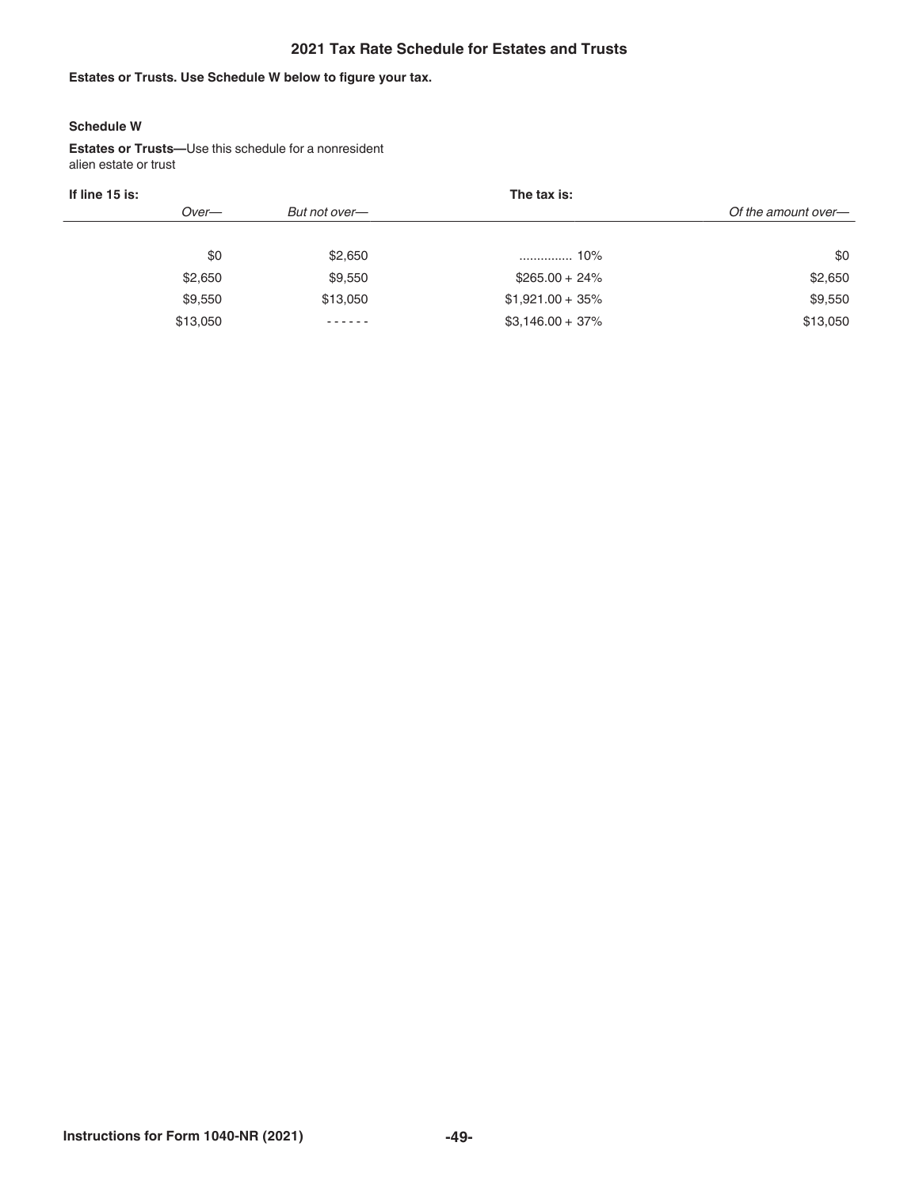### **2021 Tax Rate Schedule for Estates and Trusts**

### **Estates or Trusts. Use Schedule W below to figure your tax.**

#### **Schedule W**

**Estates or Trusts—**Use this schedule for a nonresident alien estate or trust

|     |                                         | The tax is:        |                     |  |
|-----|-----------------------------------------|--------------------|---------------------|--|
|     | But not over-                           |                    | Of the amount over- |  |
|     |                                         |                    |                     |  |
| \$0 | \$2,650                                 |                    | \$0                 |  |
|     | \$9,550                                 | $$265.00 + 24\%$   | \$2,650             |  |
|     | \$13,050                                | $$1,921.00 + 35\%$ | \$9,550             |  |
|     | $\cdots$                                | $$3,146.00 + 37\%$ | \$13,050            |  |
|     | Over-<br>\$2,650<br>\$9,550<br>\$13,050 |                    |                     |  |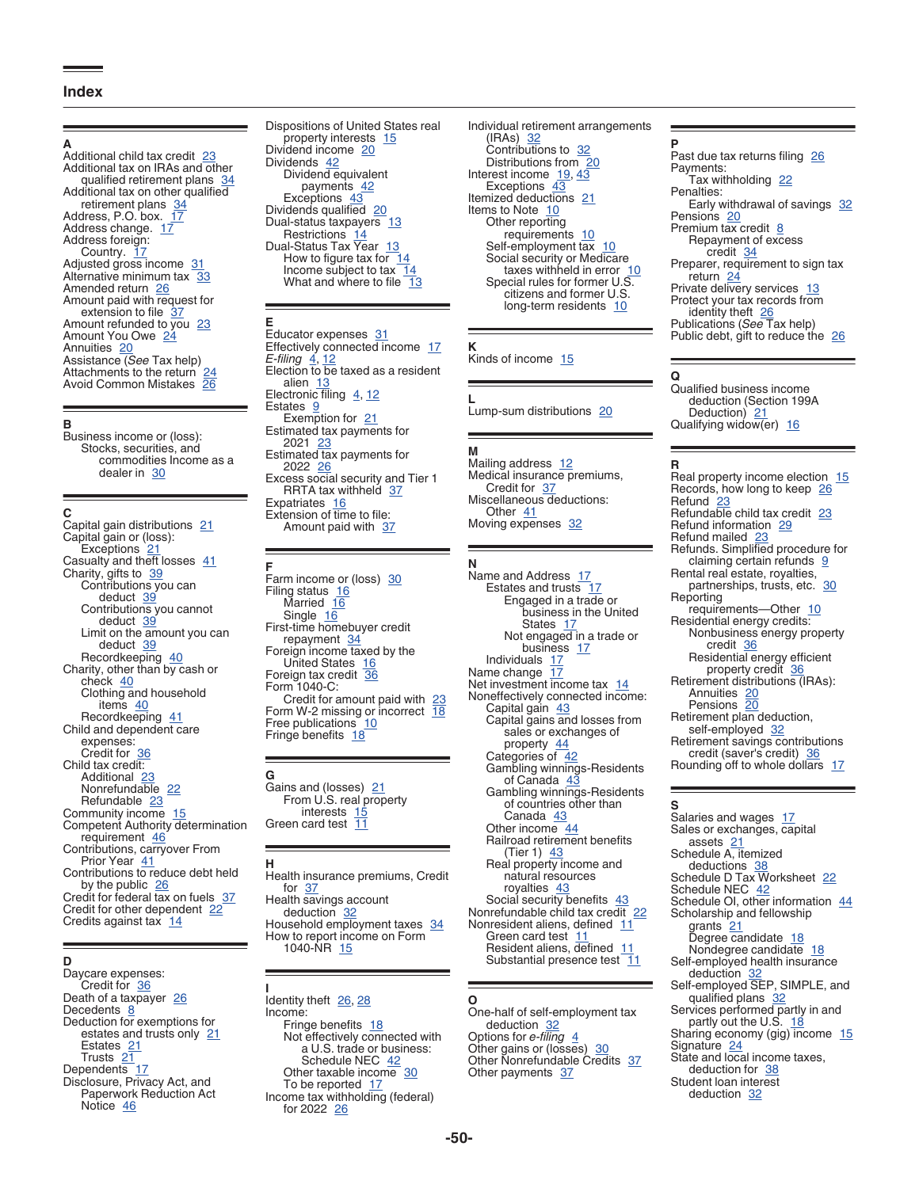#### **Index**

#### **A**

Additional child tax credit 23 Additional tax on IRAs and other qualified retirement plans 34 Additional tax on other qualified retirement plans 34 Address, P.O. box. 17 Address change. 17 Address foreign: Country. 17 Adjusted gross income 31 Alternative minimum tax 33 Amended return 26 Amount paid with request for extension to file 37 Amount refunded to you 23 Amount You Owe 24 Annuities 20 Assistance (*See* Tax help) Attachments to the return 24 Avoid Common Mistakes 26

#### **B**

Business income or (loss): Stocks, securities, and commodities Income as a dealer in 30

#### **C**

Capital gain distributions 21 Capital gain or (loss): Exceptions 21 Casualty and theft losses 41 Charity, gifts to 39 Contributions you can deduct 39 Contributions you cannot deduct 39 Limit on the amount you can deduct 39 Recordkeeping 40 Charity, other than by cash or check 40 Clothing and household items 40 Recordkeeping 41 Child and dependent care expenses: Credit for 36 Child tax credit: Additional 23 Nonrefundable 22 Refundable 23 Community income 15 Competent Authority determination requirement 46 Contributions, carryover From Prior Year 41 Contributions to reduce debt held by the public 26 Credit for federal tax on fuels 37 Credit for other dependent 22 Credits against tax 14

#### **D**

Daycare expenses: Credit for 36 Death of a taxpayer 26 Decedents 8 Deduction for exemptions for estates and trusts only 21 Estates 21 Trusts 21 Dependents 17 Disclosure, Privacy Act, and Paperwork Reduction Act Notice 46

Dispositions of United States real property interests 15 Dividend income 20 Dividends 42 Dividend equivalent payments 42 Exceptions 43 Dividends qualified 20 Dual-status taxpayers 13 Restrictions 14 Dual-Status Tax Year 13 How to figure tax for 14 Income subject to tax 14 What and where to file 13

#### **E** Educator expenses 31

Effectively connected income 17 *E-filing* 4, 12 Election to be taxed as a resident alien 13 Electronic filing  $4, 12$ Estates 9 Exemption for 21 Estimated tax payments for 2021 23 Estimated tax payments for 2022 26 Excess social security and Tier 1 RRTA tax withheld 37 Expatriates 16 Extension of time to file: Amount paid with 37

**F**

Farm income or (loss) 30 Filing status 16 Married 16 Single 16 First-time homebuyer credit repayment 34 Foreign income taxed by the United States 16 Foreign tax credit 36 Form 1040-C: Credit for amount paid with 23 Form W-2 missing or incorrect 18 Free publications<sup>7</sup>10 Fringe benefits 18

**G** Gains and (losses) 21 From U.S. real property interests 15 Green card test 11

#### **H**

Health insurance premiums, Credit for  $37$ Health savings account deduction 32 Household employment taxes 34 How to report income on Form 1040-NR 15

### Identity theft 26, 28

**I**

Income: Fringe benefits 18 Not effectively connected with a U.S. trade or business: Schedule NEC 42 Other taxable income 30 To be reported 17 Income tax withholding (federal) for 2022 26

Individual retirement arrangements (IRAs) 32 Contributions to 32 Distributions from 20 Interest income 19, 43 Exceptions 43 Itemized deductions 21 Items to Note 10 Other reporting requirements 10 Self-employment tax 10 Social security or Medicare taxes withheld in error 10 Special rules for former U.S. citizens and former U.S. long-term residents 10

#### Kinds of income 15

**L** Lump-sum distributions 20

#### **M** Mailing address 12

Medical insurance premiums, Credit for 37 Miscellaneous deductions: Other 41 Moving expenses 32

#### **N**

**K**

Name and Address 17 Estates and trusts 17 Engaged in a trade or business in the United States 17 Not engaged in a trade or business 17 Individuals 17 Name change 17 Net investment income tax 14 Noneffectively connected income: Capital gain 43 Capital gains and losses from sales or exchanges of property 44 Categories of 42 Gambling winnings-Residents of Canada 43 Gambling winnings-Residents of countries other than Canada 43 Other income 44 Railroad retirement benefits (Tier 1) 43 Real property income and natural resources royalties 43 Social security benefits 43 Nonrefundable child tax credit 22 Nonresident aliens, defined 11 Green card test 11 Resident aliens, defined 11

#### **O**

One-half of self-employment tax deduction 32 Options for *e-filing* 4 Other gains or (losses) 30 Other Nonrefundable Credits 37 Other payments 37

Substantial presence test 11

#### **P**

Past due tax returns filing 26 Payments: Tax withholding 22 Penalties: Early withdrawal of savings 32 Pensions 20 Premium tax credit 8 Repayment of excess credit 34 Preparer, requirement to sign tax return 24 Private delivery services 13 Protect your tax records from identity theft 26 Publications (*See* Tax help) Public debt, gift to reduce the 26

#### **Q**

Qualified business income deduction (Section 199A Deduction) 21<br>Qualifying widow(er) 16

#### **R**

Real property income election 15 Records, how long to keep 26 Refund 23 Refundable child tax credit 23 Refund information 29 Refund mailed 23 Refunds. Simplified procedure for claiming certain refunds  $9$ Rental real estate, royalties, partnerships, trusts, etc. 30 **Reporting** requirements-Other 10 Residential energy credits: Nonbusiness energy property credit 36 Residential energy efficient property credit 36 Retirement distributions (IRAs): Annuities 20 Pensions 20 Retirement plan deduction, self-employed 32 Retirement savings contributions credit (saver's credit) 36 Rounding off to whole dollars 17

#### **S**

Salaries and wages 17 Sales or exchanges, capital assets 21 Schedule A, itemized deductions 38 Schedule D Tax Worksheet 22 Schedule NEC 42 Schedule OI, other information 44 Scholarship and fellowship grants<sup>21</sup> Degree candidate 18 Nondegree candidate 18 Self-employed health insurance deduction 3 Self-employed SEP, SIMPLE, and qualified plans 32 Services performed partly in and partly out the U.S. 18 Sharing economy (gig) income 15 Signature 24 State and local income taxes, deduction for 38 Student loan interest deduction 32